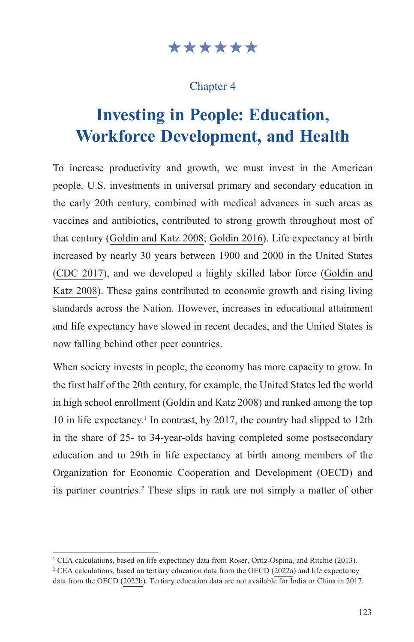### \*\*\*\*\*\*

### Chapter 4

# **Investing in People: Education, Workforce Development, and Health**

To increase productivity and growth, we must invest in the American people. U.S. investments in universal primary and secondary education in the early 20th century, combined with medical advances in such areas as vaccines and antibiotics, contributed to strong growth throughout most of that century ([Goldin and Katz 2008](https://www.hup.harvard.edu/catalog.php?isbn=9780674035300); [Goldin 2016](https://scholar.harvard.edu/files/goldin/files/goldin_human_capital.pdf)). Life expectancy at birth increased by nearly 30 years between 1900 and 2000 in the United States ([CDC 2017](https://www.cdc.gov/nchs/data/hus/2017/015.pdf)), and we developed a highly skilled labor force [\(Goldin and](https://www.hup.harvard.edu/catalog.php?isbn=9780674035300) [Katz 2008](https://www.hup.harvard.edu/catalog.php?isbn=9780674035300)). These gains contributed to economic growth and rising living standards across the Nation. However, increases in educational attainment and life expectancy have slowed in recent decades, and the United States is now falling behind other peer countries.

When society invests in people, the economy has more capacity to grow. In the first half of the 20th century, for example, the United States led the world in high school enrollment ([Goldin and Katz 2008](https://www.hup.harvard.edu/catalog.php?isbn=9780674035300)) and ranked among the top 10 in life expectancy.<sup>1</sup> In contrast, by 2017, the country had slipped to 12th in the share of 25- to 34-year-olds having completed some postsecondary education and to 29th in life expectancy at birth among members of the Organization for Economic Cooperation and Development (OECD) and its partner countries.<sup>2</sup> These slips in rank are not simply a matter of other

<sup>&</sup>lt;sup>1</sup> CEA calculations, based on life expectancy data from [Roser, Ortiz-Ospina, and Ritchie \(2013\)](https://ourworldindata.org/life-expectancy).<br><sup>2</sup> CEA calculations, based on tertiary education data from the OECD (2022a) and life expectancy.

<sup>&</sup>lt;sup>2</sup> CEA calculations, based on tertiary education data from the [OECD \(2022a\)](https://data.oecd.org/eduatt/population-with-tertiary-education.htm) and life expectancy data from the [OECD \(2022b\).](https://data.oecd.org/healthstat/life-expectancy-at-birth.htm) Tertiary education data are not available for India or China in 2017.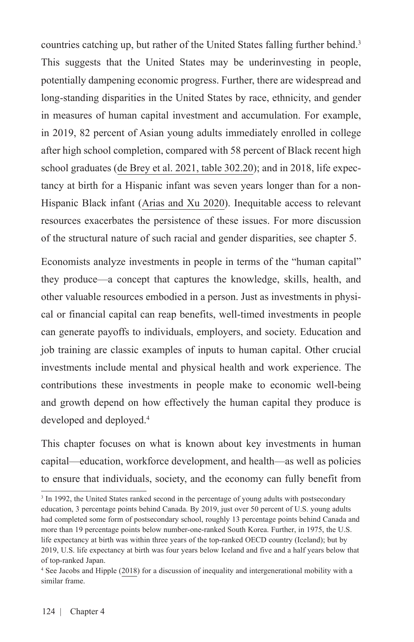countries catching up, but rather of the United States falling further behind.<sup>3</sup> This suggests that the United States may be underinvesting in people, potentially dampening economic progress. Further, there are widespread and long-standing disparities in the United States by race, ethnicity, and gender in measures of human capital investment and accumulation. For example, in 2019, 82 percent of Asian young adults immediately enrolled in college after high school completion, compared with 58 percent of Black recent high school graduates ([de Brey et al. 2021, table 302.20\)](https://nces.ed.gov/programs/digest/d21/tables/dt21_302.20.asp?current=yes); and in 2018, life expectancy at birth for a Hispanic infant was seven years longer than for a non-Hispanic Black infant ([Arias and Xu 2020](https://www.cdc.gov/nchs/data/nvsr/nvsr69/nvsr69-12-508.pdf)). Inequitable access to relevant resources exacerbates the persistence of these issues. For more discussion of the structural nature of such racial and gender disparities, see chapter 5.

Economists analyze investments in people in terms of the "human capital" they produce—a concept that captures the knowledge, skills, health, and other valuable resources embodied in a person. Just as investments in physical or financial capital can reap benefits, well-timed investments in people can generate payoffs to individuals, employers, and society. Education and job training are classic examples of inputs to human capital. Other crucial investments include mental and physical health and work experience. The contributions these investments in people make to economic well-being and growth depend on how effectively the human capital they produce is developed and deployed.4

This chapter focuses on what is known about key investments in human capital—education, workforce development, and health—as well as policies to ensure that individuals, society, and the economy can fully benefit from

<sup>&</sup>lt;sup>3</sup> In 1992, the United States ranked second in the percentage of young adults with postsecondary education, 3 percentage points behind Canada. By 2019, just over 50 percent of U.S. young adults had completed some form of postsecondary school, roughly 13 percentage points behind Canada and more than 19 percentage points below number-one-ranked South Korea. Further, in 1975, the U.S. life expectancy at birth was within three years of the top-ranked OECD country (Iceland); but by 2019, U.S. life expectancy at birth was four years below Iceland and five and a half years below that of top-ranked Japan.

<sup>4</sup> See [Jacobs and Hipple \(2018\)](https://equitablegrowth.org/research-paper/are-todays-inequalities-limiting-tomorrows-opportunities/?longform=true) for a discussion of inequality and intergenerational mobility with a similar frame.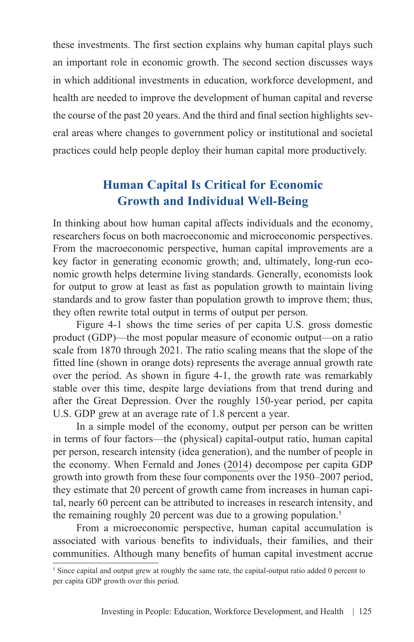these investments. The first section explains why human capital plays such an important role in economic growth. The second section discusses ways in which additional investments in education, workforce development, and health are needed to improve the development of human capital and reverse the course of the past 20 years. And the third and final section highlights several areas where changes to government policy or institutional and societal practices could help people deploy their human capital more productively.

### **Human Capital Is Critical for Economic Growth and Individual Well-Being**

In thinking about how human capital affects individuals and the economy, researchers focus on both macroeconomic and microeconomic perspectives. From the macroeconomic perspective, human capital improvements are a key factor in generating economic growth; and, ultimately, long-run economic growth helps determine living standards. Generally, economists look for output to grow at least as fast as population growth to maintain living standards and to grow faster than population growth to improve them; thus, they often rewrite total output in terms of output per person.

Figure 4-1 shows the time series of per capita U.S. gross domestic product (GDP)—the most popular measure of economic output—on a ratio scale from 1870 through 2021. The ratio scaling means that the slope of the fitted line (shown in orange dots) represents the average annual growth rate over the period. As shown in figure 4-1, the growth rate was remarkably stable over this time, despite large deviations from that trend during and after the Great Depression. Over the roughly 150-year period, per capita U.S. GDP grew at an average rate of 1.8 percent a year.

In a simple model of the economy, output per person can be written in terms of four factors—the (physical) capital-output ratio, human capital per person, research intensity (idea generation), and the number of people in the economy. When [Fernald and Jones \(2014\)](https://pubs.aeaweb.org/doi/pdfplus/10.1257/aer.104.5.44) decompose per capita GDP growth into growth from these four components over the 1950–2007 period, they estimate that 20 percent of growth came from increases in human capital, nearly 60 percent can be attributed to increases in research intensity, and the remaining roughly 20 percent was due to a growing population.<sup>5</sup>

From a microeconomic perspective, human capital accumulation is associated with various benefits to individuals, their families, and their communities. Although many benefits of human capital investment accrue

<sup>&</sup>lt;sup>5</sup> Since capital and output grew at roughly the same rate, the capital-output ratio added 0 percent to per capita GDP growth over this period.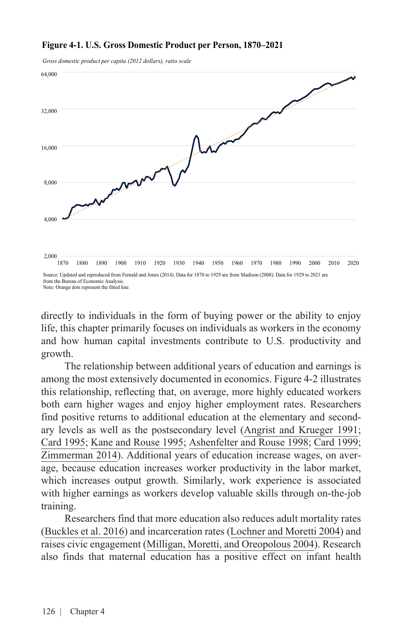

*Gross domestic product per capita (2012 dollars), ratio scale*



Note: Orange dots represent the fitted line.

directly to individuals in the form of buying power or the ability to enjoy life, this chapter primarily focuses on individuals as workers in the economy and how human capital investments contribute to U.S. productivity and growth.

The relationship between additional years of education and earnings is among the most extensively documented in economics. Figure 4-2 illustrates this relationship, reflecting that, on average, more highly educated workers both earn higher wages and enjoy higher employment rates. Researchers find positive returns to additional education at the elementary and secondary levels as well as the postsecondary level [\(Angrist and Krueger 1991](https://www.jstor.org/stable/2937954?seq=1); [Card 1995](https://davidcard.berkeley.edu/papers/geo_var_schooling.pdf); [Kane and Rouse 1995](https://www.jstor.org/stable/2118190?refreqid=excelsior%3Abe1e2f55b31563df514de61685c97797&seq=1); [Ashenfelter and Rouse 1998](https://academic.oup.com/qje/article/113/1/253/1892032?login=true); [Card 1999;](https://www.sciencedirect.com/science/article/abs/pii/S1573446399030114) [Zimmerman 2014\)](https://www.journals.uchicago.edu/doi/full/10.1086/676661). Additional years of education increase wages, on average, because education increases worker productivity in the labor market, which increases output growth. Similarly, work experience is associated with higher earnings as workers develop valuable skills through on-the-job training.

Researchers find that more education also reduces adult mortality rates ([Buckles et al. 2016\)](https://www.sciencedirect.com/science/article/abs/pii/S0167629616301382) and incarceration rates [\(Lochner and Moretti 2004\)](https://pubs.aeaweb.org/doi/pdfplus/10.1257/000282804322970751) and raises civic engagement ([Milligan, Moretti, and Oreopolous 2004](https://www.sciencedirect.com/science/article/abs/pii/S0047272703002056)). Research also finds that maternal education has a positive effect on infant health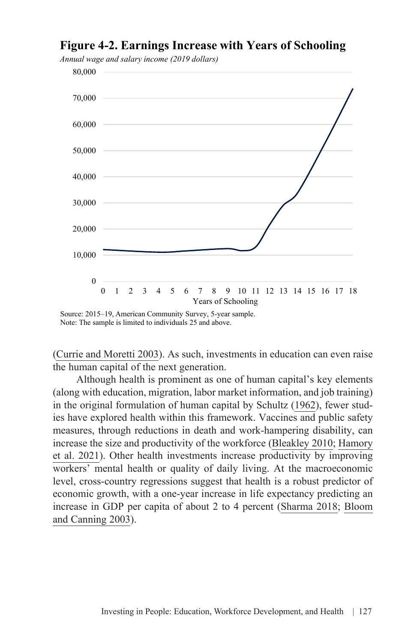### **Figure 4-2. Earnings Increase with Years of Schooling**

\$0 10,000 \$20,000 20,000 \$40,000 30,000 \$60,000 40,000 \$80,000 50,000 \$100,000 60,000 0 70,000 80,000 0 1 2 3 4 5 6 7 8 9 10 11 12 13 14 15 16 17 18 Years of Schooling

*Annual wage and salary income (2019 dollars)*

([Currie and Moretti 2003](https://academic.oup.com/qje/article/118/4/1495/1925120?login=true)). As such, investments in education can even raise the human capital of the next generation.

Although health is prominent as one of human capital's key elements (along with education, migration, labor market information, and job training) in the original formulation of human capital by [Schultz \(1962\)](https://www.journals.uchicago.edu/doi/10.1086/258723), fewer studies have explored health within this framework. Vaccines and public safety measures, through reductions in death and work-hampering disability, can increase the size and productivity of the workforce ([Bleakley 2010](https://www.aeaweb.org/articles?id=10.1257/app.2.2.1); [Hamory](https://doi.org/10.1073/pnas.2023185118) [et al. 2021\)](https://doi.org/10.1073/pnas.2023185118). Other health investments increase productivity by improving workers' mental health or quality of daily living. At the macroeconomic level, cross-country regressions suggest that health is a robust predictor of economic growth, with a one-year increase in life expectancy predicting an increase in GDP per capita of about 2 to 4 percent ([Sharma 2018;](https://doi.org/10.1371/journal.pone.0204940) [Bloom](https://link.springer.com/content/pdf/10.1111%2F1468-0440.00225.pdf) [and Canning 2003](https://link.springer.com/content/pdf/10.1111%2F1468-0440.00225.pdf)).

Source: 2015–19, American Community Survey, 5-year sample. Note: The sample is limited to individuals 25 and above.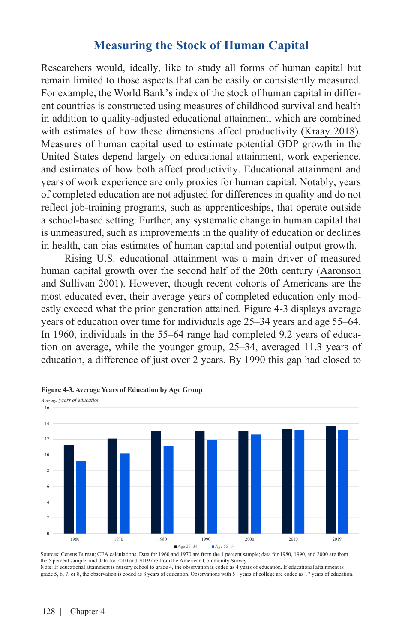### **Measuring the Stock of Human Capital**

Researchers would, ideally, like to study all forms of human capital but remain limited to those aspects that can be easily or consistently measured. For example, the World Bank's index of the stock of human capital in different countries is constructed using measures of childhood survival and health in addition to quality-adjusted educational attainment, which are combined with estimates of how these dimensions affect productivity [\(Kraay 2018\)](https://papers.ssrn.com/sol3/papers.cfm?abstract_id=3255311). Measures of human capital used to estimate potential GDP growth in the United States depend largely on educational attainment, work experience, and estimates of how both affect productivity. Educational attainment and years of work experience are only proxies for human capital. Notably, years of completed education are not adjusted for differences in quality and do not reflect job-training programs, such as apprenticeships, that operate outside a school-based setting. Further, any systematic change in human capital that is unmeasured, such as improvements in the quality of education or declines in health, can bias estimates of human capital and potential output growth.

Rising U.S. educational attainment was a main driver of measured human capital growth over the second half of the 20th century [\(Aaronson](https://www.chicagofed.org/publications/economic-perspectives/2001/4qepart5)  [and Sullivan 2001](https://www.chicagofed.org/publications/economic-perspectives/2001/4qepart5)). However, though recent cohorts of Americans are the most educated ever, their average years of completed education only modestly exceed what the prior generation attained. Figure 4-3 displays average years of education over time for individuals age 25–34 years and age 55–64. In 1960, individuals in the 55–64 range had completed 9.2 years of education on average, while the younger group, 25–34, averaged 11.3 years of education, a difference of just over 2 years. By 1990 this gap had closed to



**Figure 4-3. Average Years of Education by Age Group**

Sources: Census Bureau; CEA calculations. Data for 1960 and 1970 are from the 1 percent sample; data for 1980, 1990, and 2000 are from the 5 percent sample; and data for 2010 and 2019 are from the American Community Survey. Note: If educational attainment is nursery school to grade 4, the observation is coded as 4 years of education. If educational attainment is grade 5, 6, 7, or 8, the observation is coded as 8 years of education. Observations with 5+ years of college are coded as 17 years of education.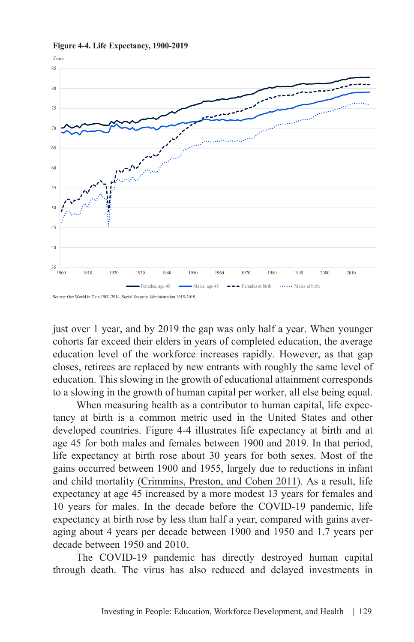

**Figure 4-4. Life Expectancy, 1900-2019**

Source: Our World in Data 1900-2014, Social Security Administration 1915-2019.

just over 1 year, and by 2019 the gap was only half a year. When younger cohorts far exceed their elders in years of completed education, the average education level of the workforce increases rapidly. However, as that gap closes, retirees are replaced by new entrants with roughly the same level of education. This slowing in the growth of educational attainment corresponds to a slowing in the growth of human capital per worker, all else being equal.

When measuring health as a contributor to human capital, life expectancy at birth is a common metric used in the United States and other developed countries. Figure 4-4 illustrates life expectancy at birth and at age 45 for both males and females between 1900 and 2019. In that period, life expectancy at birth rose about 30 years for both sexes. Most of the gains occurred between 1900 and 1955, largely due to reductions in infant and child mortality [\(Crimmins, Preston, and Cohen 2011\)](https://doi.org/10.17226/13089). As a result, life expectancy at age 45 increased by a more modest 13 years for females and 10 years for males. In the decade before the COVID-19 pandemic, life expectancy at birth rose by less than half a year, compared with gains averaging about 4 years per decade between 1900 and 1950 and 1.7 years per decade between 1950 and 2010.

The COVID-19 pandemic has directly destroyed human capital through death. The virus has also reduced and delayed investments in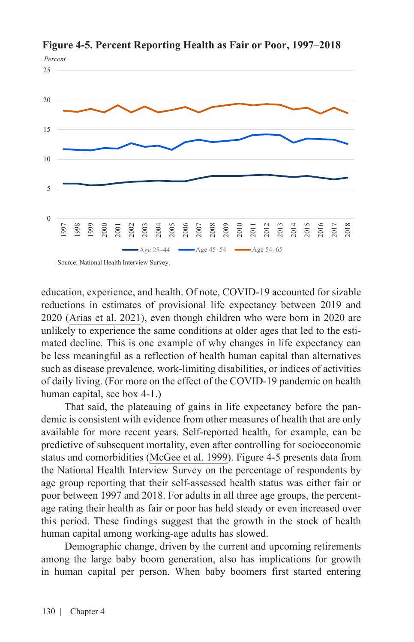

**Figure 4-5. Percent Reporting Health as Fair or Poor, 1997–2018**

education, experience, and health. Of note, COVID-19 accounted for sizable reductions in estimates of provisional life expectancy between 2019 and 2020 ([Arias et al. 2021\)](https://www.cdc.gov/nchs/data/vsrr/VSRR10-508.pdf), even though children who were born in 2020 are unlikely to experience the same conditions at older ages that led to the estimated decline. This is one example of why changes in life expectancy can be less meaningful as a reflection of health human capital than alternatives such as disease prevalence, work-limiting disabilities, or indices of activities of daily living. (For more on the effect of the COVID-19 pandemic on health human capital, see box 4-1.)

That said, the plateauing of gains in life expectancy before the pandemic is consistent with evidence from other measures of health that are only available for more recent years. Self-reported health, for example, can be predictive of subsequent mortality, even after controlling for socioeconomic status and comorbidities ([McGee et al. 1999\)](https://doi.org/10.1093/oxfordjournals.aje.a009725). Figure 4-5 presents data from the National Health Interview Survey on the percentage of respondents by age group reporting that their self-assessed health status was either fair or poor between 1997 and 2018. For adults in all three age groups, the percentage rating their health as fair or poor has held steady or even increased over this period. These findings suggest that the growth in the stock of health human capital among working-age adults has slowed.

Demographic change, driven by the current and upcoming retirements among the large baby boom generation, also has implications for growth in human capital per person. When baby boomers first started entering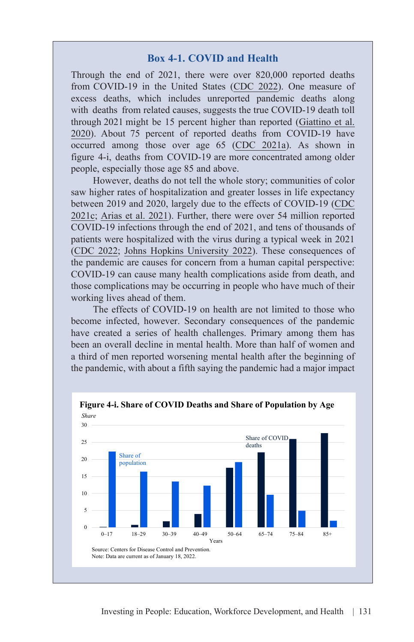#### **Box 4-1. COVID and Health**

Through the end of 2021, there were over 820,000 reported deaths from COVID-19 in the United States ([CDC 2022](https://covid.cdc.gov/covid-data-tracker/#trends_totaldeaths)). One measure of excess deaths, which includes unreported pandemic deaths along with deaths from related causes, suggests the true COVID-19 death toll through 2021 might be 15 percent higher than reported (Giattino et al. [2020\). About 75 percent of reported deaths from COVID-19 have](https://ourworldindata.org/excess-mortality-covid)  occurred among those over age 65 ([CDC 2021a](https://data.cdc.gov/NCHS/Provisional-COVID-19-Deaths-by-Sex-and-Age/9bhg-hcku)). As shown in figure 4-i, deaths from COVID-19 are more concentrated among older people, especially those age 85 and above.

However, deaths do not tell the whole story; communities of color saw higher rates of hospitalization and greater losses in life expectancy between 2019 and 2020, largely due to the effects of COVID-19 ([CDC](https://www.cdc.gov/coronavirus/2019-ncov/community/health-equity/racial-ethnic-disparities/disparities-hospitalization.html) [2021c;](https://www.cdc.gov/coronavirus/2019-ncov/community/health-equity/racial-ethnic-disparities/disparities-hospitalization.html) [Arias et al. 2021\)](https://www.cdc.gov/nchs/data/vsrr/VSRR10-508.pdf). Further, there were over 54 million reported COVID-19 infections through the end of 2021, and tens of thousands of patients were hospitalized with the virus during a typical week in 2021 (CDC 2022; [Johns Hopkins University 2022\)](https://coronavirus.jhu.edu/region/united-states). These consequences of the pandemic are causes for concern from a human capital perspective: COVID-19 can cause many health complications aside from death, and those complications may be occurring in people who have much of their working lives ahead of them.

The effects of COVID-19 on health are not limited to those who become infected, however. Secondary consequences of the pandemic have created a series of health challenges. Primary among them has been an overall decline in mental health. More than half of women and a third of men reported worsening mental health after the beginning of the pandemic, with about a fifth saying the pandemic had a major impact



**Figure 4-i. Share of COVID Deaths and Share of Population by Age**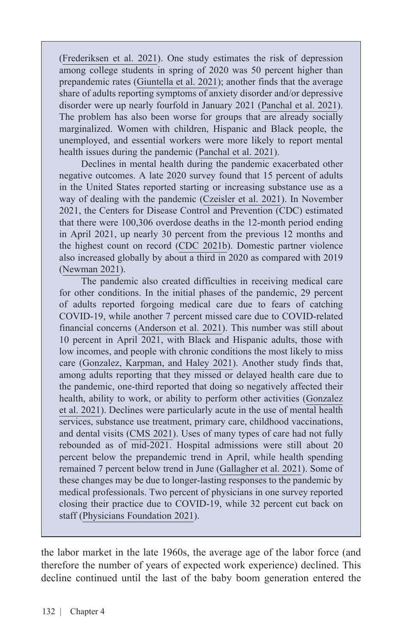([Frederiksen et al. 2021\)](https://www.kff.org/womens-health-policy/issue-%20%20brief/womens-experiences-with-health-care-during-the-covid-19-pandemic-findings-from-the-kff-womens-health-survey/). One study estimates the risk of depression among college students in spring of 2020 was 50 percent higher than prepandemic rates ([Giuntella et al. 2021](https://www.pnas.org/doi/10.1073/pnas.2016632118)); another finds that the average share of adults reporting symptoms of anxiety disorder and/or depressive disorder were up nearly fourfold in January 2021 ([Panchal et al. 2021\)](https://www.kff.org/coronavirus-covid-19/issue-brief/the-implications-of-covid-19-for-mental-health-and-substance-use/). The problem has also been worse for groups that are already socially marginalized. Women with children, Hispanic and Black people, the unemployed, and essential workers were more likely to report mental health issues during the pandemic [\(Panchal et al. 2021\)](https://www.kff.org/coronavirus-covid-19/issue-brief/the-implications-of-covid-19-for-mental-health-and-substance-use/).

Declines in mental health during the pandemic exacerbated other negative outcomes. A late 2020 survey found that 15 percent of adults in the United States reported starting or increasing substance use as a way of dealing with the pandemic [\(Czeisler et al. 2021](https://jamanetwork.com/journals/jamanetworkopen/fullarticle/2776559)). In November 2021, the Centers for Disease Control and Prevention (CDC) estimated that there were 100,306 overdose deaths in the 12-month period ending in April 2021, up nearly 30 percent from the previous 12 months and the highest count on record ([CDC 2021b](https://www.cdc.gov/nchs/pressroom/nchs_press_releases/2021/20211117.htm)). Domestic partner violence also increased globally by about a third in 2020 as compared with 2019 ([Newman 2021\)](https://www.uab.edu/news/health/item/12390-the-pandemic-is-increasing-intimate-partner-violence-here-is-how-health-care-providers-can-help).

The pandemic also created difficulties in receiving medical care for other conditions. In the initial phases of the pandemic, 29 percent of adults reported forgoing medical care due to fears of catching COVID-19, while another 7 percent missed care due to COVID-related financial concerns [\(Anderson et al. 2021\)](https://jamanetwork.com/journals/jamanetworkopen/fullarticle/2775366). This number was still about 10 percent in April 2021, with Black and Hispanic adults, those with low incomes, and people with chronic conditions the most likely to miss care [\(Gonzalez, Karpman, and Haley 2021\)](https://www.rwjf.org/en/library/research/2021/08/coronavirus-concerns-led-more-than-1-in-10-nonelderly-adults-to-delay-or-forgo-health-care-in-spring-2021.html). Another study finds that, among adults reporting that they missed or delayed health care due to the pandemic, one-third reported that doing so negatively affected their health, ability to work, or ability to perform other activities ([Gonzalez](https://www.urban.org/sites/default/files/publication/103651/delayed-and-forgone-health-care-for-nonelderly-adults-during-the-covid-19-pandemic_1.pdf) [et al. 2021\)](https://www.urban.org/sites/default/files/publication/103651/delayed-and-forgone-health-care-for-nonelderly-adults-during-the-covid-19-pandemic_1.pdf). Declines were particularly acute in the use of mental health services, substance use treatment, primary care, childhood vaccinations, and dental visits [\(CMS 2021](https://www.cms.gov/newsroom/press-releases/cms-data-shows-vulnerable-americans-forgoing-mental-health-care-during-covid-19-pandemic)). Uses of many types of care had not fully rebounded as of mid-2021. Hospital admissions were still about 20 percent below the prepandemic trend in April, while health spending remained 7 percent below trend in June [\(Gallagher et al. 2021](https://www.healthsystemtracker.org/brief/early-2021-data-show-no-rebound-in-health-care-utilization)). Some of these changes may be due to longer-lasting responses to the pandemic by medical professionals. Two percent of physicians in one survey reported closing their practice due to COVID-19, while 32 percent cut back on staff [\(Physicians Foundation 2021](https://physiciansfoundation.org/wp-content/uploads/2021/08/2021-Survey-Of-Americas-Physicians-Covid-19-Impact-Edition-A-Year-Later.pdf)).

the labor market in the late 1960s, the average age of the labor force (and therefore the number of years of expected work experience) declined. This decline continued until the last of the baby boom generation entered the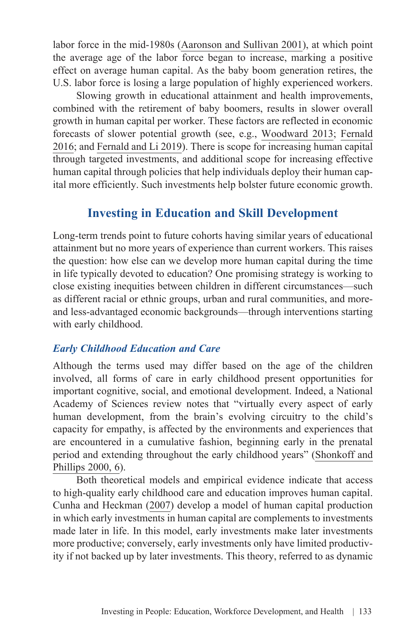labor force in the mid-1980s [\(Aaronson and Sullivan 2001](https://www.chicagofed.org/publications/economic-perspectives/2001/4qepart5)), at which point the average age of the labor force began to increase, marking a positive effect on average human capital. As the baby boom generation retires, the U.S. labor force is losing a large population of highly experienced workers.

Slowing growth in educational attainment and health improvements, combined with the retirement of baby boomers, results in slower overall growth in human capital per worker. These factors are reflected in economic forecasts of slower potential growth (see, e.g., [Woodward 2013;](https://www.bls.gov/opub/mlr/2013/article/the-u-s-economy-to-2022-settling-into-a-new-normal.htm) [Fernald](https://doi.org/10.24148/wp2016-18) [2016;](https://doi.org/10.24148/wp2016-18) and [Fernald and Li 2019\)](https://www.frbsf.org/economic-research/publications/economic-letter/2019/june/is-slow-still-new-normal-for-gdp-growth/). There is scope for increasing human capital through targeted investments, and additional scope for increasing effective human capital through policies that help individuals deploy their human capital more efficiently. Such investments help bolster future economic growth.

### **Investing in Education and Skill Development**

Long-term trends point to future cohorts having similar years of educational attainment but no more years of experience than current workers. This raises the question: how else can we develop more human capital during the time in life typically devoted to education? One promising strategy is working to close existing inequities between children in different circumstances—such as different racial or ethnic groups, urban and rural communities, and moreand less-advantaged economic backgrounds—through interventions starting with early childhood.

#### *Early Childhood Education and Care*

Although the terms used may differ based on the age of the children involved, all forms of care in early childhood present opportunities for important cognitive, social, and emotional development. Indeed, a National Academy of Sciences review notes that "virtually every aspect of early human development, from the brain's evolving circuitry to the child's capacity for empathy, is affected by the environments and experiences that are encountered in a cumulative fashion, beginning early in the prenatal period and extending throughout the early childhood years" [\(Shonkoff and](https://www.nap.edu/catalog/9824/from-neurons-to-neighborhoods-the-science-of-early-childhood-development) [Phillips 2000, 6](https://www.nap.edu/catalog/9824/from-neurons-to-neighborhoods-the-science-of-early-childhood-development)).

Both theoretical models and empirical evidence indicate that access to high-quality early childhood care and education improves human capital. [Cunha and Heckman \(2007\)](https://www.aeaweb.org/articles?id=10.1257/aer.97.2.31) develop a model of human capital production in which early investments in human capital are complements to investments made later in life. In this model, early investments make later investments more productive; conversely, early investments only have limited productivity if not backed up by later investments. This theory, referred to as dynamic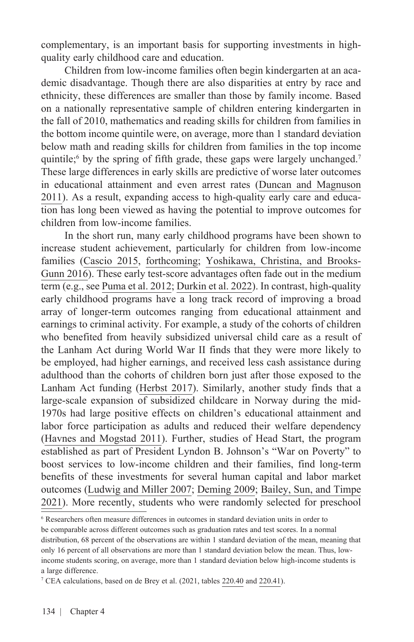complementary, is an important basis for supporting investments in highquality early childhood care and education.

Children from low-income families often begin kindergarten at an academic disadvantage. Though there are also disparities at entry by race and ethnicity, these differences are smaller than those by family income. Based on a nationally representative sample of children entering kindergarten in the fall of 2010, mathematics and reading skills for children from families in the bottom income quintile were, on average, more than 1 standard deviation below math and reading skills for children from families in the top income quintile;<sup>6</sup> by the spring of fifth grade, these gaps were largely unchanged.<sup>7</sup> These large differences in early skills are predictive of worse later outcomes in educational attainment and even arrest rates [\(Duncan and Magnuson](https://www.russellsage.org/publications/whither-opportunity)  [2011\)](https://www.russellsage.org/publications/whither-opportunity). As a result, expanding access to high-quality early care and education has long been viewed as having the potential to improve outcomes for children from low-income families.

In the short run, many early childhood programs have been shown to increase student achievement, particularly for children from low-income families [\(Cascio 2015](https://wol.iza.org/uploads/articles/116/pdfs/promises-and-pitfalls-of-universal-early-education.pdf?v=1), [forthcoming](http://jhr.uwpress.org/content/early/2021/01/04/jhr.58.3.0220-10728R1.abstract); [Yoshikawa, Christina, and Brooks-](https://www.jstor.org/stable/43940579?seq=1)[Gunn 2016\)](https://www.jstor.org/stable/43940579?seq=1). These early test-score advantages often fade out in the medium term (e.g., see [Puma et al. 2012](https://files.eric.ed.gov/fulltext/ED539264.pdf); [Durkin et al. 2022\)](https://doi.apa.org/doi/10.1037/dev0001301). In contrast, high-quality early childhood programs have a long track record of improving a broad array of longer-term outcomes ranging from educational attainment and earnings to criminal activity. For example, a study of the cohorts of children who benefited from heavily subsidized universal child care as a result of the Lanham Act during World War II finds that they were more likely to be employed, had higher earnings, and received less cash assistance during adulthood than the cohorts of children born just after those exposed to the Lanham Act funding [\(Herbst 2017\)](https://www.journals.uchicago.edu/doi/full/10.1086/689478). Similarly, another study finds that a large-scale expansion of subsidized childcare in Norway during the mid-1970s had large positive effects on children's educational attainment and labor force participation as adults and reduced their welfare dependency ([Havnes and Mogstad 2011](https://www.aeaweb.org/articles?id=10.1257/pol.3.2.97)). Further, studies of Head Start, the program established as part of President Lyndon B. Johnson's "War on Poverty" to boost services to low-income children and their families, find long-term benefits of these investments for several human capital and labor market outcomes ([Ludwig and Miller 2007;](https://academic.oup.com/qje/article/122/1/159/1924719?login=true) [Deming 2009;](https://www.aeaweb.org/articles?id=10.1257/app.1.3.111) [Bailey, Sun, and Timpe](https://www.aeaweb.org/articles?id=10.1257/aer.20181801)  [2021\)](https://www.aeaweb.org/articles?id=10.1257/aer.20181801). More recently, students who were randomly selected for preschool

<sup>6</sup> Researchers often measure differences in outcomes in standard deviation units in order to be comparable across different outcomes such as graduation rates and test scores. In a normal distribution, 68 percent of the observations are within 1 standard deviation of the mean, meaning that only 16 percent of all observations are more than 1 standard deviation below the mean. Thus, lowincome students scoring, on average, more than 1 standard deviation below high-income students is a large difference.

<sup>&</sup>lt;sup>7</sup> CEA calculations, based on de Brey et al. (2021, tables [220.40](https://nces.ed.gov/programs/digest/d19/tables/dt19_220.40.asp?current=yes) and [220.41\)](https://nces.ed.gov/programs/digest/d19/tables/dt19_220.41.asp?current=yes).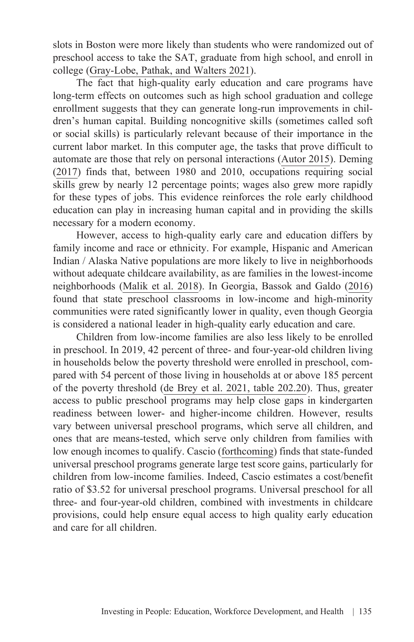slots in Boston were more likely than students who were randomized out of preschool access to take the SAT, graduate from high school, and enroll in college ([Gray-Lobe, Pathak, and Walters 2021\)](https://www.nber.org/papers/w28756).

The fact that high-quality early education and care programs have long-term effects on outcomes such as high school graduation and college enrollment suggests that they can generate long-run improvements in children's human capital. Building noncognitive skills (sometimes called soft or social skills) is particularly relevant because of their importance in the current labor market. In this computer age, the tasks that prove difficult to automate are those that rely on personal interactions [\(Autor 2015](https://www.aeaweb.org/articles?id=10.1257/jep.29.3.3)). [Deming](https://academic.oup.com/qje/article/132/4/1593/3861633?login=true) [\(2017\)](https://academic.oup.com/qje/article/132/4/1593/3861633?login=true) finds that, between 1980 and 2010, occupations requiring social skills grew by nearly 12 percentage points; wages also grew more rapidly for these types of jobs. This evidence reinforces the role early childhood education can play in increasing human capital and in providing the skills necessary for a modern economy.

However, access to high-quality early care and education differs by family income and race or ethnicity. For example, Hispanic and American Indian / Alaska Native populations are more likely to live in neighborhoods without adequate childcare availability, as are families in the lowest-income neighborhoods [\(Malik et al. 2018\)](https://www.americanprogress.org/article/americas-child-care-deserts-2018/). In Georgia, [Bassok and Galdo \(2016\)](https://www.tandfonline.com/doi/abs/10.1080/10409289.2015.1057463) found that state preschool classrooms in low-income and high-minority communities were rated significantly lower in quality, even though Georgia is considered a national leader in high-quality early education and care.

Children from low-income families are also less likely to be enrolled in preschool. In 2019, 42 percent of three- and four-year-old children living in households below the poverty threshold were enrolled in preschool, compared with 54 percent of those living in households at or above 185 percent of the poverty threshold [\(de Brey et al. 2021, table 202.20](https://nces.ed.gov/programs/digest/d19/tables/dt19_220.20.asp?current=yes)). Thus, greater access to public preschool programs may help close gaps in kindergarten readiness between lower- and higher-income children. However, results vary between universal preschool programs, which serve all children, and ones that are means-tested, which serve only children from families with low enough incomes to qualify. [Cascio \(forthcoming\)](http://jhr.uwpress.org/content/early/2021/01/04/jhr.58.3.0220-10728R1.abstract) finds that state-funded universal preschool programs generate large test score gains, particularly for children from low-income families. Indeed, Cascio estimates a cost/benefit ratio of \$3.52 for universal preschool programs. Universal preschool for all three- and four-year-old children, combined with investments in childcare provisions, could help ensure equal access to high quality early education and care for all children.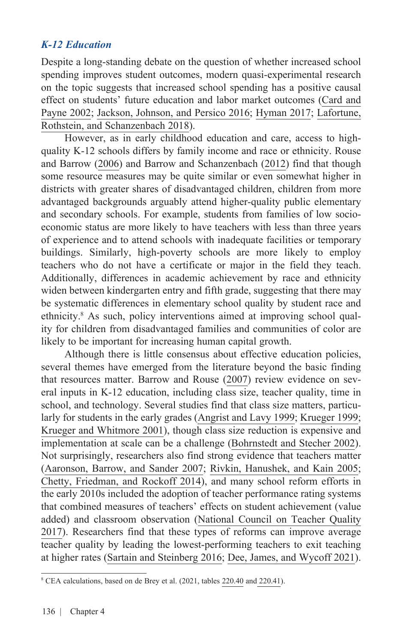### *K-12 Education*

Despite a long-standing debate on the question of whether increased school spending improves student outcomes, modern quasi-experimental research on the topic suggests that increased school spending has a positive causal effect on students' future education and labor market outcomes ([Card and](https://www.sciencedirect.com/science/article/pii/S0047272700001778) [Payne 2002;](https://www.sciencedirect.com/science/article/pii/S0047272700001778) [Jackson, Johnson, and Persico 2016](https://academic.oup.com/qje/article/131/1/157/2461148); [Hyman 2017;](https://www.aeaweb.org/articles?id=10.1257/pol.20150249) [Lafortune,](https://www.aeaweb.org/articles?id=10.1257/app.20160567) [Rothstein, and Schanzenbach 2018](https://www.aeaweb.org/articles?id=10.1257/app.20160567)).

However, as in early childhood education and care, access to highquality K-12 schools differs by family income and race or ethnicity. [Rouse](https://eaop.ucsd.edu/198/achievement-gap/Equalizing%20Opportunity%20or%20Replicating%20the%20Status%20Quo.pdf) [and Barrow \(2006\)](https://eaop.ucsd.edu/198/achievement-gap/Equalizing%20Opportunity%20or%20Replicating%20the%20Status%20Quo.pdf) and [Barrow and Schanzenbach \(2012\)](https://www.oxfordhandbooks.com/view/10.1093/oxfordhb/9780195393781.001.0001/oxfordhb-9780195393781-e-10) find that though some resource measures may be quite similar or even somewhat higher in districts with greater shares of disadvantaged children, children from more advantaged backgrounds arguably attend higher-quality public elementary and secondary schools. For example, students from families of low socioeconomic status are more likely to have teachers with less than three years of experience and to attend schools with inadequate facilities or temporary buildings. Similarly, high-poverty schools are more likely to employ teachers who do not have a certificate or major in the field they teach. Additionally, differences in academic achievement by race and ethnicity widen between kindergarten entry and fifth grade, suggesting that there may be systematic differences in elementary school quality by student race and ethnicity.8 As such, policy interventions aimed at improving school quality for children from disadvantaged families and communities of color are likely to be important for increasing human capital growth.

Although there is little consensus about effective education policies, several themes have emerged from the literature beyond the basic finding that resources matter. [Barrow and Rouse \(2007\)](https://www.taylorfrancis.com/chapters/edit/10.4324/9781003064466-11/causality-causality-causality-view-education-inputs-outputs-economics-lisa-barrow-cecilia-elena-rouse) review evidence on several inputs in K-12 education, including class size, teacher quality, time in school, and technology. Several studies find that class size matters, particularly for students in the early grades [\(Angrist and Lavy 1999](https://academic.oup.com/qje/article/114/2/533/1844228?login=true); [Krueger 1999](https://academic.oup.com/qje/article/114/2/497/1844226?login=true); [Krueger and Whitmore 2001](https://www.jstor.org/stable/2667840?seq=1)), though class size reduction is expensive and implementation at scale can be a challenge [\(Bohrnstedt and Stecher 2002\)](https://eric.ed.gov/?id=ED471331). Not surprisingly, researchers also find strong evidence that teachers matter (Aaronson, Barrow, and Sander 2007; [Rivkin, Hanushek, and Kain 2005](https://onlinelibrary.wiley.com/doi/abs/10.1111/j.1468-0262.2005.00584.x); [Chetty, Friedman, and Rockoff 2014\)](https://www.aeaweb.org/articles?id=10.1257/aer.104.9.2593), and many school reform efforts in the early 2010s included the adoption of teacher performance rating systems that combined measures of teachers' effects on student achievement (value added) and classroom observation [\(National Council on Teacher Quality](https://www.nctq.org/policy-area/Evaluation) [2017\)](https://www.nctq.org/policy-area/Evaluation). Researchers find that these types of reforms can improve average teacher quality by leading the lowest-performing teachers to exit teaching at higher rates ([Sartain and Steinberg 2016;](http://jhr.uwpress.org/content/51/3/615.short) [Dee, James, and Wycoff 2021\)](https://direct.mit.edu/edfp/article-abstract/16/2/313/97155/Is-Effective-Teacher-Evaluation-Sustainable).

<sup>8</sup> CEA calculations, based on de Brey et al. (2021, tables [220.40](https://nces.ed.gov/programs/digest/d19/tables/dt19_220.40.asp?current=yes) and [220.41\)](https://nces.ed.gov/programs/digest/d19/tables/dt19_220.41.asp?current=yes).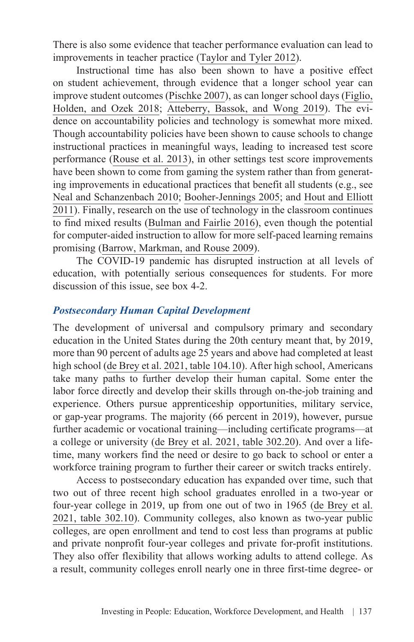There is also some evidence that teacher performance evaluation can lead to improvements in teacher practice [\(Taylor and Tyler 2012](https://www.aeaweb.org/articles?id=10.1257/aer.102.7.3628)).

Instructional time has also been shown to have a positive effect on student achievement, through evidence that a longer school year can improve student outcomes ([Pischke 2007\)](https://academic.oup.com/ej/article-abstract/117/523/1216/5086553), as can longer school days ([Figlio,](https://doi.org/10.1016/j.econedurev.2018.06.003)  [Holden, and Ozek 2018;](https://doi.org/10.1016/j.econedurev.2018.06.003) [Atteberry, Bassok, and Wong 2019](https://journals.sagepub.com/doi/abs/10.3102/0162373719872197)). The evidence on accountability policies and technology is somewhat more mixed. Though accountability policies have been shown to cause schools to change instructional practices in meaningful ways, leading to increased test score performance [\(Rouse et al. 2013\)](https://www.aeaweb.org/articles?id=10.1257/pol.5.2.251), in other settings test score improvements have been shown to come from gaming the system rather than from generating improvements in educational practices that benefit all students (e.g., see [Neal and Schanzenbach 2010](https://direct.mit.edu/rest/article/92/2/263/58591/Left-Behind-by-Design-Proficiency-Counts-and-Test); [Booher-Jennings 2005;](https://journals.sagepub.com/doi/abs/10.3102/00028312042002231) and [Hout and Elliott](https://www.jstor.org/stable/43315692)  [2011\)](https://www.jstor.org/stable/43315692). Finally, research on the use of technology in the classroom continues to find mixed results [\(Bulman and Fairlie 2016\)](https://www.sciencedirect.com/science/article/abs/pii/B9780444634597000051), even though the potential for computer-aided instruction to allow for more self-paced learning remains promising [\(Barrow, Markman, and Rouse 2009](https://www.aeaweb.org/articles?id=10.1257/pol.1.1.52)).

The COVID-19 pandemic has disrupted instruction at all levels of education, with potentially serious consequences for students. For more discussion of this issue, see box 4-2.

#### *Postsecondary Human Capital Development*

The development of universal and compulsory primary and secondary education in the United States during the 20th century meant that, by 2019, more than 90 percent of adults age 25 years and above had completed at least high school [\(de Brey et al. 2021, table 104.10\)](https://nces.ed.gov/programs/digest/d20/tables/dt20_104.10.asp?current=yes). After high school, Americans take many paths to further develop their human capital. Some enter the labor force directly and develop their skills through on-the-job training and experience. Others pursue apprenticeship opportunities, military service, or gap-year programs. The majority (66 percent in 2019), however, pursue further academic or vocational training—including certificate programs—at a college or university [\(de Brey et al. 2021, table 302.20\)](https://nces.ed.gov/programs/digest/d21/tables/dt21_302.20.asp?current=yes). And over a lifetime, many workers find the need or desire to go back to school or enter a workforce training program to further their career or switch tracks entirely.

Access to postsecondary education has expanded over time, such that two out of three recent high school graduates enrolled in a two-year or four-year college in 2019, up from one out of two in 1965 ([de Brey et al.](https://nces.ed.gov/programs/digest/d21/tables/dt21_302.10.asp?current=yes) [2021, table 302.10\)](https://nces.ed.gov/programs/digest/d21/tables/dt21_302.10.asp?current=yes). Community colleges, also known as two-year public colleges, are open enrollment and tend to cost less than programs at public and private nonprofit four-year colleges and private for-profit institutions. They also offer flexibility that allows working adults to attend college. As a result, community colleges enroll nearly one in three first-time degree- or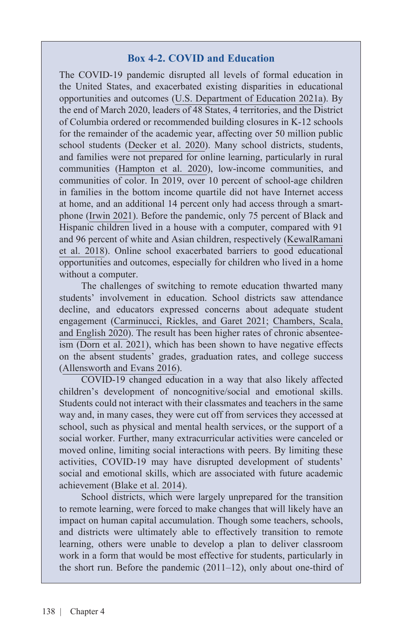#### **Box 4-2. COVID and Education**

The COVID-19 pandemic disrupted all levels of formal education in the United States, and exacerbated existing disparities in educational opportunities and outcomes ([U.S. Department of Education 2021a\)](https://www2.ed.gov/about/offices/list/ocr/docs/20210608-impacts-of-covid19.pdf). By the end of March 2020, leaders of 48 States, 4 territories, and the District of Columbia ordered or recommended building closures in K-12 schools for the remainder of the academic year, affecting over 50 million public school students [\(Decker et al. 2020](https://www.edweek.org/leadership/the-coronavirus-spring-the-historic-closing-of-u-s-schools-a-timeline/2020/07)). Many school districts, students, and families were not prepared for online learning, particularly in rural communities [\(Hampton et al. 2020\)](https://quello.msu.edu/wp-content/uploads/2020/03/Broadband_Gap_Quello_Report_MSU.pdf), low-income communities, and communities of color. In 2019, over 10 percent of school-age children in families in the bottom income quartile did not have Internet access at home, and an additional 14 percent only had access through a smartphone [\(Irwin 2021\)](https://nces.ed.gov/blogs/nces/post/students-internet-access-before-and-during-the-coronavirus-pandemic-by-household-socioeconomic-status). Before the pandemic, only 75 percent of Black and Hispanic children lived in a house with a computer, compared with 91 and 96 percent of white and Asian children, respectively [\(KewalRamani](https://files.eric.ed.gov/fulltext/ED581891.pdf)  [et al. 2018\)](https://files.eric.ed.gov/fulltext/ED581891.pdf). Online school exacerbated barriers to good educational opportunities and outcomes, especially for children who lived in a home without a computer.

The challenges of switching to remote education thwarted many students' involvement in education. School districts saw attendance decline, and educators expressed concerns about adequate student engagement [\(Carminucci, Rickles, and Garet 2021;](https://www.air.org/sites/default/files/2021-07/research-brief-covid-survey-student-attendance-june-2021_0.pdf) [Chambers, Scala,](https://insightpolicyresearch.com/wp-content/uploads/2020/08/NSAES_COVID19_Whitepaper_Final_508.pdf)  [and English 2020\)](https://insightpolicyresearch.com/wp-content/uploads/2020/08/NSAES_COVID19_Whitepaper_Final_508.pdf). The result has been higher rates of chronic absenteeism ([Dorn et al. 2021\)](https://www.mckinsey.com/industries/education/our-insights/covid-19-and-education-the-lingering-effects-of-unfinished-learning), which has been shown to have negative effects on the absent students' grades, graduation rates, and college success ([Allensworth and Evans 2016](https://journals.sagepub.com/doi/abs/10.1177/0031721716671900?journalCode=pdka)).

COVID-19 changed education in a way that also likely affected children's development of noncognitive/social and emotional skills. Students could not interact with their classmates and teachers in the same way and, in many cases, they were cut off from services they accessed at school, such as physical and mental health services, or the support of a social worker. Further, many extracurricular activities were canceled or moved online, limiting social interactions with peers. By limiting these activities, COVID-19 may have disrupted development of students' social and emotional skills, which are associated with future academic achievement [\(Blake et al. 2014\)](http://www.bu.edu/cdl/files/2014/11/Blake_etal_2014_JEBO.pdf).

School districts, which were largely unprepared for the transition to remote learning, were forced to make changes that will likely have an impact on human capital accumulation. Though some teachers, schools, and districts were ultimately able to effectively transition to remote learning, others were unable to develop a plan to deliver classroom work in a form that would be most effective for students, particularly in the short run. Before the pandemic (2011–12), only about one-third of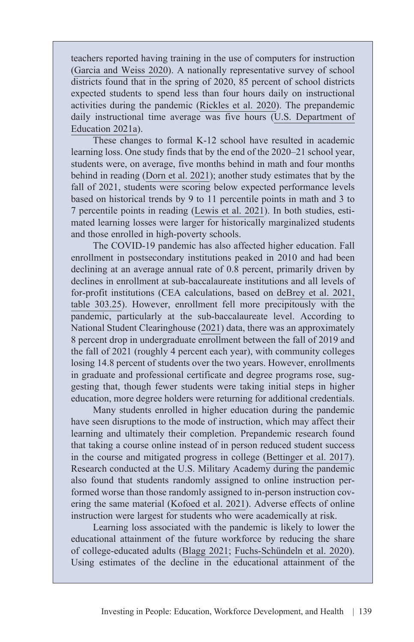teachers reported having training in the use of computers for instruction ([Garcia and Weiss 2020\)](https://files.epi.org/pdf/205622.pdf). A nationally representative survey of school districts found that in the spring of 2020, 85 percent of school districts expected students to spend less than four hours daily on instructional activities during the pandemic ([Rickles et al. 2020](https://www.air.org/sites/default/files/COVID-Survey-Approaches-to-Remote-Instruction-FINAL-Oct-2020.pdf)). The prepandemic daily instructional time average was five hours [\(U.S. Department of](https://www2.ed.gov/about/offices/list/ocr/docs/20210608-impacts-of-covid19.pdf)  [Education 2021a](https://www2.ed.gov/about/offices/list/ocr/docs/20210608-impacts-of-covid19.pdf)).

These changes to formal K-12 school have resulted in academic learning loss. One study finds that by the end of the 2020–21 school year, students were, on average, five months behind in math and four months behind in reading ([Dorn et al. 2021](https://www.mckinsey.com/industries/education/our-insights/covid-19-and-education-the-lingering-effects-of-unfinished-learning)); another study estimates that by the fall of 2021, students were scoring below expected performance levels based on historical trends by 9 to 11 percentile points in math and 3 to 7 percentile points in reading ([Lewis et al. 2021\)](https://www.nwea.org/content/uploads/2021/07/Learning-during-COVID-19-Reading-and-math-achievement-in-the-2020-2021-school-year.research-brief.pdf). In both studies, estimated learning losses were larger for historically marginalized students and those enrolled in high-poverty schools.

The COVID-19 pandemic has also affected higher education. Fall enrollment in postsecondary institutions peaked in 2010 and had been declining at an average annual rate of 0.8 percent, primarily driven by declines in enrollment at sub-baccalaureate institutions and all levels of for-profit institutions (CEA calculations, based on [deBrey et al. 2021,](https://nces.ed.gov/programs/digest/d20/tables/dt20_303.25.asp?current=yes)  [table 303.25](https://nces.ed.gov/programs/digest/d20/tables/dt20_303.25.asp?current=yes)). However, enrollment fell more precipitously with the pandemic, particularly at the sub-baccalaureate level. According to [National Student Clearinghouse \(2021\)](https://nscresearchcenter.org/stay-informed/) data, there was an approximately 8 percent drop in undergraduate enrollment between the fall of 2019 and the fall of 2021 (roughly 4 percent each year), with community colleges losing 14.8 percent of students over the two years. However, enrollments in graduate and professional certificate and degree programs rose, suggesting that, though fewer students were taking initial steps in higher education, more degree holders were returning for additional credentials.

Many students enrolled in higher education during the pandemic have seen disruptions to the mode of instruction, which may affect their learning and ultimately their completion. Prepandemic research found that taking a course online instead of in person reduced student success in the course and mitigated progress in college [\(Bettinger et al. 2017\)](https://pubs.aeaweb.org/doi/pdfplus/10.1257/aer.20151193). Research conducted at the U.S. Military Academy during the pandemic also found that students randomly assigned to online instruction performed worse than those randomly assigned to in-person instruction covering the same material [\(Kofoed et al. 2021\)](https://papers.ssrn.com/sol3/papers.cfm?abstract_id=3846700). Adverse effects of online instruction were largest for students who were academically at risk.

Learning loss associated with the pandemic is likely to lower the educational attainment of the future workforce by reducing the share of college-educated adults [\(Blagg 2021;](https://www.urban.org/sites/default/files/publication/103549/the-effect-of-covid-19-learning-loss-on-adult-outcomes.pdf) [Fuchs-Schündeln et al. 2020\)](https://www.nber.org/system/files/working_papers/w27773/w27773.pdf). Using estimates of the decline in the educational attainment of the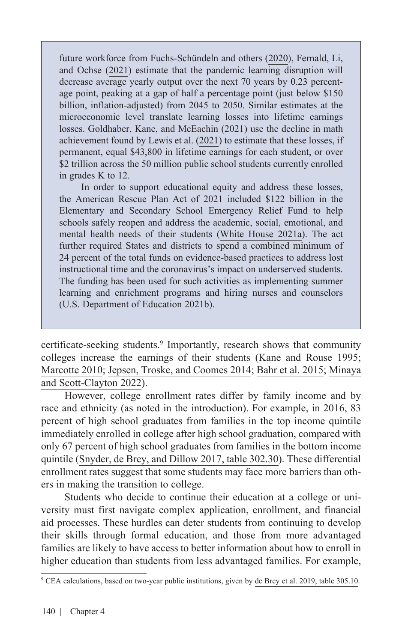future workforce from Fuchs-Schündeln and others [\(2020](https://www.nber.org/system/files/working_papers/w27773/w27773.pdf)), [Fernald, Li,](https://www.frbsf.org/economic-research/publications/economic-letter/2021/february/future-output-loss-from-covid-induced-school-closures/) [and Ochse \(2021\)](https://www.frbsf.org/economic-research/publications/economic-letter/2021/february/future-output-loss-from-covid-induced-school-closures/) estimate that the pandemic learning disruption will decrease average yearly output over the next 70 years by 0.23 percentage point, peaking at a gap of half a percentage point (just below \$150 billion, inflation-adjusted) from 2045 to 2050. Similar estimates at the microeconomic level translate learning losses into lifetime earnings losses. [Goldhaber, Kane, and McEachin \(2021\)](https://www.the74million.org/article/analysis-pandemic-learning-loss-could-cost-u-s-students-2-trillion-in-lifetime-earnings-what-states-schools-can-do-to-avert-this-crisis/) use the decline in math achievement found by [Lewis et al. \(2021\)](https://www.nwea.org/content/uploads/2021/07/Learning-during-COVID-19-Reading-and-math-achievement-in-the-2020-2021-school-year.research-brief.pdf) to estimate that these losses, if permanent, equal \$43,800 in lifetime earnings for each student, or over \$2 trillion across the 50 million public school students currently enrolled in grades K to 12.

In order to support educational equity and address these losses, the American Rescue Plan Act of 2021 included \$122 billion in the Elementary and Secondary School Emergency Relief Fund to help schools safely reopen and address the academic, social, emotional, and mental health needs of their students ([White House 2021a](https://www.whitehouse.gov/briefing-room/statements-releases/2021/07/23/fact-sheet-how-the-biden-harris-administration-is-advancing-educational-equity/)). The act further required States and districts to spend a combined minimum of 24 percent of the total funds on evidence-based practices to address lost instructional time and the coronavirus's impact on underserved students. The funding has been used for such activities as implementing summer learning and enrichment programs and hiring nurses and counselors ([U.S. Department of Education 2021b\)](https://oese.ed.gov/offices/american-rescue-plan/american-rescue-plan-elementary-and-secondary-school-emergency-relief/stateplans/).

certificate-seeking students.<sup>9</sup> Importantly, research shows that community colleges increase the earnings of their students [\(Kane and Rouse 1995](https://www.jstor.org/stable/2118190?refreqid=excelsior%3Abe1e2f55b31563df514de61685c97797&seq=1); [Marcotte 2010;](https://onlinelibrary.wiley.com/doi/10.1111/j.1465-7287.2009.00173.x) [Jepsen, Troske, and Coomes 2014;](https://www.jstor.org/stable/10.1086/671809?seq=1) [Bahr et al. 2015;](https://capseecenter.org/labor-market-returns-michigan/) [Minaya](https://doi.org/10.1162/edfp_a_00325)  [and Scott-Clayton 2022\)](https://doi.org/10.1162/edfp_a_00325).

However, college enrollment rates differ by family income and by race and ethnicity (as noted in the introduction). For example, in 2016, 83 percent of high school graduates from families in the top income quintile immediately enrolled in college after high school graduation, compared with only 67 percent of high school graduates from families in the bottom income quintile ([Snyder, de Brey, and Dillow 2017, table 302.30\)](https://nces.ed.gov/programs/digest/d17/tables/dt17_302.30.asp). These differential enrollment rates suggest that some students may face more barriers than others in making the transition to college.

Students who decide to continue their education at a college or university must first navigate complex application, enrollment, and financial aid processes. These hurdles can deter students from continuing to develop their skills through formal education, and those from more advantaged families are likely to have access to better information about how to enroll in higher education than students from less advantaged families. For example,

<sup>9</sup> CEA calculations, based on two-year public institutions, given by [de Brey et al. 2019, table 305.10.](https://nces.ed.gov/programs/digest/d20/tables/dt20_305.10.asp?current=yes)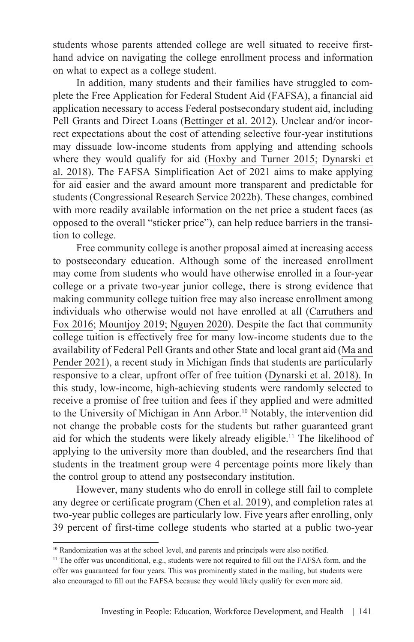students whose parents attended college are well situated to receive firsthand advice on navigating the college enrollment process and information on what to expect as a college student.

In addition, many students and their families have struggled to complete the Free Application for Federal Student Aid (FAFSA), a financial aid application necessary to access Federal postsecondary student aid, including Pell Grants and Direct Loans [\(Bettinger et al. 2012\)](https://academic.oup.com/qje/article/127/3/1205/1921970?login=true). Unclear and/or incorrect expectations about the cost of attending selective four-year institutions may dissuade low-income students from applying and attending schools where they would qualify for aid ([Hoxby and Turner 2015;](https://www.aeaweb.org/articles?id=10.1257/aer.p20151027) [Dynarski et](https://www.nber.org/papers/w25349) [al. 2018\)](https://www.nber.org/papers/w25349). The FAFSA Simplification Act of 2021 aims to make applying for aid easier and the award amount more transparent and predictable for students [\(Congressional Research Service 2022b](https://crsreports.congress.gov/product/pdf/R/R46909)). These changes, combined with more readily available information on the net price a student faces (as opposed to the overall "sticker price"), can help reduce barriers in the transition to college.

Free community college is another proposal aimed at increasing access to postsecondary education. Although some of the increased enrollment may come from students who would have otherwise enrolled in a four-year college or a private two-year junior college, there is strong evidence that making community college tuition free may also increase enrollment among individuals who otherwise would not have enrolled at all [\(Carruthers and](https://www.sciencedirect.com/science/article/abs/pii/S0272775715000771?via%3Dihub) [Fox 2016](https://www.sciencedirect.com/science/article/abs/pii/S0272775715000771?via%3Dihub); [Mountjoy 2019](https://www.nber.org/papers/w29254); [Nguyen 2020\)](https://www.sciencedirect.com/science/article/abs/pii/S0927537120300865). Despite the fact that community college tuition is effectively free for many low-income students due to the availability of Federal Pell Grants and other State and local grant aid [\(Ma and](https://research.collegeboard.org/media/pdf/trends-college-pricing-student-aid-2021.pdf) [Pender 2021](https://research.collegeboard.org/media/pdf/trends-college-pricing-student-aid-2021.pdf)), a recent study in Michigan finds that students are particularly responsive to a clear, upfront offer of free tuition [\(Dynarski et al. 2018\).](https://www.nber.org/papers/w25349) In this study, low-income, high-achieving students were randomly selected to receive a promise of free tuition and fees if they applied and were admitted to the University of Michigan in Ann Arbor.<sup>10</sup> Notably, the intervention did not change the probable costs for the students but rather guaranteed grant aid for which the students were likely already eligible.11 The likelihood of applying to the university more than doubled, and the researchers find that students in the treatment group were 4 percentage points more likely than the control group to attend any postsecondary institution.

However, many students who do enroll in college still fail to complete any degree or certificate program ([Chen et al. 2019\)](https://nces.ed.gov/pubs2019/2019401.pdf), and completion rates at two-year public colleges are particularly low. Five years after enrolling, only 39 percent of first-time college students who started at a public two-year

<sup>&</sup>lt;sup>10</sup> Randomization was at the school level, and parents and principals were also notified.

<sup>&</sup>lt;sup>11</sup> The offer was unconditional, e.g., students were not required to fill out the FAFSA form, and the offer was guaranteed for four years. This was prominently stated in the mailing, but students were also encouraged to fill out the FAFSA because they would likely qualify for even more aid.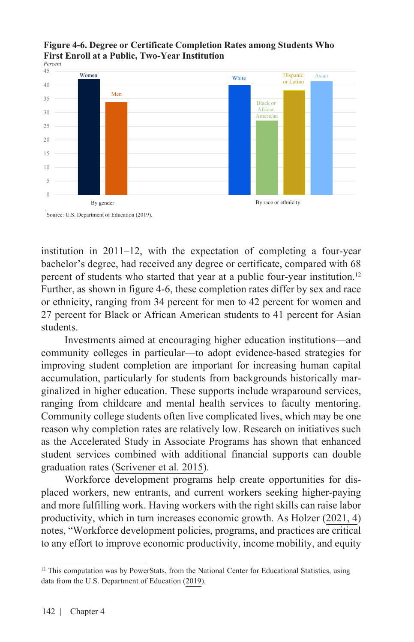#### 10 15 20 25 30 35 40 <sup>45</sup> Women Men **White** Black or African American Hispanic or Latino Asian 5  $\theta$ By gender By race or ethnicity *Percent*

#### **Figure 4-6. Degree or Certificate Completion Rates among Students Who First Enroll at a Public, Two-Year Institution**



institution in 2011–12, with the expectation of completing a four-year bachelor's degree, had received any degree or certificate, compared with 68 percent of students who started that year at a public four-year institution.12 Further, as shown in figure 4-6, these completion rates differ by sex and race or ethnicity, ranging from 34 percent for men to 42 percent for women and 27 percent for Black or African American students to 41 percent for Asian students.

Investments aimed at encouraging higher education institutions—and community colleges in particular—to adopt evidence-based strategies for improving student completion are important for increasing human capital accumulation, particularly for students from backgrounds historically marginalized in higher education. These supports include wraparound services, ranging from childcare and mental health services to faculty mentoring. Community college students often live complicated lives, which may be one reason why completion rates are relatively low. Research on initiatives such as the Accelerated Study in Associate Programs has shown that enhanced student services combined with additional financial supports can double graduation rates ([Scrivener et al. 2015\)](https://www.mdrc.org/sites/default/files/doubling_graduation_rates_fr.pdf).

Workforce development programs help create opportunities for displaced workers, new entrants, and current workers seeking higher-paying and more fulfilling work. Having workers with the right skills can raise labor productivity, which in turn increases economic growth. As [Holzer \(2021, 4\)](https://www.brookings.edu/wp-content/uploads/2021/02/Holzer_LO_v5-1.pdf) notes, "Workforce development policies, programs, and practices are critical to any effort to improve economic productivity, income mobility, and equity

<sup>&</sup>lt;sup>12</sup> This computation was by PowerStats, from the National Center for Educational Statistics, using data from the [U.S. Department of Education \(2019\)](https://nces.ed.gov/surveys/bps/).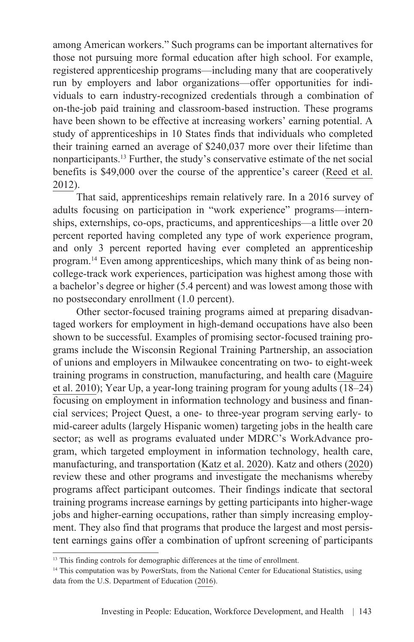among American workers." Such programs can be important alternatives for those not pursuing more formal education after high school. For example, registered apprenticeship programs—including many that are cooperatively run by employers and labor organizations—offer opportunities for individuals to earn industry-recognized credentials through a combination of on-the-job paid training and classroom-based instruction. These programs have been shown to be effective at increasing workers' earning potential. A study of apprenticeships in 10 States finds that individuals who completed their training earned an average of \$240,037 more over their lifetime than nonparticipants.13 Further, the study's conservative estimate of the net social benefits is \$49,000 over the course of the apprentice's career [\(Reed et al.](https://www.mathematica.org/publications/an-effectiveness-assessment-and-costbenefit-analysis-of-registered-apprenticeship-in-10-states) [2012\)](https://www.mathematica.org/publications/an-effectiveness-assessment-and-costbenefit-analysis-of-registered-apprenticeship-in-10-states).

That said, apprenticeships remain relatively rare. In a 2016 survey of adults focusing on participation in "work experience" programs—internships, externships, co-ops, practicums, and apprenticeships—a little over 20 percent reported having completed any type of work experience program, and only 3 percent reported having ever completed an apprenticeship program.14 Even among apprenticeships, which many think of as being noncollege-track work experiences, participation was highest among those with a bachelor's degree or higher (5.4 percent) and was lowest among those with no postsecondary enrollment (1.0 percent).

Other sector-focused training programs aimed at preparing disadvantaged workers for employment in high-demand occupations have also been shown to be successful. Examples of promising sector-focused training programs include the Wisconsin Regional Training Partnership, an association of unions and employers in Milwaukee concentrating on two- to eight-week training programs in construction, manufacturing, and health care ([Maguire](https://ppv.issuelab.org/resources/5101/5101.pdf) [et al. 2010\)](https://ppv.issuelab.org/resources/5101/5101.pdf); Year Up, a year-long training program for young adults (18–24) focusing on employment in information technology and business and financial services; Project Quest, a one- to three-year program serving early- to mid-career adults (largely Hispanic women) targeting jobs in the health care sector; as well as programs evaluated under MDRC's WorkAdvance program, which targeted employment in information technology, health care, manufacturing, and transportation ([Katz et al. 2020\)](https://www.nber.org/papers/w28248). Katz and others ([2020](https://www.nber.org/papers/w28248)) review these and other programs and investigate the mechanisms whereby programs affect participant outcomes. Their findings indicate that sectoral training programs increase earnings by getting participants into higher-wage jobs and higher-earning occupations, rather than simply increasing employment. They also find that programs that produce the largest and most persistent earnings gains offer a combination of upfront screening of participants

<sup>&</sup>lt;sup>13</sup> This finding controls for demographic differences at the time of enrollment.

<sup>&</sup>lt;sup>14</sup> This computation was by PowerStats, from the National Center for Educational Statistics, using data from the [U.S. Department of Education \(2016\)](https://nces.ed.gov/nhes/).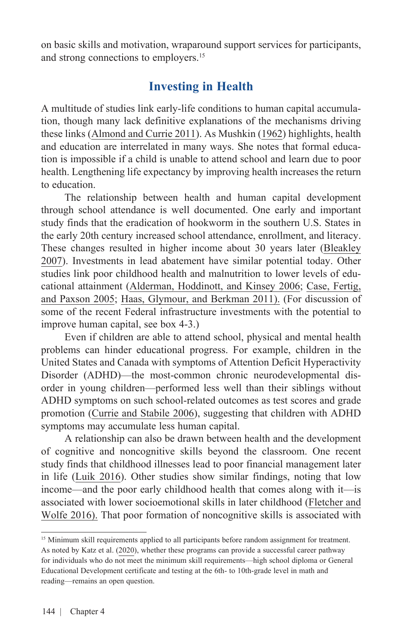on basic skills and motivation, wraparound support services for participants, and strong connections to employers.<sup>15</sup>

### **Investing in Health**

A multitude of studies link early-life conditions to human capital accumulation, though many lack definitive explanations of the mechanisms driving these links [\(Almond and Currie 2011](https://pubs.aeaweb.org/doi/pdfplus/10.1257/jep.25.3.153)). As [Mushkin \(1962\)](https://www.journals.uchicago.edu/doi/abs/10.1086/258730) highlights, health and education are interrelated in many ways. She notes that formal education is impossible if a child is unable to attend school and learn due to poor health. Lengthening life expectancy by improving health increases the return to education.

The relationship between health and human capital development through school attendance is well documented. One early and important study finds that the eradication of hookworm in the southern U.S. States in the early 20th century increased school attendance, enrollment, and literacy. These changes resulted in higher income about 30 years later ([Bleakley](https://academic.oup.com/qje/article/122/1/73/1924773?login=true)  [2007\)](https://academic.oup.com/qje/article/122/1/73/1924773?login=true). Investments in lead abatement have similar potential today. Other studies link poor childhood health and malnutrition to lower levels of educational attainment [\(Alderman, Hoddinott, and Kinsey 2006;](https://doi.org/10.1093/oep/gpl008) [Case, Fertig,](https://doi.org/10.1016/j.jhealeco.2004.09.008)  [and Paxson 2005](https://doi.org/10.1016/j.jhealeco.2004.09.008); [Haas, Glymour, and Berkman 2011\).](https://journals.sagepub.com/doi/abs/10.1177/0022146511410431) (For discussion of some of the recent Federal infrastructure investments with the potential to improve human capital, see box 4-3.)

Even if children are able to attend school, physical and mental health problems can hinder educational progress. For example, children in the United States and Canada with symptoms of Attention Deficit Hyperactivity Disorder (ADHD)—the most-common chronic neurodevelopmental disorder in young children—performed less well than their siblings without ADHD symptoms on such school-related outcomes as test scores and grade promotion ([Currie and Stabile 2006](https://www.sciencedirect.com/science/article/abs/pii/S0167629606000282?via%3Dihub)), suggesting that children with ADHD symptoms may accumulate less human capital.

A relationship can also be drawn between health and the development of cognitive and noncognitive skills beyond the classroom. One recent study finds that childhood illnesses lead to poor financial management later in life [\(Luik 2016](https://www.econstor.eu/bitstream/10419/155629/1/87522766X.pdf)). Other studies show similar findings, noting that low income—and the poor early childhood health that comes along with it—is associated with lower socioemotional skills in later childhood [\(Fletcher and](https://www.sciencedirect.com/science/article/abs/pii/S0272775716303831)  [Wolfe 2016\).](https://www.sciencedirect.com/science/article/abs/pii/S0272775716303831) That poor formation of noncognitive skills is associated with

<sup>&</sup>lt;sup>15</sup> Minimum skill requirements applied to all participants before random assignment for treatment. As noted by [Katz et al. \(2020\),](https://www.nber.org/papers/w28248) whether these programs can provide a successful career pathway for individuals who do not meet the minimum skill requirements—high school diploma or General Educational Development certificate and testing at the 6th- to 10th-grade level in math and reading—remains an open question.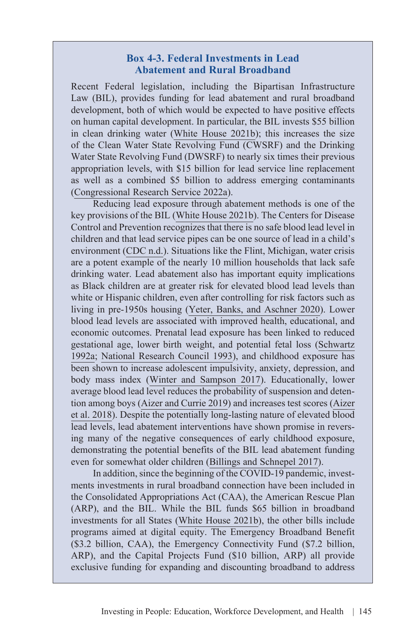#### **Box 4-3. Federal Investments in Lead Abatement and Rural Broadband**

Recent Federal legislation, including the Bipartisan Infrastructure Law (BIL), provides funding for lead abatement and rural broadband development, both of which would be expected to have positive effects on human capital development. In particular, the BIL invests \$55 billion in clean drinking water [\(White House 2021b\)](https://www.whitehouse.gov/briefing-room/statements-releases/2021/11/06/fact-sheet-the-bipartisan-infrastructure-deal/); this increases the size of the Clean Water State Revolving Fund (CWSRF) and the Drinking Water State Revolving Fund (DWSRF) to nearly six times their previous appropriation levels, with \$15 billion for lead service line replacement as well as a combined \$5 billion to address emerging contaminants ([Congressional Research Service 2022a](https://crsreports.congress.gov/product/pdf/R/R46892)).

Reducing lead exposure through abatement methods is one of the key provisions of the BIL ([White House 2021b](https://www.whitehouse.gov/briefing-room/statements-releases/2021/07/23/fact-sheet-how-the-biden-harris-administration-is-advancing-educational-equity/)). The Centers for Disease Control and Prevention recognizes that there is no safe blood lead level in children and that lead service pipes can be one source of lead in a child's environment ([CDC n.d](https://www.cdc.gov/nceh/lead/default.htm).). Situations like the Flint, Michigan, water crisis are a potent example of the nearly 10 million households that lack safe drinking water. Lead abatement also has important equity implications as Black children are at greater risk for elevated blood lead levels than white or Hispanic children, even after controlling for risk factors such as living in pre-1950s housing ([Yeter, Banks, and Aschner 2020](https://www.mdpi.com/1660-4601/17/5/1552)). Lower blood lead levels are associated with improved health, educational, and economic outcomes. Prenatal lead exposure has been linked to reduced gestational age, lower birth weight, and potential fetal loss [\(Schwartz](https://www.google.com/books/edition/Human_Lead_Exposure/e9fel0gM3j0C?hl=en&gbpv=1&dq=Human+Lead+Exposure&pg=PA3&printsec=frontcover) [1992a;](https://www.google.com/books/edition/Human_Lead_Exposure/e9fel0gM3j0C?hl=en&gbpv=1&dq=Human+Lead+Exposure&pg=PA3&printsec=frontcover) [National Research Council 1993\)](https://www.ncbi.nlm.nih.gov/books/NBK236458/), and childhood exposure has been shown to increase adolescent impulsivity, anxiety, depression, and body mass index ([Winter and Sampson 2017](https://pubmed.ncbi.nlm.nih.gov/28727523/)). Educationally, lower average blood lead level reduces the probability of suspension and detention among boys [\(Aizer and Currie 2019\)](https://direct.mit.edu/rest/article/101/4/575/58572/Lead-and-Juvenile-Delinquency-New-Evidence-from) and increases test scores [\(Aizer](https://pubs.aeaweb.org/doi/pdfplus/10.1257/app.20160404) [et al. 2018](https://pubs.aeaweb.org/doi/pdfplus/10.1257/app.20160404)). Despite the potentially long-lasting nature of elevated blood lead levels, lead abatement interventions have shown promise in reversing many of the negative consequences of early childhood exposure, demonstrating the potential benefits of the BIL lead abatement funding even for somewhat older children ([Billings and Schnepel 2017\)](https://www.econstor.eu/handle/10419/170856).

In addition, since the beginning of the COVID-19 pandemic, investments investments in rural broadband connection have been included in the Consolidated Appropriations Act (CAA), the American Rescue Plan (ARP), and the BIL. While the BIL funds \$65 billion in broadband investments for all States [\(White House 2021b\)](https://www.whitehouse.gov/briefing-room/statements-releases/2021/11/06/fact-sheet-the-bipartisan-infrastructure-deal/), the other bills include programs aimed at digital equity. The Emergency Broadband Benefit (\$3.2 billion, CAA), the Emergency Connectivity Fund (\$7.2 billion, ARP), and the Capital Projects Fund (\$10 billion, ARP) all provide exclusive funding for expanding and discounting broadband to address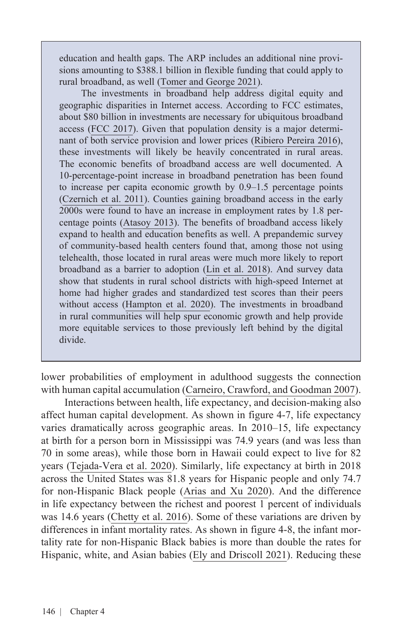education and health gaps. The ARP includes an additional nine provisions amounting to \$388.1 billion in flexible funding that could apply to rural broadband, as well ([Tomer and George 2021\)](https://www.brookings.edu/research/the-american-rescue-plan-is-the-broadband-down-payment-the-country-needs/).

The investments in broadband help address digital equity and geographic disparities in Internet access. According to FCC estimates, about \$80 billion in investments are necessary for ubiquitous broadband access [\(FCC 2017\)](https://www.fcc.gov/document/improving-nations-digital-infrastructure). Given that population density is a major determinant of both service provision and lower prices ([Ribiero Pereira 2016\)](https://link.springer.com/chapter/10.1007/978-3-319-31307-8_38), these investments will likely be heavily concentrated in rural areas. The economic benefits of broadband access are well documented. A 10-percentage-point increase in broadband penetration has been found to increase per capita economic growth by 0.9–1.5 percentage points ([Czernich et al. 2011](https://doi.org/10.1111/j.1468-0297.2011.02420.x)). Counties gaining broadband access in the early 2000s were found to have an increase in employment rates by 1.8 percentage points ([Atasoy 2013\)](https://journals.sagepub.com/doi/pdf/10.1177/001979391306600202). The benefits of broadband access likely expand to health and education benefits as well. A prepandemic survey of community-based health centers found that, among those not using telehealth, those located in rural areas were much more likely to report broadband as a barrier to adoption ([Lin et al. 2018\)](https://www.healthaffairs.org/doi/10.1377/hlthaff.2018.05125). And survey data show that students in rural school districts with high-speed Internet at home had higher grades and standardized test scores than their peers without access [\(Hampton et al. 2020\)](https://quello.msu.edu/wp-content/uploads/2020/03/Broadband_Gap_Quello_Report_MSU.pdf). The investments in broadband in rural communities will help spur economic growth and help provide more equitable services to those previously left behind by the digital divide.

lower probabilities of employment in adulthood suggests the connection with human capital accumulation ([Carneiro, Crawford, and Goodman 2007\)](http://eprints.lse.ac.uk/19375/1/The_Impact_of_Early_Cognitive_and_Non-Cognitive_Skills_on_Later_Outcomes.pdf).

Interactions between health, life expectancy, and decision-making also affect human capital development. As shown in figure 4-7, life expectancy varies dramatically across geographic areas. In 2010–15, life expectancy at birth for a person born in Mississippi was 74.9 years (and was less than 70 in some areas), while those born in Hawaii could expect to live for 82 years ([Tejada-Vera et al. 2020](https://www.cdc.gov/nchs/data-visualization/life-expectancy/index.html)). Similarly, life expectancy at birth in 2018 across the United States was 81.8 years for Hispanic people and only 74.7 for non-Hispanic Black people [\(Arias and Xu 2020](https://www.cdc.gov/nchs/data/nvsr/nvsr69/nvsr69-12-508.pdf)). And the difference in life expectancy between the richest and poorest  $1$  percent of individuals was 14.6 years [\(Chetty et al. 2016](https://www.ncbi.nlm.nih.gov/pmc/articles/PMC4866586/)). Some of these variations are driven by differences in infant mortality rates. As shown in figure 4-8, the infant mortality rate for non-Hispanic Black babies is more than double the rates for Hispanic, white, and Asian babies ([Ely and Driscoll 2021](https://www.cdc.gov/nchs/data/nvsr/nvsr70/nvsr70-14.pdf)). Reducing these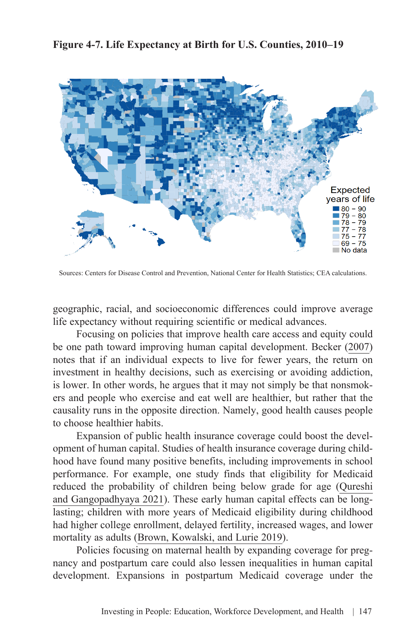**Figure 4-7. Life Expectancy at Birth for U.S. Counties, 2010–19**



Sources: Centers for Disease Control and Prevention, National Center for Health Statistics; CEA calculations.

geographic, racial, and socioeconomic differences could improve average life expectancy without requiring scientific or medical advances.

Focusing on policies that improve health care access and equity could be one path toward improving human capital development. [Becker \(2007\)](https://ucema.edu.ar/u/je49/capital_humano/Health_as_Human_Capital_Becker.pdf) notes that if an individual expects to live for fewer years, the return on investment in healthy decisions, such as exercising or avoiding addiction, is lower. In other words, he argues that it may not simply be that nonsmokers and people who exercise and eat well are healthier, but rather that the causality runs in the opposite direction. Namely, good health causes people to choose healthier habits.

Expansion of public health insurance coverage could boost the development of human capital. Studies of health insurance coverage during childhood have found many positive benefits, including improvements in school performance. For example, one study finds that eligibility for Medicaid reduced the probability of children being below grade for age ([Qureshi](https://doi.org/10.1016/j.econedurev.2021.102092) [and Gangopadhyaya 2021](https://doi.org/10.1016/j.econedurev.2021.102092)). These early human capital effects can be longlasting; children with more years of Medicaid eligibility during childhood had higher college enrollment, delayed fertility, increased wages, and lower mortality as adults [\(Brown, Kowalski, and Lurie 2019](https://academic.oup.com/restud/article/87/2/792/5538992?login=true)).

Policies focusing on maternal health by expanding coverage for pregnancy and postpartum care could also lessen inequalities in human capital development. Expansions in postpartum Medicaid coverage under the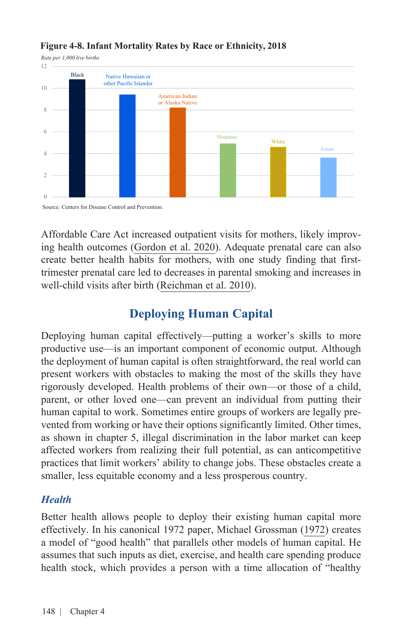

#### **Figure 4-8. Infant Mortality Rates by Race or Ethnicity, 2018**

Source: Centers for Disease Control and Prevention.

Affordable Care Act increased outpatient visits for mothers, likely improving health outcomes [\(Gordon et al. 2020\)](https://www.healthaffairs.org/doi/full/10.1377/hlthaff.2019.00547). Adequate prenatal care can also create better health habits for mothers, with one study finding that firsttrimester prenatal care led to decreases in parental smoking and increases in well-child visits after birth ([Reichman et al. 2010\)](https://www.ncbi.nlm.nih.gov/pmc/articles/PMC2889707/).

### **Deploying Human Capital**

Deploying human capital effectively—putting a worker's skills to more productive use—is an important component of economic output. Although the deployment of human capital is often straightforward, the real world can present workers with obstacles to making the most of the skills they have rigorously developed. Health problems of their own—or those of a child, parent, or other loved one—can prevent an individual from putting their human capital to work. Sometimes entire groups of workers are legally prevented from working or have their options significantly limited. Other times, as shown in chapter 5, illegal discrimination in the labor market can keep affected workers from realizing their full potential, as can anticompetitive practices that limit workers' ability to change jobs. These obstacles create a smaller, less equitable economy and a less prosperous country.

#### *Health*

Better health allows people to deploy their existing human capital more effectively. In his canonical 1972 paper, Michael Grossman ([1972](https://doi.org/10.1086/259880)) creates a model of "good health" that parallels other models of human capital. He assumes that such inputs as diet, exercise, and health care spending produce health stock, which provides a person with a time allocation of "healthy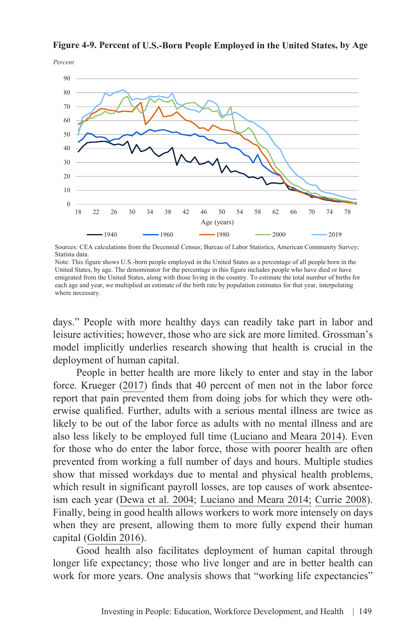

Figure 4-9. Percent of U.S.-Born People Employed in the United States, by Age

Sources: CEA calculations from the Decennial Census; Bureau of Labor Statistics, American Community Survey; Statista data.

Note: This figure shows U.S.-born people employed in the United States as a percentage of all people born in the United States, by age. The denominator for the percentage in this figure includes people who have died or have emigrated from the United States, along with those living in the country. To estimate the total number of births for each age and year, we multiplied an estimate of the birth rate by population estimates for that year, interpolating where necessary.

days." People with more healthy days can readily take part in labor and leisure activities; however, those who are sick are more limited. Grossman's model implicitly underlies research showing that health is crucial in the deployment of human capital.

People in better health are more likely to enter and stay in the labor force. [Krueger \(2017\)](https://www.brookings.edu/wp-content/uploads/2018/02/kruegertextfa17bpea.pdf) finds that 40 percent of men not in the labor force report that pain prevented them from doing jobs for which they were otherwise qualified. Further, adults with a serious mental illness are twice as likely to be out of the labor force as adults with no mental illness and are also less likely to be employed full time ([Luciano and Meara 2014](https://www.ncbi.nlm.nih.gov/pmc/articles/PMC4182106/)). Even for those who do enter the labor force, those with poorer health are often prevented from working a full number of days and hours. Multiple studies show that missed workdays due to mental and physical health problems, which result in significant payroll losses, are top causes of work absenteeism each year [\(Dewa et al. 2004](https://pubmed.ncbi.nlm.nih.gov/15829761/); [Luciano and Meara 2014;](https://www.ncbi.nlm.nih.gov/pmc/articles/PMC4182106/) [Currie 2008\)](https://press.princeton.edu/books/paperback/9780691138527/the-invisible-safety-net). Finally, being in good health allows workers to work more intensely on days when they are present, allowing them to more fully expend their human capital [\(Goldin 2016\)](https://dash.harvard.edu/bitstream/handle/1/34309590/human_capital_handbook_of_cliometrics_0.pdf?sequence=1&isAllowed=y).

Good health also facilitates deployment of human capital through longer life expectancy; those who live longer and are in better health can work for more years. One analysis shows that "working life expectancies"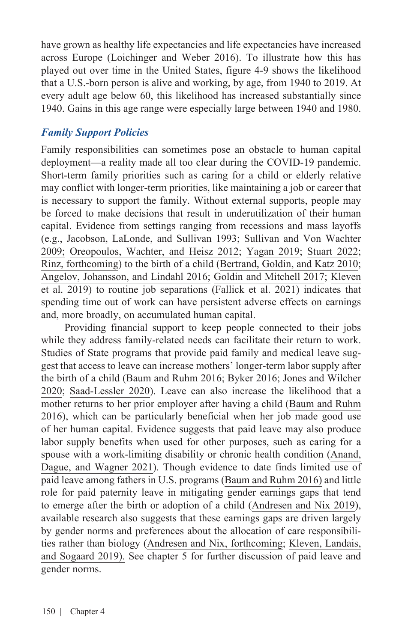have grown as healthy life expectancies and life expectancies have increased across Europe [\(Loichinger and Weber 2016\)](https://journals.sagepub.com/doi/abs/10.1177/0898264316656509). To illustrate how this has played out over time in the United States, figure 4-9 shows the likelihood that a U.S.-born person is alive and working, by age, from 1940 to 2019. At every adult age below 60, this likelihood has increased substantially since 1940. Gains in this age range were especially large between 1940 and 1980.

### *Family Support Policies*

Family responsibilities can sometimes pose an obstacle to human capital deployment—a reality made all too clear during the COVID-19 pandemic. Short-term family priorities such as caring for a child or elderly relative may conflict with longer-term priorities, like maintaining a job or career that is necessary to support the family. Without external supports, people may be forced to make decisions that result in underutilization of their human capital. Evidence from settings ranging from recessions and mass layoffs (e.g., [Jacobson, LaLonde, and Sullivan 1993](https://www.jstor.org/stable/2117574?seq=1); [Sullivan and Von Wachter](https://academic.oup.com/qje/article/124/3/1265/1905153?login=true)  [2009;](https://academic.oup.com/qje/article/124/3/1265/1905153?login=true) [Oreopoulos, Wachter, and Heisz 2012](https://pubs.aeaweb.org/doi/pdfplus/10.1257/app.4.1.1); [Yagan 2019](https://www.journals.uchicago.edu/doi/abs/10.1086/701809); [Stuart 2022](https://pubs.aeaweb.org/doi/pdfplus/10.1257/app.20180055); [Rinz, forthcoming\)](https://www.journals.uchicago.edu/doi/pdf/10.1086/716346) to the birth of a child ([Bertrand, Goldin, and Katz 2010](https://pubs.aeaweb.org/doi/pdfplus/10.1257/app.2.3.228); [Angelov, Johansson, and Lindahl 2016;](https://www.journals.uchicago.edu/doi/full/10.1086/684851) [Goldin and Mitchell 2017;](https://pubs.aeaweb.org/doi/pdfplus/10.1257/jep.31.1.161) [Kleven](https://pubs.aeaweb.org/doi/pdfplus/10.1257/pandp.20191078)  [et al. 2019](https://pubs.aeaweb.org/doi/pdfplus/10.1257/pandp.20191078)) to routine job separations ([Fallick et al. 2021\)](https://www.nber.org/system/files/working_papers/w29187/w29187.pdf) indicates that spending time out of work can have persistent adverse effects on earnings and, more broadly, on accumulated human capital.

Providing financial support to keep people connected to their jobs while they address family-related needs can facilitate their return to work. Studies of State programs that provide paid family and medical leave suggest that access to leave can increase mothers' longer-term labor supply after the birth of a child ([Baum and Ruhm 2016;](https://onlinelibrary.wiley.com/doi/full/10.1002/pam.21894) [Byker 2016](https://pubs.aeaweb.org/doi/pdfplus/10.1257/aer.p20161118); [Jones and Wilcher](https://www.equitablegrowth.org/wp-content/uploads/2020/03/031220-WP-Reducing-maternal-labor-market-detachment-Jones-and-Wilcher.pdf) [2020;](https://www.equitablegrowth.org/wp-content/uploads/2020/03/031220-WP-Reducing-maternal-labor-market-detachment-Jones-and-Wilcher.pdf) [Saad-Lessler 2020](http://www.sciencedirect.com/science/article/pii/S2212828X2030030X)). Leave can also increase the likelihood that a mother returns to her prior employer after having a child [\(Baum and Ruhm](https://onlinelibrary.wiley.com/doi/full/10.1002/pam.21894) [2016\)](https://onlinelibrary.wiley.com/doi/full/10.1002/pam.21894), which can be particularly beneficial when her job made good use of her human capital. Evidence suggests that paid leave may also produce labor supply benefits when used for other purposes, such as caring for a spouse with a work-limiting disability or chronic health condition ([Anand,](https://www.nber.org/system/files/working_papers/w28808/w28808.pdf) [Dague, and Wagner 2021](https://www.nber.org/system/files/working_papers/w28808/w28808.pdf)). Though evidence to date finds limited use of paid leave among fathers in U.S. programs ([Baum and Ruhm 2016\)](https://onlinelibrary.wiley.com/doi/full/10.1002/pam.21894) and little role for paid paternity leave in mitigating gender earnings gaps that tend to emerge after the birth or adoption of a child [\(Andresen and Nix 2019\)](https://www.marshall.usc.edu/sites/default/files/enix/intellcont/Nix_Child_penalty_policy-1.pdf), available research also suggests that these earnings gaps are driven largely by gender norms and preferences about the allocation of care responsibilities rather than biology [\(Andresen and Nix, forthcoming;](https://www.journals.uchicago.edu/doi/epdf/10.1086/718565) [Kleven, Landais,](https://pubs.aeaweb.org/doi/pdfplus/10.1257/app.20180010)  [and Sogaard 2019\).](https://pubs.aeaweb.org/doi/pdfplus/10.1257/app.20180010) See chapter 5 for further discussion of paid leave and gender norms.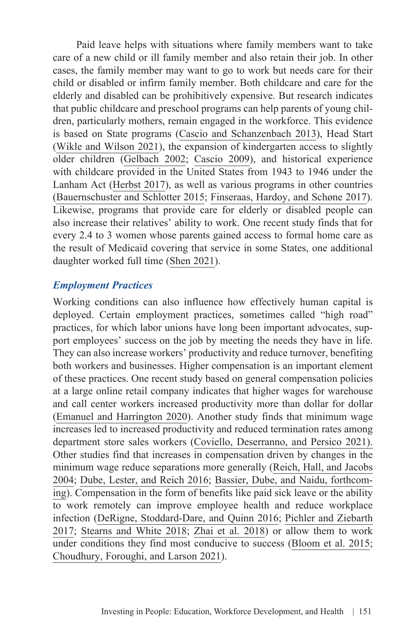Paid leave helps with situations where family members want to take care of a new child or ill family member and also retain their job. In other cases, the family member may want to go to work but needs care for their child or disabled or infirm family member. Both childcare and care for the elderly and disabled can be prohibitively expensive. But research indicates that public childcare and preschool programs can help parents of young children, particularly mothers, remain engaged in the workforce. This evidence is based on State programs [\(Cascio and Schanzenbach 2013](https://www.brookings.edu/wp-content/uploads/2016/07/2013b_cascio_preschool_education.pdf)), Head Start ([Wikle and Wilson 2021](https://www.econstor.eu/bitstream/10419/250541/1/dp14880.pdf)), the expansion of kindergarten access to slightly older children ([Gelbach 2002;](https://pubs.aeaweb.org/doi/pdf/10.1257/000282802760015748) [Cascio 2009](http://jhr.uwpress.org/content/44/1/140.short)), and historical experience with childcare provided in the United States from 1943 to 1946 under the Lanham Act [\(Herbst 2017\)](https://www.journals.uchicago.edu/doi/full/10.1086/689478), as well as various programs in other countries ([Bauernschuster and Schlotter 2015](https://www.sciencedirect.com/science/article/abs/pii/S004727271500002X); [Finseraas, Hardoy, and Schøne 2017\)](https://link.springer.com/article/10.1007/s11150-016-9350-0). Likewise, programs that provide care for elderly or disabled people can also increase their relatives' ability to work. One recent study finds that for every 2.4 to 3 women whose parents gained access to formal home care as the result of Medicaid covering that service in some States, one additional daughter worked full time [\(Shen 2021](https://scholar.harvard.edu/sites/scholar.harvard.edu/files/kshen/files/caregivers.pdf)).

#### *Employment Practices*

Working conditions can also influence how effectively human capital is deployed. Certain employment practices, sometimes called "high road" practices, for which labor unions have long been important advocates, support employees' success on the job by meeting the needs they have in life. They can also increase workers' productivity and reduce turnover, benefiting both workers and businesses. Higher compensation is an important element of these practices. One recent study based on general compensation policies at a large online retail company indicates that higher wages for warehouse and call center workers increased productivity more than dollar for dollar ([Emanuel and Harrington 2020](https://scholar.harvard.edu/files/emanuel_jmp.pdf)). Another study finds that minimum wage increases led to increased productivity and reduced termination rates among department store sales workers [\(Coviello, Deserranno, and Persico 2021\).](https://wwws.law.northwestern.edu/research-faculty/clbe/workforcescience/documents/coviello_minimum_wage.pdf) Other studies find that increases in compensation driven by changes in the minimum wage reduce separations more generally ([Reich, Hall, and Jacobs](https://doi.org/10.1111/j.0019-8676.2004.00375.x)  [2004;](https://doi.org/10.1111/j.0019-8676.2004.00375.x) [Dube, Lester, and Reich 2016](https://www.journals.uchicago.edu/doi/full/10.1086/685449); [Bassier, Dube, and Naidu, forthcom](http://jhr.uwpress.org/content/early/2021/04/05/jhr.monopsony.0319-10111R1.full.pdf+html)[ing\)](http://jhr.uwpress.org/content/early/2021/04/05/jhr.monopsony.0319-10111R1.full.pdf+html). Compensation in the form of benefits like paid sick leave or the ability to work remotely can improve employee health and reduce workplace infection [\(DeRigne, Stoddard-Dare, and Quinn 2016;](https://www.healthaffairs.org/doi/full/10.1377/hlthaff.2015.0965) [Pichler and Ziebarth](https://www.sciencedirect.com/science/article/abs/pii/S0047272717301056) [2017;](https://www.sciencedirect.com/science/article/abs/pii/S0047272717301056) [Stearns and White 2018;](https://www.sciencedirect.com/science/article/abs/pii/S0927537118300034) [Zhai et al. 2018\)](https://www.ncbi.nlm.nih.gov/pmc/articles/PMC6433122/) or allow them to work under conditions they find most conducive to success ([Bloom et al. 2015;](https://academic.oup.com/qje/article/130/1/165/2337855?login=true) [Choudhury, Foroughi, and Larson 2021\)](https://onlinelibrary.wiley.com/doi/10.1002/smj.3251).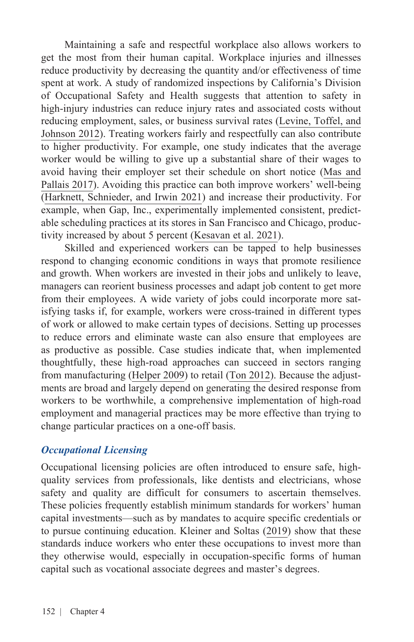Maintaining a safe and respectful workplace also allows workers to get the most from their human capital. Workplace injuries and illnesses reduce productivity by decreasing the quantity and/or effectiveness of time spent at work. A study of randomized inspections by California's Division of Occupational Safety and Health suggests that attention to safety in high-injury industries can reduce injury rates and associated costs without reducing employment, sales, or business survival rates [\(Levine, Toffel, and](https://www.science.org/doi/pdf/10.1126/science.1215191) [Johnson 2012\)](https://www.science.org/doi/pdf/10.1126/science.1215191). Treating workers fairly and respectfully can also contribute to higher productivity. For example, one study indicates that the average worker would be willing to give up a substantial share of their wages to avoid having their employer set their schedule on short notice ([Mas and](https://pubs.aeaweb.org/doi/pdfplus/10.1257/aer.20161500)  [Pallais 2017](https://pubs.aeaweb.org/doi/pdfplus/10.1257/aer.20161500)). Avoiding this practice can both improve workers' well-being ([Harknett, Schnieder, and Irwin 2021\)](https://www.pnas.org/doi/pdf/10.1073/pnas.2107828118) and increase their productivity. For example, when Gap, Inc., experimentally implemented consistent, predictable scheduling practices at its stores in San Francisco and Chicago, productivity increased by about 5 percent [\(Kesavan et al. 2021\)](https://papers.ssrn.com/sol3/papers.cfm?abstract_id=3731670).

Skilled and experienced workers can be tapped to help businesses respond to changing economic conditions in ways that promote resilience and growth. When workers are invested in their jobs and unlikely to leave, managers can reorient business processes and adapt job content to get more from their employees. A wide variety of jobs could incorporate more satisfying tasks if, for example, workers were cross-trained in different types of work or allowed to make certain types of decisions. Setting up processes to reduce errors and eliminate waste can also ensure that employees are as productive as possible. Case studies indicate that, when implemented thoughtfully, these high-road approaches can succeed in sectors ranging from manufacturing ([Helper 2009](https://www.jstor.org/stable/43314824)) to retail [\(Ton 2012](https://hbr.org/2012/01/why-good-jobs-are-good-for-retailers)). Because the adjustments are broad and largely depend on generating the desired response from workers to be worthwhile, a comprehensive implementation of high-road employment and managerial practices may be more effective than trying to change particular practices on a one-off basis.

#### *Occupational Licensing*

Occupational licensing policies are often introduced to ensure safe, highquality services from professionals, like dentists and electricians, whose safety and quality are difficult for consumers to ascertain themselves. These policies frequently establish minimum standards for workers' human capital investments—such as by mandates to acquire specific credentials or to pursue continuing education. [Kleiner and Soltas \(2019\)](https://www.oecd.org/economy/reform/welfare-effect-of-occup-licensing_Morris-Kleiner.pdf) show that these standards induce workers who enter these occupations to invest more than they otherwise would, especially in occupation-specific forms of human capital such as vocational associate degrees and master's degrees.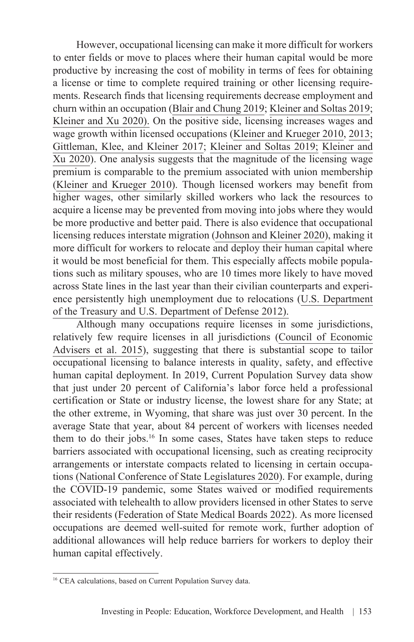However, occupational licensing can make it more difficult for workers to enter fields or move to places where their human capital would be more productive by increasing the cost of mobility in terms of fees for obtaining a license or time to complete required training or other licensing requirements. Research finds that licensing requirements decrease employment and churn within an occupation [\(Blair and Chung 2019](https://onlinelibrary.wiley.com/doi/abs/10.1111/bjir.12470); [Kleiner and Soltas 2019](https://www.oecd.org/economy/reform/welfare-effect-of-occup-licensing_Morris-Kleiner.pdf); [Kleiner and Xu 2020\).](https://www.nber.org/system/files/working_papers/w27568/w27568.pdf) On the positive side, licensing increases wages and wage growth within licensed occupations [\(Kleiner and Krueger 2010](https://onlinelibrary.wiley.com/doi/abs/10.1111/j.1467-8543.2010.00807.x), [2013](https://www.journals.uchicago.edu/doi/full/10.1086/669060); [Gittleman, Klee, and Kleiner 2017;](https://onlinelibrary.wiley.com/doi/abs/10.1111/irel.12200) [Kleiner and Soltas 2019;](https://www.oecd.org/economy/reform/welfare-effect-of-occup-licensing_Morris-Kleiner.pdf) [Kleiner and](https://www.nber.org/system/files/working_papers/w27568/w27568.pdf)  [Xu 2020](https://www.nber.org/system/files/working_papers/w27568/w27568.pdf)). One analysis suggests that the magnitude of the licensing wage premium is comparable to the premium associated with union membership ([Kleiner and Krueger 2010](https://onlinelibrary.wiley.com/doi/abs/10.1111/j.1467-8543.2010.00807.x)). Though licensed workers may benefit from higher wages, other similarly skilled workers who lack the resources to acquire a license may be prevented from moving into jobs where they would be more productive and better paid. There is also evidence that occupational licensing reduces interstate migration [\(Johnson and Kleiner 2020\)](https://pubs.aeaweb.org/doi/pdfplus/10.1257/pol.20170704), making it more difficult for workers to relocate and deploy their human capital where it would be most beneficial for them. This especially affects mobile populations such as military spouses, who are 10 times more likely to have moved across State lines in the last year than their civilian counterparts and experience persistently high unemployment due to relocations [\(U.S. Department](https://download.militaryonesource.mil/12038/MOS/Reports/Occupational-Licensing-and-Military-Spouses-Report.pdf)  [of the Treasury and U.S. Department of Defense 2012\).](https://download.militaryonesource.mil/12038/MOS/Reports/Occupational-Licensing-and-Military-Spouses-Report.pdf)

Although many occupations require licenses in some jurisdictions, relatively few require licenses in all jurisdictions ([Council of Economic](https://obamawhitehouse.archives.gov/sites/default/files/docs/licensing_report_final_nonembargo.pdf) [Advisers et al. 2015\)](https://obamawhitehouse.archives.gov/sites/default/files/docs/licensing_report_final_nonembargo.pdf), suggesting that there is substantial scope to tailor occupational licensing to balance interests in quality, safety, and effective human capital deployment. In 2019, Current Population Survey data show that just under 20 percent of California's labor force held a professional certification or State or industry license, the lowest share for any State; at the other extreme, in Wyoming, that share was just over 30 percent. In the average State that year, about 84 percent of workers with licenses needed them to do their jobs.16 In some cases, States have taken steps to reduce barriers associated with occupational licensing, such as creating reciprocity arrangements or interstate compacts related to licensing in certain occupations [\(National Conference of State Legislatures 2020\)](https://licensing.csg.org/wp-content/uploads/2020/12/Occupational_Licensing_Final_Project_Report.pdf). For example, during the COVID-19 pandemic, some States waived or modified requirements associated with telehealth to allow providers licensed in other States to serve their residents ([Federation of State Medical Boards 2022\)](https://www.fsmb.org/siteassets/advocacy/pdf/states-waiving-licensure-requirements-for-telehealth-in-response-to-covid-19.pdf). As more licensed occupations are deemed well-suited for remote work, further adoption of additional allowances will help reduce barriers for workers to deploy their human capital effectively.

<sup>&</sup>lt;sup>16</sup> CEA calculations, based on Current Population Survey data.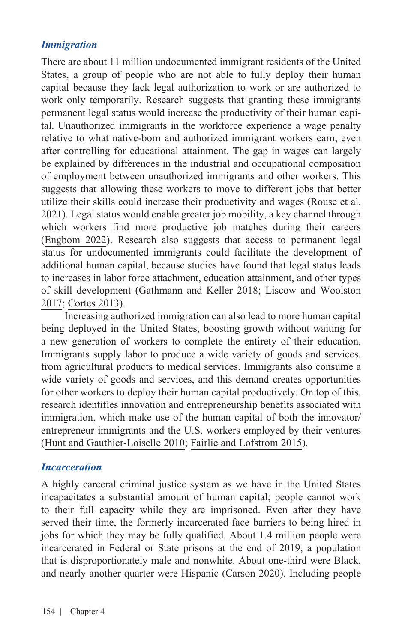#### *Immigration*

There are about 11 million undocumented immigrant residents of the United States, a group of people who are not able to fully deploy their human capital because they lack legal authorization to work or are authorized to work only temporarily. Research suggests that granting these immigrants permanent legal status would increase the productivity of their human capital. Unauthorized immigrants in the workforce experience a wage penalty relative to what native-born and authorized immigrant workers earn, even after controlling for educational attainment. The gap in wages can largely be explained by differences in the industrial and occupational composition of employment between unauthorized immigrants and other workers. This suggests that allowing these workers to move to different jobs that better utilize their skills could increase their productivity and wages [\(Rouse et al.](https://www.whitehouse.gov/cea/written-materials/2021/09/17/the-economic-benefits-of-extending-permanent-legal-status-to-unauthorized-immigrants/) [2021\)](https://www.whitehouse.gov/cea/written-materials/2021/09/17/the-economic-benefits-of-extending-permanent-legal-status-to-unauthorized-immigrants/). Legal status would enable greater job mobility, a key channel through which workers find more productive job matches during their careers ([Engbom 2022\)](https://www.nber.org/system/files/working_papers/w29698/w29698.pdf). Research also suggests that access to permanent legal status for undocumented immigrants could facilitate the development of additional human capital, because studies have found that legal status leads to increases in labor force attachment, education attainment, and other types of skill development ([Gathmann and Keller 2018;](https://onlinelibrary.wiley.com/doi/full/10.1111/ecoj.12546) [Liscow and Woolston](https://www.jstor.org/stable/26794421)  [2017;](https://www.jstor.org/stable/26794421) [Cortes 2013\)](https://www.aeaweb.org/articles?id=10.1257/aer.103.3.428).

Increasing authorized immigration can also lead to more human capital being deployed in the United States, boosting growth without waiting for a new generation of workers to complete the entirety of their education. Immigrants supply labor to produce a wide variety of goods and services, from agricultural products to medical services. Immigrants also consume a wide variety of goods and services, and this demand creates opportunities for other workers to deploy their human capital productively. On top of this, research identifies innovation and entrepreneurship benefits associated with immigration, which make use of the human capital of both the innovator/ entrepreneur immigrants and the U.S. workers employed by their ventures ([Hunt and Gauthier-Loiselle 2010;](https://pubs.aeaweb.org/doi/pdf/10.1257/mac.2.2.31) [Fairlie and Lofstrom 2015\)](https://doi.org/10.1016/B978-0-444-53768-3.00017-5).

#### *Incarceration*

A highly carceral criminal justice system as we have in the United States incapacitates a substantial amount of human capital; people cannot work to their full capacity while they are imprisoned. Even after they have served their time, the formerly incarcerated face barriers to being hired in jobs for which they may be fully qualified. About 1.4 million people were incarcerated in Federal or State prisons at the end of 2019, a population that is disproportionately male and nonwhite. About one-third were Black, and nearly another quarter were Hispanic ([Carson 2020\)](https://bjs.ojp.gov/content/pub/pdf/p19.pdf). Including people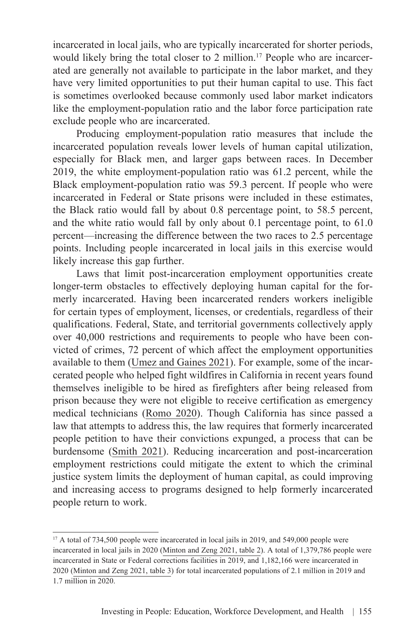incarcerated in local jails, who are typically incarcerated for shorter periods, would likely bring the total closer to 2 million.<sup>17</sup> People who are incarcerated are generally not available to participate in the labor market, and they have very limited opportunities to put their human capital to use. This fact is sometimes overlooked because commonly used labor market indicators like the employment-population ratio and the labor force participation rate exclude people who are incarcerated.

Producing employment-population ratio measures that include the incarcerated population reveals lower levels of human capital utilization, especially for Black men, and larger gaps between races. In December 2019, the white employment-population ratio was 61.2 percent, while the Black employment-population ratio was 59.3 percent. If people who were incarcerated in Federal or State prisons were included in these estimates, the Black ratio would fall by about 0.8 percentage point, to 58.5 percent, and the white ratio would fall by only about 0.1 percentage point, to 61.0 percent—increasing the difference between the two races to 2.5 percentage points. Including people incarcerated in local jails in this exercise would likely increase this gap further.

Laws that limit post-incarceration employment opportunities create longer-term obstacles to effectively deploying human capital for the formerly incarcerated. Having been incarcerated renders workers ineligible for certain types of employment, licenses, or credentials, regardless of their qualifications. Federal, State, and territorial governments collectively apply over 40,000 restrictions and requirements to people who have been convicted of crimes, 72 percent of which affect the employment opportunities available to them [\(Umez and Gaines 2021\)](https://csgjusticecenter.org/wp-content/uploads/2021/02/collateral-consequences-national-report.pdf). For example, some of the incarcerated people who helped fight wildfires in California in recent years found themselves ineligible to be hired as firefighters after being released from prison because they were not eligible to receive certification as emergency medical technicians ([Romo 2020](https://www.wuft.org/nation-world/2020/09/11/california-bill-clears-path-for-ex-inmates-to-become-firefighters/)). Though California has since passed a law that attempts to address this, the law requires that formerly incarcerated people petition to have their convictions expunged, a process that can be burdensome ([Smith 2021](https://www.latimes.com/california/story/2021-06-04/why-is-it-hard-former-prisoners-become-firefighters-california)). Reducing incarceration and post-incarceration employment restrictions could mitigate the extent to which the criminal justice system limits the deployment of human capital, as could improving and increasing access to programs designed to help formerly incarcerated people return to work.

<sup>&</sup>lt;sup>17</sup> A total of 734,500 people were incarcerated in local jails in 2019, and 549,000 people were incarcerated in local jails in 2020 [\(Minton and Zeng 2021, table 2](https://bjs.ojp.gov/library/publications/jail-inmates-2019)). A total of 1,379,786 people were incarcerated in State or Federal corrections facilities in 2019, and 1,182,166 were incarcerated in 2020 ([Minton and Zeng 2021, table 3\)](https://bjs.ojp.gov/library/publications/jail-inmates-2019) for total incarcerated populations of 2.1 million in 2019 and 1.7 million in 2020.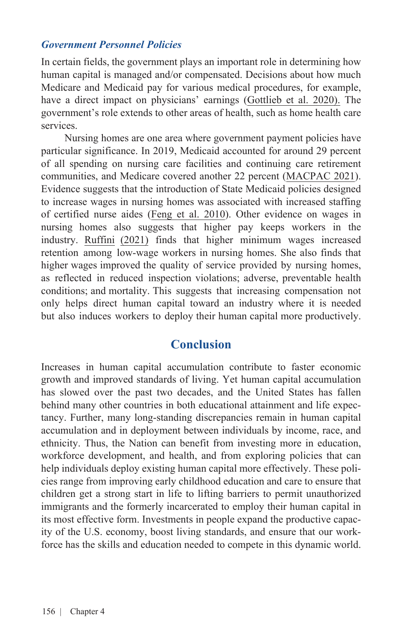#### *Government Personnel Policies*

In certain fields, the government plays an important role in determining how human capital is managed and/or compensated. Decisions about how much Medicare and Medicaid pay for various medical procedures, for example, have a direct impact on physicians' earnings ([Gottlieb et al. 2020\).](https://www.census.gov/library/working-papers/2020/adrm/CES-WP-20-23.html) The government's role extends to other areas of health, such as home health care services.

Nursing homes are one area where government payment policies have particular significance. In 2019, Medicaid accounted for around 29 percent of all spending on nursing care facilities and continuing care retirement communities, and Medicare covered another 22 percent [\(MACPAC 2021\)](https://www.macpac.gov/wp-content/uploads/2020/12/EXHIBIT-3.-National-Health-Expenditures-by-Type-and-Payer-2019.pdf). Evidence suggests that the introduction of State Medicaid policies designed to increase wages in nursing homes was associated with increased staffing of certified nurse aides [\(Feng et al. 2010](https://www.ncbi.nlm.nih.gov/pmc/articles/PMC2875757/#:~:text=Conclusions,least%20in%20the%20short%20term)). Other evidence on wages in nursing homes also suggests that higher pay keeps workers in the industry. [Ruffini](https://equitablegrowth.org/working-papers/worker-earnings-service-quality-and-firm-profitability-evidence-from-nursing-homes-and-minimum-wage-reforms/) [\(2021\)](https://equitablegrowth.org/working-papers/worker-earnings-service-quality-and-firm-profitability-evidence-from-nursing-homes-and-minimum-wage-reforms/) finds that higher minimum wages increased retention among low-wage workers in nursing homes. She also finds that higher wages improved the quality of service provided by nursing homes, as reflected in reduced inspection violations; adverse, preventable health conditions; and mortality. This suggests that increasing compensation not only helps direct human capital toward an industry where it is needed but also induces workers to deploy their human capital more productively.

### **Conclusion**

Increases in human capital accumulation contribute to faster economic growth and improved standards of living. Yet human capital accumulation has slowed over the past two decades, and the United States has fallen behind many other countries in both educational attainment and life expectancy. Further, many long-standing discrepancies remain in human capital accumulation and in deployment between individuals by income, race, and ethnicity. Thus, the Nation can benefit from investing more in education, workforce development, and health, and from exploring policies that can help individuals deploy existing human capital more effectively. These policies range from improving early childhood education and care to ensure that children get a strong start in life to lifting barriers to permit unauthorized immigrants and the formerly incarcerated to employ their human capital in its most effective form. Investments in people expand the productive capacity of the U.S. economy, boost living standards, and ensure that our workforce has the skills and education needed to compete in this dynamic world.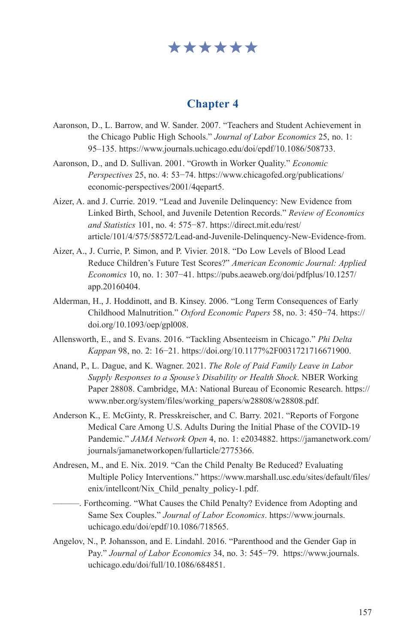## \*\*\*\*\*\*

#### **Chapter 4**

- Aaronson, D., L. Barrow, and W. Sander. 2007. "Teachers and Student Achievement in the Chicago Public High Schools." *Journal of Labor Economics* 25, no. 1: 95–135. https://www.journals.uchicago.edu/doi/epdf/10.1086/508733.
- Aaronson, D., and D. Sullivan. 2001. "Growth in Worker Quality." *Economic Perspectives* 25, no. 4: 53−74. [https://www.chicagofed.org/publications/](https://www.chicagofed.org/publications/economic-perspectives/2001/4qepart5) [economic-perspectives/2001/4qepart5.](https://www.chicagofed.org/publications/economic-perspectives/2001/4qepart5)
- Aizer, A. and J. Currie. 2019. "Lead and Juvenile Delinquency: New Evidence from Linked Birth, School, and Juvenile Detention Records." *Review of Economics and Statistics* 101, no. 4: 575−87. [https://direct.mit.edu/rest/](https://direct.mit.edu/rest/article/101/4/575/58572/Lead-and-Juvenile-Delinquency-New-Evidence-from) [article/101/4/575/58572/Lead-and-Juvenile-Delinquency-New-Evidence-from.](https://direct.mit.edu/rest/article/101/4/575/58572/Lead-and-Juvenile-Delinquency-New-Evidence-from)
- Aizer, A., J. Currie, P. Simon, and P. Vivier. 2018. "Do Low Levels of Blood Lead Reduce Children's Future Test Scores?" *American Economic Journal: Applied Economics* 10, no. 1: 307−41. [https://pubs.aeaweb.org/doi/pdfplus/10.1257/](https://pubs.aeaweb.org/doi/pdfplus/10.1257/app.20160404) [app.20160404](https://pubs.aeaweb.org/doi/pdfplus/10.1257/app.20160404).
- Alderman, H., J. Hoddinott, and B. Kinsey. 2006. "Long Term Consequences of Early Childhood Malnutrition." *Oxford Economic Papers* 58, no. 3: 450−74. [https://](https://doi.org/10.1093/oep/gpl008) [doi.org/10.1093/oep/gpl008](https://doi.org/10.1093/oep/gpl008).
- Allensworth, E., and S. Evans. 2016. "Tackling Absenteeism in Chicago." *Phi Delta Kappan* 98, no. 2: 16−21. https://doi.org/10.1177%2F0031721716671900.
- Anand, P., L. Dague, and K. Wagner. 2021. *The Role of Paid Family Leave in Labor Supply Responses to a Spouse's Disability or Health Shock*. NBER Working Paper 28808. Cambridge, MA: National Bureau of Economic Research. [https://](https://www.nber.org/system/files/working_papers/w28808/w28808.pdf) [www.nber.org/system/files/working\\_papers/w28808/w28808.pdf.](https://www.nber.org/system/files/working_papers/w28808/w28808.pdf)
- Anderson K., E. McGinty, R. Presskreischer, and C. Barry. 2021. "Reports of Forgone Medical Care Among U.S. Adults During the Initial Phase of the COVID-19 Pandemic." *JAMA Network Open* 4, no. 1: e2034882. https://jamanetwork.com/ journals/jamanetworkopen/fullarticle/2775366.
- Andresen, M., and E. Nix. 2019. "Can the Child Penalty Be Reduced? Evaluating Multiple Policy Interventions." [https://www.marshall.usc.edu/sites/default/files/](https://www.marshall.usc.edu/sites/default/files/enix/intellcont/Nix_Child_penalty_policy-1.pdf) [enix/intellcont/Nix\\_Child\\_penalty\\_policy-1.pdf](https://www.marshall.usc.edu/sites/default/files/enix/intellcont/Nix_Child_penalty_policy-1.pdf).
	- ———. Forthcoming. "What Causes the Child Penalty? Evidence from Adopting and Same Sex Couples." *Journal of Labor Economics*. [https://www.journals.](https://www.journals.uchicago.edu/doi/epdf/10.1086/718565) [uchicago.edu/doi/epdf/10.1086/718565](https://www.journals.uchicago.edu/doi/epdf/10.1086/718565).
- Angelov, N., P. Johansson, and E. Lindahl. 2016. "Parenthood and the Gender Gap in Pay." *Journal of Labor Economics* 34, no. 3: 545−79. [https://www.journals.](https://www.journals.uchicago.edu/doi/full/10.1086/684851) [uchicago.edu/doi/full/10.1086/684851.](https://www.journals.uchicago.edu/doi/full/10.1086/684851)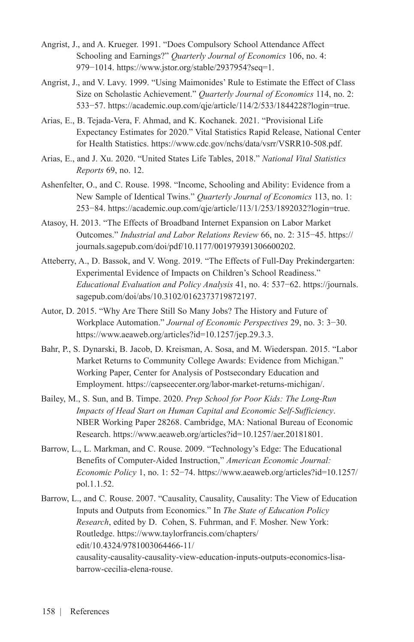- Angrist, J., and A. Krueger. 1991. "Does Compulsory School Attendance Affect Schooling and Earnings?" *Quarterly Journal of Economics* 106, no. 4: 979−1014. <https://www.jstor.org/stable/2937954?seq=1>.
- Angrist, J., and V. Lavy. 1999. "Using Maimonides' Rule to Estimate the Effect of Class Size on Scholastic Achievement." *Quarterly Journal of Economics* 114, no. 2: 533−57. <https://academic.oup.com/qje/article/114/2/533/1844228?login=true>.
- Arias, E., B. Tejada-Vera, F. Ahmad, and K. Kochanek. 2021. "Provisional Life Expectancy Estimates for 2020." Vital Statistics Rapid Release, National Center for Health Statistics. [https://www.cdc.gov/nchs/data/vsrr/VSRR10-508.pdf.](https://www.cdc.gov/nchs/data/vsrr/VSRR10-508.pdf)
- Arias, E., and J. Xu. 2020. "United States Life Tables, 2018." *National Vital Statistics Reports* 69, no. 12.
- Ashenfelter, O., and C. Rouse. 1998. "Income, Schooling and Ability: Evidence from a New Sample of Identical Twins." *Quarterly Journal of Economics* 113, no. 1: 253−84. <https://academic.oup.com/qje/article/113/1/253/1892032?login=true>.
- Atasoy, H. 2013. "The Effects of Broadband Internet Expansion on Labor Market Outcomes." *Industrial and Labor Relations Review* 66, no. 2: 315−45. https:// journals.sagepub.com/doi/pdf/10.1177/001979391306600202.
- Atteberry, A., D. Bassok, and V. Wong. 2019. "The Effects of Full-Day Prekindergarten: Experimental Evidence of Impacts on Children's School Readiness." *Educational Evaluation and Policy Analysis* 41, no. 4: 537−62. [https://journals.](https://journals.sagepub.com/doi/abs/10.3102/0162373719872197) [sagepub.com/doi/abs/10.3102/0162373719872197.](https://journals.sagepub.com/doi/abs/10.3102/0162373719872197)
- Autor, D. 2015. "Why Are There Still So Many Jobs? The History and Future of Workplace Automation." *Journal of Economic Perspectives* 29, no. 3: 3−30. <https://www.aeaweb.org/articles?id=10.1257/jep.29.3.3>.
- Bahr, P., S. Dynarski, B. Jacob, D. Kreisman, A. Sosa, and M. Wiederspan. 2015. "Labor Market Returns to Community College Awards: Evidence from Michigan." Working Paper, Center for Analysis of Postsecondary Education and Employment. [https://capseecenter.org/labor-market-returns-michigan/.](https://capseecenter.org/labor-market-returns-michigan/)
- Bailey, M., S. Sun, and B. Timpe. 2020. *Prep School for Poor Kids: The Long-Run Impacts of Head Start on Human Capital and Economic Self-Sufficiency*. NBER Working Paper 28268. Cambridge, MA: National Bureau of Economic Research. [https://www.aeaweb.org/articles?id=10.1257/aer.20181801.](https://www.aeaweb.org/articles?id=10.1257/aer.20181801)
- Barrow, L., L. Markman, and C. Rouse. 2009. "Technology's Edge: The Educational Benefits of Computer-Aided Instruction," *American Economic Journal: Economic Policy* 1, no. 1: 52−74. [https://www.aeaweb.org/articles?id=10.1257/](https://www.aeaweb.org/articles?id=10.1257/pol.1.1.52) [pol.1.1.52](https://www.aeaweb.org/articles?id=10.1257/pol.1.1.52).
- Barrow, L., and C. Rouse. 2007. "Causality, Causality, Causality: The View of Education Inputs and Outputs from Economics." In *The State of Education Policy Research*, edited by D. Cohen, S. Fuhrman, and F. Mosher. New York: Routledge. [https://www.taylorfrancis.com/chapters/](https://www.taylorfrancis.com/chapters/edit/10.4324/9781003064466-11/causality-causality-causality-view-education-inputs-outputs-economics-lisa-barrow-cecilia-elena-rouse) [edit/10.4324/9781003064466-11/](https://www.taylorfrancis.com/chapters/edit/10.4324/9781003064466-11/causality-causality-causality-view-education-inputs-outputs-economics-lisa-barrow-cecilia-elena-rouse) [causality-causality-causality-view-education-inputs-outputs-economics-lisa](https://www.taylorfrancis.com/chapters/edit/10.4324/9781003064466-11/causality-causality-causality-view-education-inputs-outputs-economics-lisa-barrow-cecilia-elena-rouse)[barrow-cecilia-elena-rouse](https://www.taylorfrancis.com/chapters/edit/10.4324/9781003064466-11/causality-causality-causality-view-education-inputs-outputs-economics-lisa-barrow-cecilia-elena-rouse).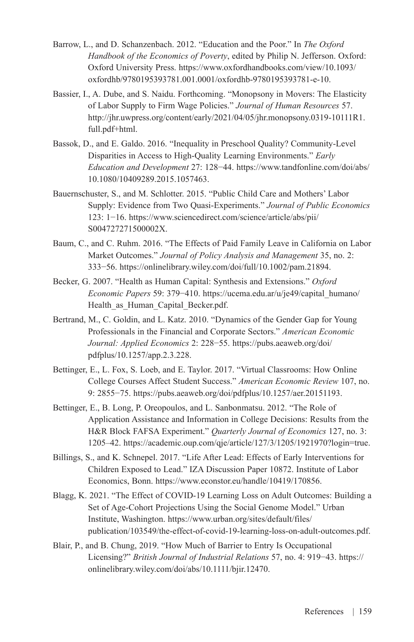- Barrow, L., and D. Schanzenbach. 2012. "Education and the Poor." In *The Oxford Handbook of the Economics of Poverty*, edited by Philip N. Jefferson. Oxford: Oxford University Press. [https://www.oxfordhandbooks.com/view/10.1093/](https://www.oxfordhandbooks.com/view/10.1093/oxfordhb/9780195393781.001.0001/oxfordhb-9780195393781-e-10) [oxfordhb/9780195393781.001.0001/oxfordhb-9780195393781-e-10.](https://www.oxfordhandbooks.com/view/10.1093/oxfordhb/9780195393781.001.0001/oxfordhb-9780195393781-e-10)
- Bassier, I., A. Dube, and S. Naidu. Forthcoming. "Monopsony in Movers: The Elasticity of Labor Supply to Firm Wage Policies." *Journal of Human Resources* 57. [http://jhr.uwpress.org/content/early/2021/04/05/jhr.monopsony.0319-10111R1.](http://jhr.uwpress.org/content/early/2021/04/05/jhr.monopsony.0319-10111R1.full.pdf+html) [full.pdf+html](http://jhr.uwpress.org/content/early/2021/04/05/jhr.monopsony.0319-10111R1.full.pdf+html).
- Bassok, D., and E. Galdo. 2016. "Inequality in Preschool Quality? Community-Level Disparities in Access to High-Quality Learning Environments." *Early Education and Development* 27: 128−44. [https://www.tandfonline.com/doi/abs/](https://www.tandfonline.com/doi/abs/10.1080/10409289.2015.1057463) [10.1080/10409289.2015.1057463.](https://www.tandfonline.com/doi/abs/10.1080/10409289.2015.1057463)
- Bauernschuster, S., and M. Schlotter. 2015. "Public Child Care and Mothers' Labor Supply: Evidence from Two Quasi-Experiments." *Journal of Public Economics* 123: 1−16. [https://www.sciencedirect.com/science/article/abs/pii/](https://www.sciencedirect.com/science/article/abs/pii/S004727271500002X) [S004727271500002X](https://www.sciencedirect.com/science/article/abs/pii/S004727271500002X).
- Baum, C., and C. Ruhm. 2016. "The Effects of Paid Family Leave in California on Labor Market Outcomes." *Journal of Policy Analysis and Management* 35, no. 2: 333−56. <https://onlinelibrary.wiley.com/doi/full/10.1002/pam.21894>.
- Becker, G. 2007. "Health as Human Capital: Synthesis and Extensions." *Oxford Economic Papers* 59: 379−410. [https://ucema.edu.ar/u/je49/capital\\_humano/](https://ucema.edu.ar/u/je49/capital_humano/Health_as_Human_Capital_Becker.pdf) Health as Human Capital Becker.pdf.
- Bertrand, M., C. Goldin, and L. Katz. 2010. "Dynamics of the Gender Gap for Young Professionals in the Financial and Corporate Sectors." *American Economic Journal: Applied Economics* 2: 228−55. [https://pubs.aeaweb.org/doi/](https://pubs.aeaweb.org/doi/pdfplus/10.1257/app.2.3.228) [pdfplus/10.1257/app.2.3.228](https://pubs.aeaweb.org/doi/pdfplus/10.1257/app.2.3.228).
- Bettinger, E., L. Fox, S. Loeb, and E. Taylor. 2017. "Virtual Classrooms: How Online College Courses Affect Student Success." *American Economic Review* 107, no. 9: 2855−75. [https://pubs.aeaweb.org/doi/pdfplus/10.1257/aer.20151193.](https://pubs.aeaweb.org/doi/pdfplus/10.1257/aer.20151193)
- Bettinger, E., B. Long, P. Oreopoulos, and L. Sanbonmatsu. 2012. "The Role of Application Assistance and Information in College Decisions: Results from the H&R Block FAFSA Experiment." *Quarterly Journal of Economics* 127, no. 3: 1205–42. <https://academic.oup.com/qje/article/127/3/1205/1921970?login=true>.
- Billings, S., and K. Schnepel. 2017. "Life After Lead: Effects of Early Interventions for Children Exposed to Lead." IZA Discussion Paper 10872. Institute of Labor Economics, Bonn. [https://www.econstor.eu/handle/10419/170856.](https://www.econstor.eu/handle/10419/170856)
- Blagg, K. 2021. "The Effect of COVID-19 Learning Loss on Adult Outcomes: Building a Set of Age-Cohort Projections Using the Social Genome Model." Urban Institute, Washington. [https://www.urban.org/sites/default/files/](https://www.urban.org/sites/default/files/publication/103549/the-effect-of-covid-19-learning-loss-on-adult-outcomes.pdf) [publication/103549/the-effect-of-covid-19-learning-loss-on-adult-outcomes.pdf](https://www.urban.org/sites/default/files/publication/103549/the-effect-of-covid-19-learning-loss-on-adult-outcomes.pdf).
- Blair, P., and B. Chung, 2019. "How Much of Barrier to Entry Is Occupational Licensing?" *British Journal of Industrial Relations* 57, no. 4: 919−43. [https://](https://onlinelibrary.wiley.com/doi/abs/10.1111/bjir.12470) [onlinelibrary.wiley.com/doi/abs/10.1111/bjir.12470.](https://onlinelibrary.wiley.com/doi/abs/10.1111/bjir.12470)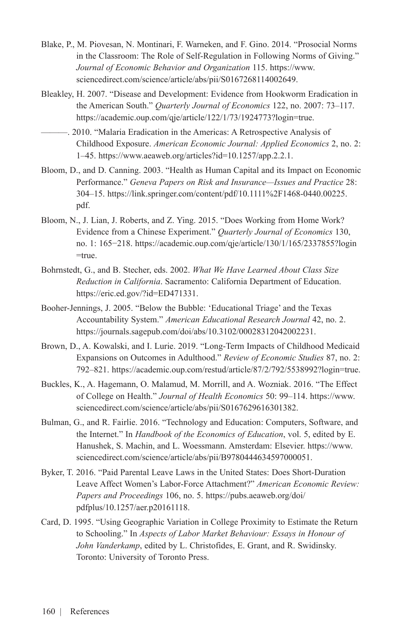- Blake, P., M. Piovesan, N. Montinari, F. Warneken, and F. Gino. 2014. "Prosocial Norms in the Classroom: The Role of Self-Regulation in Following Norms of Giving." *Journal of Economic Behavior and Organization* 115. [https://www.](https://www.sciencedirect.com/science/article/abs/pii/S0167268114002649) [sciencedirect.com/science/article/abs/pii/S0167268114002649](https://www.sciencedirect.com/science/article/abs/pii/S0167268114002649).
- Bleakley, H. 2007. "Disease and Development: Evidence from Hookworm Eradication in the American South." *Quarterly Journal of Economics* 122, no. 2007: 73–117. <https://academic.oup.com/qje/article/122/1/73/1924773?login=true>.
	- ———. 2010. "Malaria Eradication in the Americas: A Retrospective Analysis of Childhood Exposure. *American Economic Journal: Applied Economics* 2, no. 2: 1–45. [https://www.aeaweb.org/articles?id=10.1257/app.2.2.1.](https://www.aeaweb.org/articles?id=10.1257/app.2.2.1)
- Bloom, D., and D. Canning. 2003. "Health as Human Capital and its Impact on Economic Performance." *Geneva Papers on Risk and Insurance—Issues and Practice* 28: 304–15. [https://link.springer.com/content/pdf/10.1111%2F1468-0440.00225.](https://link.springer.com/content/pdf/10.1111%2F1468-0440.00225.pdf) [pdf.](https://link.springer.com/content/pdf/10.1111%2F1468-0440.00225.pdf)
- Bloom, N., J. Lian, J. Roberts, and Z. Ying. 2015. "Does Working from Home Work? Evidence from a Chinese Experiment." *Quarterly Journal of Economics* 130, no. 1: 165−218. [https://academic.oup.com/qje/article/130/1/165/2337855?login](https://academic.oup.com/qje/article/130/1/165/2337855?login=true) [=true](https://academic.oup.com/qje/article/130/1/165/2337855?login=true).
- Bohrnstedt, G., and B. Stecher, eds. 2002. *What We Have Learned About Class Size Reduction in California*. Sacramento: California Department of Education. [https://eric.ed.gov/?id=ED471331.](https://eric.ed.gov/?id=ED471331)
- Booher-Jennings, J. 2005. "Below the Bubble: 'Educational Triage' and the Texas Accountability System." *American Educational Research Journal* 42, no. 2. [https://journals.sagepub.com/doi/abs/10.3102/00028312042002231.](https://journals.sagepub.com/doi/abs/10.3102/00028312042002231)
- Brown, D., A. Kowalski, and I. Lurie. 2019. "Long-Term Impacts of Childhood Medicaid Expansions on Outcomes in Adulthood." *Review of Economic Studies* 87, no. 2: 792–821. <https://academic.oup.com/restud/article/87/2/792/5538992?login=true>.
- Buckles, K., A. Hagemann, O. Malamud, M. Morrill, and A. Wozniak. 2016. "The Effect of College on Health." *Journal of Health Economics* 50: 99–114. [https://www.](https://www.sciencedirect.com/science/article/abs/pii/S0167629616301382) [sciencedirect.com/science/article/abs/pii/S0167629616301382.](https://www.sciencedirect.com/science/article/abs/pii/S0167629616301382)
- Bulman, G., and R. Fairlie. 2016. "Technology and Education: Computers, Software, and the Internet." In *Handbook of the Economics of Education*, vol. 5, edited by E. Hanushek, S. Machin, and L. Woessmann. Amsterdam: Elsevier. [https://www.](https://www.sciencedirect.com/science/article/abs/pii/B9780444634597000051) [sciencedirect.com/science/article/abs/pii/B9780444634597000051](https://www.sciencedirect.com/science/article/abs/pii/B9780444634597000051).
- Byker, T. 2016. "Paid Parental Leave Laws in the United States: Does Short-Duration Leave Affect Women's Labor-Force Attachment?" *American Economic Review: Papers and Proceedings* 106, no. 5. [https://pubs.aeaweb.org/doi/](https://pubs.aeaweb.org/doi/pdfplus/10.1257/aer.p20161118) [pdfplus/10.1257/aer.p20161118.](https://pubs.aeaweb.org/doi/pdfplus/10.1257/aer.p20161118)
- Card, D. 1995. "Using Geographic Variation in College Proximity to Estimate the Return to Schooling." In *Aspects of Labor Market Behaviour: Essays in Honour of John Vanderkamp*, edited by L. Christofides, E. Grant, and R. Swidinsky. Toronto: University of Toronto Press.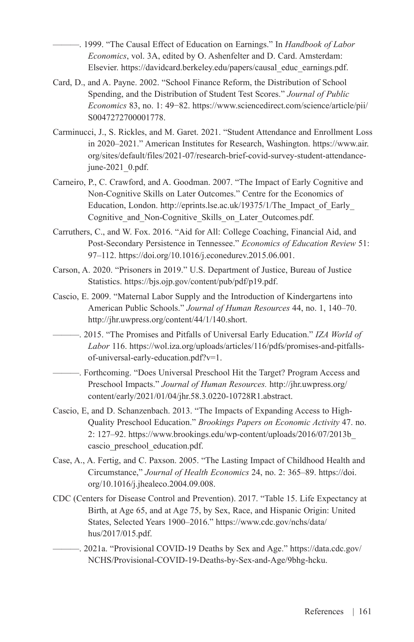———. 1999. "The Causal Effect of Education on Earnings." In *Handbook of Labor Economics*, vol. 3A, edited by O. Ashenfelter and D. Card. Amsterdam: Elsevier. [https://davidcard.berkeley.edu/papers/causal\\_educ\\_earnings.pdf.](https://davidcard.berkeley.edu/papers/causal_educ_earnings.pdf)

- Card, D., and A. Payne. 2002. "School Finance Reform, the Distribution of School Spending, and the Distribution of Student Test Scores." *Journal of Public Economics* 83, no. 1: 49−82. [https://www.sciencedirect.com/science/article/pii/](https://www.sciencedirect.com/science/article/pii/S0047272700001778) [S0047272700001778](https://www.sciencedirect.com/science/article/pii/S0047272700001778).
- Carminucci, J., S. Rickles, and M. Garet. 2021. "Student Attendance and Enrollment Loss in 2020–2021." American Institutes for Research, Washington. [https://www.air.](https://www.air.org/sites/default/files/2021-07/research-brief-covid-survey-student-attendance-june-2021_0.pdf) [org/sites/default/files/2021-07/research-brief-covid-survey-student-attendance](https://www.air.org/sites/default/files/2021-07/research-brief-covid-survey-student-attendance-june-2021_0.pdf)[june-2021\\_0.pdf.](https://www.air.org/sites/default/files/2021-07/research-brief-covid-survey-student-attendance-june-2021_0.pdf)
- Carneiro, P., C. Crawford, and A. Goodman. 2007. "The Impact of Early Cognitive and Non-Cognitive Skills on Later Outcomes." Centre for the Economics of Education, London. [http://eprints.lse.ac.uk/19375/1/The\\_Impact\\_of\\_Early\\_](http://eprints.lse.ac.uk/19375/1/The_Impact_of_Early_Cognitive_and_Non-Cognitive_Skills_on_Later_Outcomes.pdf) [Cognitive\\_and\\_Non-Cognitive\\_Skills\\_on\\_Later\\_Outcomes.pdf.](http://eprints.lse.ac.uk/19375/1/The_Impact_of_Early_Cognitive_and_Non-Cognitive_Skills_on_Later_Outcomes.pdf)
- Carruthers, C., and W. Fox. 2016. "Aid for All: College Coaching, Financial Aid, and Post-Secondary Persistence in Tennessee." *Economics of Education Review* 51: 97–112.<https://doi.org/10.1016/j.econedurev.2015.06.001>.
- Carson, A. 2020. "Prisoners in 2019." U.S. Department of Justice, Bureau of Justice Statistics. [https://bjs.ojp.gov/content/pub/pdf/p19.pdf.](https://bjs.ojp.gov/content/pub/pdf/p19.pdf)
- Cascio, E. 2009. "Maternal Labor Supply and the Introduction of Kindergartens into American Public Schools." *Journal of Human Resources* 44, no. 1, 140–70. [http://jhr.uwpress.org/content/44/1/140.short.](http://jhr.uwpress.org/content/44/1/140.short)
- ———. 2015. "The Promises and Pitfalls of Universal Early Education." *IZA World of Labor* 116. [https://wol.iza.org/uploads/articles/116/pdfs/promises-and-pitfalls](https://wol.iza.org/uploads/articles/116/pdfs/promises-and-pitfalls-of-universal-early-education.pdf?v=1)[of-universal-early-education.pdf?v=1.](https://wol.iza.org/uploads/articles/116/pdfs/promises-and-pitfalls-of-universal-early-education.pdf?v=1)
- ———. Forthcoming. "Does Universal Preschool Hit the Target? Program Access and Preschool Impacts." *Journal of Human Resources.* [http://jhr.uwpress.org/](http://jhr.uwpress.org/content/early/2021/01/04/jhr.58.3.0220-10728R1.abstract) [content/early/2021/01/04/jhr.58.3.0220-10728R1.abstract.](http://jhr.uwpress.org/content/early/2021/01/04/jhr.58.3.0220-10728R1.abstract)
- Cascio, E, and D. Schanzenbach. 2013. "The Impacts of Expanding Access to High-Quality Preschool Education." *Brookings Papers on Economic Activity* 47. no. 2: 127–92. [https://www.brookings.edu/wp-content/uploads/2016/07/2013b\\_](https://www.brookings.edu/wp-content/uploads/2016/07/2013b_cascio_preschool_education.pdf) [cascio\\_preschool\\_education.pdf.](https://www.brookings.edu/wp-content/uploads/2016/07/2013b_cascio_preschool_education.pdf)
- Case, A., A. Fertig, and C. Paxson. 2005. "The Lasting Impact of Childhood Health and Circumstance," *Journal of Health Economics* 24, no. 2: 365–89. [https://doi.](https://doi.org/10.1016/j.jhealeco.2004.09.008) [org/10.1016/j.jhealeco.2004.09.008](https://doi.org/10.1016/j.jhealeco.2004.09.008).
- CDC (Centers for Disease Control and Prevention). 2017. "Table 15. Life Expectancy at Birth, at Age 65, and at Age 75, by Sex, Race, and Hispanic Origin: United States, Selected Years 1900–2016." [https://www.cdc.gov/nchs/data/](https://www.cdc.gov/nchs/data/hus/2017/015.pdf) [hus/2017/015.pdf](https://www.cdc.gov/nchs/data/hus/2017/015.pdf).
- ———. 2021a. "Provisional COVID-19 Deaths by Sex and Age." [https://data.cdc.gov/](https://data.cdc.gov/NCHS/Provisional-COVID-19-Deaths-by-Sex-and-Age/9bhg-hcku) [NCHS/Provisional-COVID-19-Deaths-by-Sex-and-Age/9bhg-hcku](https://data.cdc.gov/NCHS/Provisional-COVID-19-Deaths-by-Sex-and-Age/9bhg-hcku).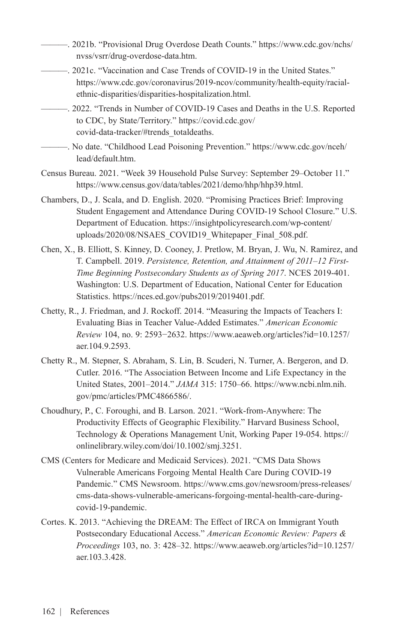- ———. 2021b. "Provisional Drug Overdose Death Counts." [https://www.cdc.gov/nchs/](https://www.cdc.gov/nchs/nvss/vsrr/drug-overdose-data.htm) [nvss/vsrr/drug-overdose-data.htm](https://www.cdc.gov/nchs/nvss/vsrr/drug-overdose-data.htm).
	- ———. 2021c. "Vaccination and Case Trends of COVID-19 in the United States." [https://www.cdc.gov/coronavirus/2019-ncov/community/health-equity/racial](https://www.cdc.gov/coronavirus/2019-ncov/community/health-equity/racial-ethnic-disparities/disparities-hospitalization.html)[ethnic-disparities/disparities-hospitalization.html](https://www.cdc.gov/coronavirus/2019-ncov/community/health-equity/racial-ethnic-disparities/disparities-hospitalization.html).
	- ———. 2022. "Trends in Number of COVID-19 Cases and Deaths in the U.S. Reported to CDC, by State/Territory." [https://covid.cdc.gov/](https://covid.cdc.gov/covid-data-tracker/%23trends_totaldeaths) [covid-data-tracker/#trends\\_totaldeaths](https://covid.cdc.gov/covid-data-tracker/%23trends_totaldeaths).
- ———. No date. "Childhood Lead Poisoning Prevention." [https://www.cdc.gov/nceh/](https://www.cdc.gov/nceh/lead/default.htm) [lead/default.htm.](https://www.cdc.gov/nceh/lead/default.htm)
- Census Bureau. 2021. "Week 39 Household Pulse Survey: September 29–October 11." [https://www.census.gov/data/tables/2021/demo/hhp/hhp39.html.](https://www.census.gov/data/tables/2021/demo/hhp/hhp39.html)
- Chambers, D., J. Scala, and D. English. 2020. "Promising Practices Brief: Improving Student Engagement and Attendance During COVID-19 School Closure." U.S. Department of Education. [https://insightpolicyresearch.com/wp-content/](https://insightpolicyresearch.com/wp-content/uploads/2020/08/NSAES_COVID19_Whitepaper_Final_508.pdf) [uploads/2020/08/NSAES\\_COVID19\\_Whitepaper\\_Final\\_508.pdf.](https://insightpolicyresearch.com/wp-content/uploads/2020/08/NSAES_COVID19_Whitepaper_Final_508.pdf)
- Chen, X., B. Elliott, S. Kinney, D. Cooney, J. Pretlow, M. Bryan, J. Wu, N. Ramirez, and T. Campbell. 2019. *Persistence, Retention, and Attainment of 2011–12 First-Time Beginning Postsecondary Students as of Spring 2017*. NCES 2019-401. Washington: U.S. Department of Education, National Center for Education Statistics.<https://nces.ed.gov/pubs2019/2019401.pdf>.
- Chetty, R., J. Friedman, and J. Rockoff. 2014. "Measuring the Impacts of Teachers I: Evaluating Bias in Teacher Value-Added Estimates." *American Economic Review* 104, no. 9: 2593−2632. [https://www.aeaweb.org/articles?id=10.1257/](https://www.aeaweb.org/articles?id=10.1257/aer.104.9.2593) [aer.104.9.2593](https://www.aeaweb.org/articles?id=10.1257/aer.104.9.2593).
- Chetty R., M. Stepner, S. Abraham, S. Lin, B. Scuderi, N. Turner, A. Bergeron, and D. Cutler. 2016. "The Association Between Income and Life Expectancy in the United States, 2001–2014." *JAMA* 315: 1750–66. [https://www.ncbi.nlm.nih.](https://www.ncbi.nlm.nih.gov/pmc/articles/PMC4866586/) [gov/pmc/articles/PMC4866586/](https://www.ncbi.nlm.nih.gov/pmc/articles/PMC4866586/).
- Choudhury, P., C. Foroughi, and B. Larson. 2021. "Work-from-Anywhere: The Productivity Effects of Geographic Flexibility." Harvard Business School, Technology & Operations Management Unit, Working Paper 19-054. [https://](https://onlinelibrary.wiley.com/doi/10.1002/smj.3251) [onlinelibrary.wiley.com/doi/10.1002/smj.3251.](https://onlinelibrary.wiley.com/doi/10.1002/smj.3251)
- CMS (Centers for Medicare and Medicaid Services). 2021. "CMS Data Shows Vulnerable Americans Forgoing Mental Health Care During COVID-19 Pandemic." CMS Newsroom. [https://www.cms.gov/newsroom/press-releases/](https://www.cms.gov/newsroom/press-releases/cms-data-shows-vulnerable-americans-forgoing-mental-health-care-during-covid-19-pandemic) [cms-data-shows-vulnerable-americans-forgoing-mental-health-care-during](https://www.cms.gov/newsroom/press-releases/cms-data-shows-vulnerable-americans-forgoing-mental-health-care-during-covid-19-pandemic)[covid-19-pandemic.](https://www.cms.gov/newsroom/press-releases/cms-data-shows-vulnerable-americans-forgoing-mental-health-care-during-covid-19-pandemic)
- Cortes. K. 2013. "Achieving the DREAM: The Effect of IRCA on Immigrant Youth Postsecondary Educational Access." *American Economic Review: Papers & Proceedings* 103, no. 3: 428–32. [https://www.aeaweb.org/articles?id=10.1257/](https://www.aeaweb.org/articles?id=10.1257/aer.103.3.428) [aer.103.3.428.](https://www.aeaweb.org/articles?id=10.1257/aer.103.3.428)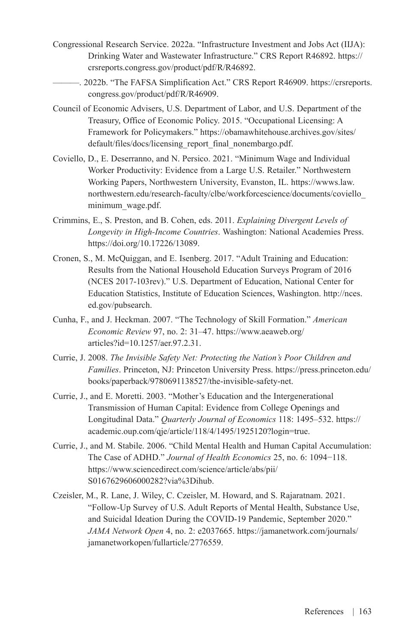- Congressional Research Service. 2022a. "Infrastructure Investment and Jobs Act (IIJA): Drinking Water and Wastewater Infrastructure." CRS Report R46892. [https://](https://crsreports.congress.gov/product/pdf/R/R46892) [crsreports.congress.gov/product/pdf/R/R46892.](https://crsreports.congress.gov/product/pdf/R/R46892)
- ———. 2022b. "The FAFSA Simplification Act." CRS Report R46909. [https://crsreports.](https://crsreports.congress.gov/product/pdf/R/R46909) [congress.gov/product/pdf/R/R46909](https://crsreports.congress.gov/product/pdf/R/R46909).
- Council of Economic Advisers, U.S. Department of Labor, and U.S. Department of the Treasury, Office of Economic Policy. 2015. "Occupational Licensing: A Framework for Policymakers." [https://obamawhitehouse.archives.gov/sites/](https://obamawhitehouse.archives.gov/sites/default/files/docs/licensing_report_final_nonembargo.pdf) [default/files/docs/licensing\\_report\\_final\\_nonembargo.pdf.](https://obamawhitehouse.archives.gov/sites/default/files/docs/licensing_report_final_nonembargo.pdf)
- Coviello, D., E. Deserranno, and N. Persico. 2021. "Minimum Wage and Individual Worker Productivity: Evidence from a Large U.S. Retailer." Northwestern Working Papers, Northwestern University, Evanston, IL. [https://wwws.law.](https://wwws.law.northwestern.edu/research-faculty/clbe/workforcescience/documents/coviello_minimum_wage.pdf) [northwestern.edu/research-faculty/clbe/workforcescience/documents/coviello\\_](https://wwws.law.northwestern.edu/research-faculty/clbe/workforcescience/documents/coviello_minimum_wage.pdf) [minimum\\_wage.pdf.](https://wwws.law.northwestern.edu/research-faculty/clbe/workforcescience/documents/coviello_minimum_wage.pdf)
- Crimmins, E., S. Preston, and B. Cohen, eds. 2011. *Explaining Divergent Levels of Longevity in High-Income Countries*. Washington: National Academies Press. [https://doi.org/10.17226/13089.](https://doi.org/10.17226/13089)
- Cronen, S., M. McQuiggan, and E. Isenberg. 2017. "Adult Training and Education: Results from the National Household Education Surveys Program of 2016 (NCES 2017-103rev)." U.S. Department of Education, National Center for Education Statistics, Institute of Education Sciences, Washington. [http://nces.](http://nces.ed.gov/pubsearch) [ed.gov/pubsearch](http://nces.ed.gov/pubsearch).
- Cunha, F., and J. Heckman. 2007. "The Technology of Skill Formation." *American Economic Review* 97, no. 2: 31–47. [https://www.aeaweb.org/](https://www.aeaweb.org/articles?id=10.1257/aer.97.2.31) [articles?id=10.1257/aer.97.2.31.](https://www.aeaweb.org/articles?id=10.1257/aer.97.2.31)
- Currie, J. 2008. *The Invisible Safety Net: Protecting the Nation's Poor Children and Families*. Princeton, NJ: Princeton University Press. https://press.princeton.edu/ books/paperback/9780691138527/the-invisible-safety-net.
- Currie, J., and E. Moretti. 2003. "Mother's Education and the Intergenerational Transmission of Human Capital: Evidence from College Openings and Longitudinal Data." *Quarterly Journal of Economics* 118: 1495–532. [https://](https://academic.oup.com/qje/article/118/4/1495/1925120?login=true) [academic.oup.com/qje/article/118/4/1495/1925120?login=true.](https://academic.oup.com/qje/article/118/4/1495/1925120?login=true)
- Currie, J., and M. Stabile. 2006. "Child Mental Health and Human Capital Accumulation: The Case of ADHD." *Journal of Health Economics* 25, no. 6: 1094−118. [https://www.sciencedirect.com/science/article/abs/pii/](https://www.sciencedirect.com/science/article/abs/pii/S0167629606000282?via%3Dihub) [S0167629606000282?via%3Dihub](https://www.sciencedirect.com/science/article/abs/pii/S0167629606000282?via%3Dihub).
- Czeisler, M., R. Lane, J. Wiley, C. Czeisler, M. Howard, and S. Rajaratnam. 2021. "Follow-Up Survey of U.S. Adult Reports of Mental Health, Substance Use, and Suicidal Ideation During the COVID-19 Pandemic, September 2020." *JAMA Network Open* 4, no. 2: e2037665. [https://jamanetwork.com/journals/](https://jamanetwork.com/journals/jamanetworkopen/fullarticle/2776559) [jamanetworkopen/fullarticle/2776559.](https://jamanetwork.com/journals/jamanetworkopen/fullarticle/2776559)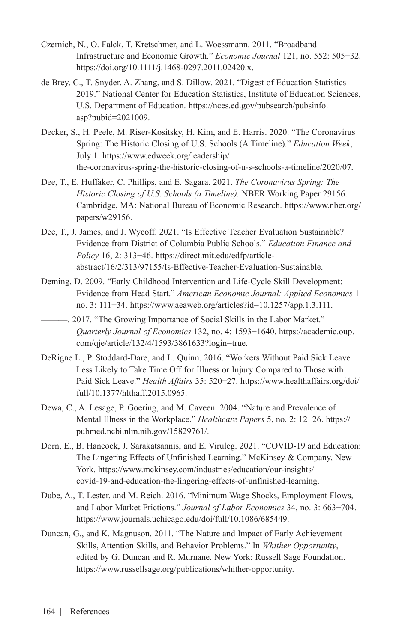- Czernich, N., O. Falck, T. Kretschmer, and L. Woessmann. 2011. "Broadband Infrastructure and Economic Growth." *Economic Journal* 121, no. 552: 505−32. <https://doi.org/10.1111/j.1468-0297.2011.02420.x>.
- de Brey, C., T. Snyder, A. Zhang, and S. Dillow. 2021. "Digest of Education Statistics 2019." National Center for Education Statistics, Institute of Education Sciences, U.S. Department of Education. [https://nces.ed.gov/pubsearch/pubsinfo.](https://nces.ed.gov/pubsearch/pubsinfo.asp?pubid=2021009) [asp?pubid=2021009](https://nces.ed.gov/pubsearch/pubsinfo.asp?pubid=2021009).
- Decker, S., H. Peele, M. Riser-Kositsky, H. Kim, and E. Harris. 2020. "The Coronavirus Spring: The Historic Closing of U.S. Schools (A Timeline)." *Education Week*, July 1. [https://www.edweek.org/leadership/](https://www.edweek.org/leadership/the-coronavirus-spring-the-historic-closing-of-u-s-schools-a-timeline/2020/07) [the-coronavirus-spring-the-historic-closing-of-u-s-schools-a-timeline/2020/07.](https://www.edweek.org/leadership/the-coronavirus-spring-the-historic-closing-of-u-s-schools-a-timeline/2020/07)
- Dee, T., E. Huffaker, C. Phillips, and E. Sagara. 2021. *The Coronavirus Spring: The Historic Closing of U.S. Schools (a Timeline).* NBER Working Paper 29156. Cambridge, MA: National Bureau of Economic Research. [https://www.nber.org/](https://www.nber.org/papers/w29156) [papers/w29156.](https://www.nber.org/papers/w29156)
- Dee, T., J. James, and J. Wycoff. 2021. "Is Effective Teacher Evaluation Sustainable? Evidence from District of Columbia Public Schools." *Education Finance and Policy* 16, 2: 313−46. [https://direct.mit.edu/edfp/article](https://direct.mit.edu/edfp/article-abstract/16/2/313/97155/Is-Effective-Teacher-Evaluation-Sustainable)[abstract/16/2/313/97155/Is-Effective-Teacher-Evaluation-Sustainable.](https://direct.mit.edu/edfp/article-abstract/16/2/313/97155/Is-Effective-Teacher-Evaluation-Sustainable)
- Deming, D. 2009. "Early Childhood Intervention and Life-Cycle Skill Development: Evidence from Head Start." *American Economic Journal: Applied Economics* 1 no. 3: 111−34. [https://www.aeaweb.org/articles?id=10.1257/app.1.3.111.](https://www.aeaweb.org/articles?id=10.1257/app.1.3.111)
	- ———. 2017. "The Growing Importance of Social Skills in the Labor Market." *Quarterly Journal of Economics* 132, no. 4: 1593−1640. [https://academic.oup.](https://academic.oup.com/qje/article/132/4/1593/3861633?login=true) [com/qje/article/132/4/1593/3861633?login=true](https://academic.oup.com/qje/article/132/4/1593/3861633?login=true).
- DeRigne L., P. Stoddard-Dare, and L. Quinn. 2016. "Workers Without Paid Sick Leave Less Likely to Take Time Off for Illness or Injury Compared to Those with Paid Sick Leave." *Health Affairs* 35: 520−27. [https://www.healthaffairs.org/doi/](https://www.healthaffairs.org/doi/full/10.1377/hlthaff.2015.0965) [full/10.1377/hlthaff.2015.0965](https://www.healthaffairs.org/doi/full/10.1377/hlthaff.2015.0965).
- Dewa, C., A. Lesage, P. Goering, and M. Caveen. 2004. "Nature and Prevalence of Mental Illness in the Workplace." *Healthcare Papers* 5, no. 2: 12−26. [https://](https://pubmed.ncbi.nlm.nih.gov/15829761/) [pubmed.ncbi.nlm.nih.gov/15829761/](https://pubmed.ncbi.nlm.nih.gov/15829761/).
- Dorn, E., B. Hancock, J. Sarakatsannis, and E. Viruleg. 2021. "COVID-19 and Education: The Lingering Effects of Unfinished Learning." McKinsey & Company, New York. [https://www.mckinsey.com/industries/education/our-insights/](https://www.mckinsey.com/industries/education/our-insights/covid-19-and-education-the-lingering-effects-of-unfinished-learning) [covid-19-and-education-the-lingering-effects-of-unfinished-learning](https://www.mckinsey.com/industries/education/our-insights/covid-19-and-education-the-lingering-effects-of-unfinished-learning).
- Dube, A., T. Lester, and M. Reich. 2016. "Minimum Wage Shocks, Employment Flows, and Labor Market Frictions." *Journal of Labor Economics* 34, no. 3: 663−704. <https://www.journals.uchicago.edu/doi/full/10.1086/685449>.
- Duncan, G., and K. Magnuson. 2011. "The Nature and Impact of Early Achievement Skills, Attention Skills, and Behavior Problems." In *Whither Opportunity*, edited by G. Duncan and R. Murnane. New York: Russell Sage Foundation. <https://www.russellsage.org/publications/whither-opportunity>.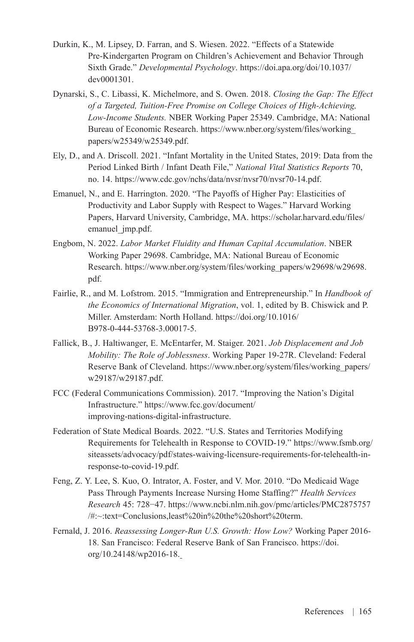- Durkin, K., M. Lipsey, D. Farran, and S. Wiesen. 2022. "Effects of a Statewide Pre-Kindergarten Program on Children's Achievement and Behavior Through Sixth Grade." *Developmental Psychology*. [https://doi.apa.org/doi/10.1037/](https://doi.apa.org/doi/10.1037/dev0001301) [dev0001301](https://doi.apa.org/doi/10.1037/dev0001301).
- Dynarski, S., C. Libassi, K. Michelmore, and S. Owen. 2018. *Closing the Gap: The Effect of a Targeted, Tuition-Free Promise on College Choices of High-Achieving, Low-Income Students.* NBER Working Paper 25349. Cambridge, MA: National Bureau of Economic Research. [https://www.nber.org/system/files/working\\_](https://www.nber.org/system/files/working_papers/w25349/w25349.pdf) [papers/w25349/w25349.pdf.](https://www.nber.org/system/files/working_papers/w25349/w25349.pdf)
- Ely, D., and A. Driscoll. 2021. "Infant Mortality in the United States, 2019: Data from the Period Linked Birth / Infant Death File," *National Vital Statistics Reports* 70, no. 14. [https://www.cdc.gov/nchs/data/nvsr/nvsr70/nvsr70-14.pdf.](https://www.cdc.gov/nchs/data/nvsr/nvsr70/nvsr70-14.pdf)
- Emanuel, N., and E. Harrington. 2020. "The Payoffs of Higher Pay: Elasticities of Productivity and Labor Supply with Respect to Wages." Harvard Working Papers, Harvard University, Cambridge, MA. [https://scholar.harvard.edu/files/](https://scholar.harvard.edu/files/emanuel_jmp.pdf) emanuel imp.pdf.
- Engbom, N. 2022. *Labor Market Fluidity and Human Capital Accumulation*. NBER Working Paper 29698. Cambridge, MA: National Bureau of Economic Research. [https://www.nber.org/system/files/working\\_papers/w29698/w29698.](https://www.nber.org/system/files/working_papers/w29698/w29698.pdf) [pdf.](https://www.nber.org/system/files/working_papers/w29698/w29698.pdf)
- Fairlie, R., and M. Lofstrom. 2015. "Immigration and Entrepreneurship." In *Handbook of the Economics of International Migration*, vol. 1, edited by B. Chiswick and P. Miller. Amsterdam: North Holland. [https://doi.org/10.1016/](https://doi.org/10.1016/B978-0-444-53768-3.00017-5) [B978-0-444-53768-3.00017-5.](https://doi.org/10.1016/B978-0-444-53768-3.00017-5)
- Fallick, B., J. Haltiwanger, E. McEntarfer, M. Staiger. 2021. *Job Displacement and Job Mobility: The Role of Joblessness*. Working Paper 19-27R. Cleveland: Federal Reserve Bank of Cleveland. [https://www.nber.org/system/files/working\\_papers/](https://www.nber.org/system/files/working_papers/w29187/w29187.pdf) [w29187/w29187.pdf.](https://www.nber.org/system/files/working_papers/w29187/w29187.pdf)
- FCC (Federal Communications Commission). 2017. "Improving the Nation's Digital Infrastructure." [https://www.fcc.gov/document/](https://www.fcc.gov/document/improving-nations-digital-infrastructure) [improving-nations-digital-infrastructure.](https://www.fcc.gov/document/improving-nations-digital-infrastructure)
- Federation of State Medical Boards. 2022. "U.S. States and Territories Modifying Requirements for Telehealth in Response to COVID-19." [https://www.fsmb.org/](https://www.fsmb.org/siteassets/advocacy/pdf/states-waiving-licensure-requirements-for-telehealth-in-response-to-covid-19.pdf) [siteassets/advocacy/pdf/states-waiving-licensure-requirements-for-telehealth-in](https://www.fsmb.org/siteassets/advocacy/pdf/states-waiving-licensure-requirements-for-telehealth-in-response-to-covid-19.pdf)[response-to-covid-19.pdf.](https://www.fsmb.org/siteassets/advocacy/pdf/states-waiving-licensure-requirements-for-telehealth-in-response-to-covid-19.pdf)
- Feng, Z. Y. Lee, S. Kuo, O. Intrator, A. Foster, and V. Mor. 2010. "Do Medicaid Wage Pass Through Payments Increase Nursing Home Staffing?" *Health Services Research* 45: 728−47. https://www.ncbi.nlm.nih.gov/pmc/articles/PMC2875757  $\#$ : $\sim$ :text=Conclusions,least%20in%20the%20short%20term.
- Fernald, J. 2016. *Reassessing Longer-Run U.S. Growth: How Low?* Working Paper 2016- 18. San Francisco: Federal Reserve Bank of San Francisco. [https://doi.](https://doi.org/10.24148/wp2016-18) [org/10.24148/wp2016-18.](https://doi.org/10.24148/wp2016-18)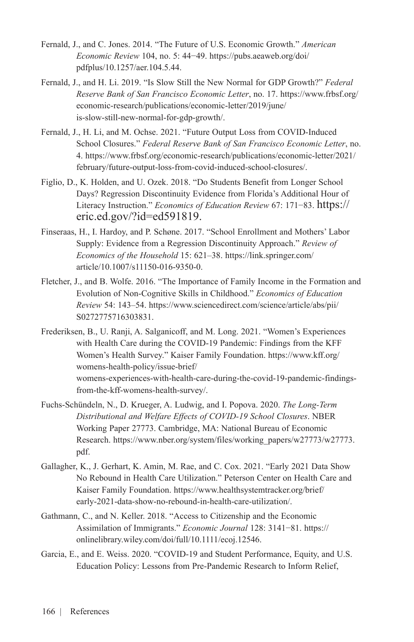- Fernald, J., and C. Jones. 2014. "The Future of U.S. Economic Growth." *American Economic Review* 104, no. 5: 44−49. [https://pubs.aeaweb.org/doi/](https://pubs.aeaweb.org/doi/pdfplus/10.1257/aer.104.5.44) [pdfplus/10.1257/aer.104.5.44](https://pubs.aeaweb.org/doi/pdfplus/10.1257/aer.104.5.44).
- Fernald, J., and H. Li. 2019. "Is Slow Still the New Normal for GDP Growth?" *Federal Reserve Bank of San Francisco Economic Letter*, no. 17. [https://www.frbsf.org/](https://www.frbsf.org/economic-research/publications/economic-letter/2019/june/is-slow-still-new-normal-for-gdp-growth/) [economic-research/publications/economic-letter/2019/june/](https://www.frbsf.org/economic-research/publications/economic-letter/2019/june/is-slow-still-new-normal-for-gdp-growth/) [is-slow-still-new-normal-for-gdp-growth/.](https://www.frbsf.org/economic-research/publications/economic-letter/2019/june/is-slow-still-new-normal-for-gdp-growth/)
- Fernald, J., H. Li, and M. Ochse. 2021. "Future Output Loss from COVID-Induced School Closures." *Federal Reserve Bank of San Francisco Economic Letter*, no. 4. [https://www.frbsf.org/economic-research/publications/economic-letter/2021/](https://www.frbsf.org/economic-research/publications/economic-letter/2021/february/future-output-loss-from-covid-induced-school-closures/) [february/future-output-loss-from-covid-induced-school-closures/.](https://www.frbsf.org/economic-research/publications/economic-letter/2021/february/future-output-loss-from-covid-induced-school-closures/)
- Figlio, D., K. Holden, and U. Ozek. 2018. "Do Students Benefit from Longer School Days? Regression Discontinuity Evidence from Florida's Additional Hour of Literacy Instruction." *Economics of Education Review* 67: 171−83. [https://](https://eric.ed.gov/?id=ED591819) [eric.ed.gov/?id=ed591819](https://eric.ed.gov/?id=ED591819).
- Finseraas, H., I. Hardoy, and P. Schøne. 2017. "School Enrollment and Mothers' Labor Supply: Evidence from a Regression Discontinuity Approach." *Review of Economics of the Household* 15: 621–38. [https://link.springer.com/](https://link.springer.com/article/10.1007/s11150-016-9350-0) [article/10.1007/s11150-016-9350-0](https://link.springer.com/article/10.1007/s11150-016-9350-0).
- Fletcher, J., and B. Wolfe. 2016. "The Importance of Family Income in the Formation and Evolution of Non-Cognitive Skills in Childhood." *Economics of Education Review* 54: 143–54. [https://www.sciencedirect.com/science/article/abs/pii/](https://www.sciencedirect.com/science/article/abs/pii/S0272775716303831) [S0272775716303831](https://www.sciencedirect.com/science/article/abs/pii/S0272775716303831).
- Frederiksen, B., U. Ranji, A. Salganicoff, and M. Long. 2021. "Women's Experiences with Health Care during the COVID-19 Pandemic: Findings from the KFF Women's Health Survey." Kaiser Family Foundation. [https://www.kff.org/](https://www.kff.org/womens-health-policy/issue-brief/womens-experiences-with-health-care-during-the-covid-19-pandemic-findings-from-the-kff-womens-health-survey/) [womens-health-policy/issue-brief/](https://www.kff.org/womens-health-policy/issue-brief/womens-experiences-with-health-care-during-the-covid-19-pandemic-findings-from-the-kff-womens-health-survey/) [womens-experiences-with-health-care-during-the-covid-19-pandemic-findings](https://www.kff.org/womens-health-policy/issue-brief/womens-experiences-with-health-care-during-the-covid-19-pandemic-findings-from-the-kff-womens-health-survey/)[from-the-kff-womens-health-survey/](https://www.kff.org/womens-health-policy/issue-brief/womens-experiences-with-health-care-during-the-covid-19-pandemic-findings-from-the-kff-womens-health-survey/).
- Fuchs-Schündeln, N., D. Krueger, A. Ludwig, and I. Popova. 2020. *The Long-Term Distributional and Welfare Effects of COVID-19 School Closures*. NBER Working Paper 27773. Cambridge, MA: National Bureau of Economic Research. [https://www.nber.org/system/files/working\\_papers/w27773/w27773.](https://www.nber.org/system/files/working_papers/w27773/w27773.pdf) [pdf.](https://www.nber.org/system/files/working_papers/w27773/w27773.pdf)
- Gallagher, K., J. Gerhart, K. Amin, M. Rae, and C. Cox. 2021. "Early 2021 Data Show No Rebound in Health Care Utilization." Peterson Center on Health Care and Kaiser Family Foundation. [https://www.healthsystemtracker.org/brief/](https://www.healthsystemtracker.org/brief/early-2021-data-show-no-rebound-in-health-care-utilization/) [early-2021-data-show-no-rebound-in-health-care-utilization/](https://www.healthsystemtracker.org/brief/early-2021-data-show-no-rebound-in-health-care-utilization/).
- Gathmann, C., and N. Keller. 2018. "Access to Citizenship and the Economic Assimilation of Immigrants." *Economic Journal* 128: 3141−81. [https://](https://onlinelibrary.wiley.com/doi/full/10.1111/ecoj.12546) [onlinelibrary.wiley.com/doi/full/10.1111/ecoj.12546](https://onlinelibrary.wiley.com/doi/full/10.1111/ecoj.12546).
- Garcia, E., and E. Weiss. 2020. "COVID-19 and Student Performance, Equity, and U.S. Education Policy: Lessons from Pre-Pandemic Research to Inform Relief,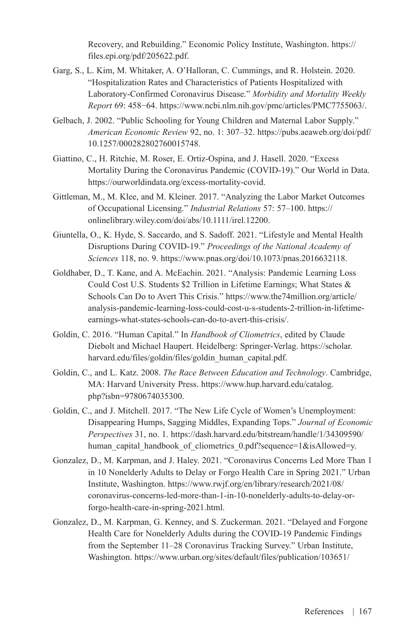Recovery, and Rebuilding." Economic Policy Institute, Washington. [https://](https://files.epi.org/pdf/205622.pdf) [files.epi.org/pdf/205622.pdf](https://files.epi.org/pdf/205622.pdf).

- Garg, S., L. Kim, M. Whitaker, A. O'Halloran, C. Cummings, and R. Holstein. 2020. "Hospitalization Rates and Characteristics of Patients Hospitalized with Laboratory-Confirmed Coronavirus Disease." *Morbidity and Mortality Weekly Report* 69: 458−64. [https://www.ncbi.nlm.nih.gov/pmc/articles/PMC7755063/.](https://www.ncbi.nlm.nih.gov/pmc/articles/PMC7755063/)
- Gelbach, J. 2002. "Public Schooling for Young Children and Maternal Labor Supply." *American Economic Review* 92, no. 1: 307–32. [https://pubs.aeaweb.org/doi/pdf/](https://pubs.aeaweb.org/doi/pdf/10.1257/000282802760015748) [10.1257/000282802760015748.](https://pubs.aeaweb.org/doi/pdf/10.1257/000282802760015748)
- Giattino, C., H. Ritchie, M. Roser, E. Ortiz-Ospina, and J. Hasell. 2020. "Excess Mortality During the Coronavirus Pandemic (COVID-19)." Our World in Data. <https://ourworldindata.org/excess-mortality-covid>.
- Gittleman, M., M. Klee, and M. Kleiner. 2017. "Analyzing the Labor Market Outcomes of Occupational Licensing." *Industrial Relations* 57: 57–100. [https://](https://onlinelibrary.wiley.com/doi/abs/10.1111/irel.12200) [onlinelibrary.wiley.com/doi/abs/10.1111/irel.12200.](https://onlinelibrary.wiley.com/doi/abs/10.1111/irel.12200)
- Giuntella, O., K. Hyde, S. Saccardo, and S. Sadoff. 2021. "Lifestyle and Mental Health Disruptions During COVID-19." *Proceedings of the National Academy of Sciences* 118, no. 9. [https://www.pnas.org/doi/10.1073/pnas.2016632118.](https://www.pnas.org/doi/10.1073/pnas.2016632118)
- Goldhaber, D., T. Kane, and A. McEachin. 2021. "Analysis: Pandemic Learning Loss Could Cost U.S. Students \$2 Trillion in Lifetime Earnings; What States & Schools Can Do to Avert This Crisis." [https://www.the74million.org/article/](https://www.the74million.org/article/analysis-pandemic-learning-loss-could-cost-u-s-students-2-trillion-in-lifetime-earnings-what-states-schools-can-do-to-avert-this-crisis/) [analysis-pandemic-learning-loss-could-cost-u-s-students-2-trillion-in-lifetime](https://www.the74million.org/article/analysis-pandemic-learning-loss-could-cost-u-s-students-2-trillion-in-lifetime-earnings-what-states-schools-can-do-to-avert-this-crisis/)[earnings-what-states-schools-can-do-to-avert-this-crisis/.](https://www.the74million.org/article/analysis-pandemic-learning-loss-could-cost-u-s-students-2-trillion-in-lifetime-earnings-what-states-schools-can-do-to-avert-this-crisis/)
- Goldin, C. 2016. "Human Capital." In *Handbook of Cliometrics*, edited by Claude Diebolt and Michael Haupert. Heidelberg: Springer-Verlag. [https://scholar.](https://scholar.harvard.edu/files/goldin/files/goldin_human_capital.pdf) [harvard.edu/files/goldin/files/goldin\\_human\\_capital.pdf](https://scholar.harvard.edu/files/goldin/files/goldin_human_capital.pdf).
- Goldin, C., and L. Katz. 2008. *The Race Between Education and Technology*. Cambridge, MA: Harvard University Press. [https://www.hup.harvard.edu/catalog.](https://www.hup.harvard.edu/catalog.php?isbn=9780674035300) [php?isbn=9780674035300](https://www.hup.harvard.edu/catalog.php?isbn=9780674035300).
- Goldin, C., and J. Mitchell. 2017. "The New Life Cycle of Women's Unemployment: Disappearing Humps, Sagging Middles, Expanding Tops." *Journal of Economic Perspectives* 31, no. 1. [https://dash.harvard.edu/bitstream/handle/1/34309590/](https://dash.harvard.edu/bitstream/handle/1/34309590/human_capital_handbook_of_cliometrics_0.pdf?sequence=1&isAllowed=y) human capital handbook of cliometrics 0.pdf?sequence=1&isAllowed=y.
- Gonzalez, D., M. Karpman, and J. Haley. 2021. "Coronavirus Concerns Led More Than 1 in 10 Nonelderly Adults to Delay or Forgo Health Care in Spring 2021." Urban Institute, Washington. [https://www.rwjf.org/en/library/research/2021/08/](https://www.rwjf.org/en/library/research/2021/08/coronavirus-concerns-led-more-than-1-in-10-nonelderly-adults-to-delay-or-forgo-health-care-in-spring-2021.html) [coronavirus-concerns-led-more-than-1-in-10-nonelderly-adults-to-delay-or](https://www.rwjf.org/en/library/research/2021/08/coronavirus-concerns-led-more-than-1-in-10-nonelderly-adults-to-delay-or-forgo-health-care-in-spring-2021.html)[forgo-health-care-in-spring-2021.html.](https://www.rwjf.org/en/library/research/2021/08/coronavirus-concerns-led-more-than-1-in-10-nonelderly-adults-to-delay-or-forgo-health-care-in-spring-2021.html)
- Gonzalez, D., M. Karpman, G. Kenney, and S. Zuckerman. 2021. "Delayed and Forgone Health Care for Nonelderly Adults during the COVID-19 Pandemic Findings from the September 11–28 Coronavirus Tracking Survey." Urban Institute, Washington. [https://www.urban.org/sites/default/files/publication/103651/](https://www.urban.org/sites/default/files/publication/103651/delayed-and-forgone-health-care-for-nonelderly-adults-during-the-covid-19-pandemic_1.pdf)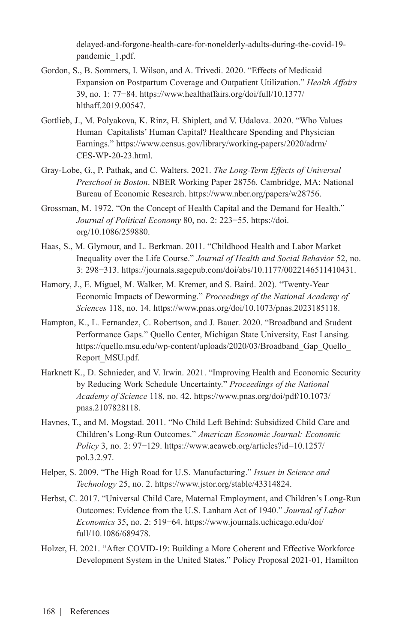[delayed-and-forgone-health-care-for-nonelderly-adults-during-the-covid-19](https://www.urban.org/sites/default/files/publication/103651/delayed-and-forgone-health-care-for-nonelderly-adults-during-the-covid-19-pandemic_1.pdf) [pandemic\\_1.pdf](https://www.urban.org/sites/default/files/publication/103651/delayed-and-forgone-health-care-for-nonelderly-adults-during-the-covid-19-pandemic_1.pdf).

- Gordon, S., B. Sommers, I. Wilson, and A. Trivedi. 2020. "Effects of Medicaid Expansion on Postpartum Coverage and Outpatient Utilization." *Health Affairs* 39, no. 1: 77−84. [https://www.healthaffairs.org/doi/full/10.1377/](https://www.healthaffairs.org/doi/full/10.1377/hlthaff.2019.00547) [hlthaff.2019.00547.](https://www.healthaffairs.org/doi/full/10.1377/hlthaff.2019.00547)
- Gottlieb, J., M. Polyakova, K. Rinz, H. Shiplett, and V. Udalova. 2020. "Who Values Human Capitalists' Human Capital? Healthcare Spending and Physician Earnings." [https://www.census.gov/library/working-papers/2020/adrm/](https://www.census.gov/library/working-papers/2020/adrm/CES-WP-20-23.html) [CES-WP-20-23.html.](https://www.census.gov/library/working-papers/2020/adrm/CES-WP-20-23.html)
- Gray-Lobe, G., P. Pathak, and C. Walters. 2021. *The Long-Term Effects of Universal Preschool in Boston*. NBER Working Paper 28756. Cambridge, MA: National Bureau of Economic Research. <https://www.nber.org/papers/w28756>.
- Grossman, M. 1972. "On the Concept of Health Capital and the Demand for Health." *Journal of Political Economy* 80, no. 2: 223−55. [https://doi.](https://doi.org/10.1086/259880) [org/10.1086/259880](https://doi.org/10.1086/259880).
- Haas, S., M. Glymour, and L. Berkman. 2011. "Childhood Health and Labor Market Inequality over the Life Course." *Journal of Health and Social Behavior* 52, no. 3: 298−313. [https://journals.sagepub.com/doi/abs/10.1177/0022146511410431.](https://journals.sagepub.com/doi/abs/10.1177/0022146511410431)
- Hamory, J., E. Miguel, M. Walker, M. Kremer, and S. Baird. 202). "Twenty-Year Economic Impacts of Deworming." *Proceedings of the National Academy of Sciences* 118, no. 14. <https://www.pnas.org/doi/10.1073/pnas.2023185118>.
- Hampton, K., L. Fernandez, C. Robertson, and J. Bauer. 2020. "Broadband and Student Performance Gaps." Quello Center, Michigan State University, East Lansing. [https://quello.msu.edu/wp-content/uploads/2020/03/Broadband\\_Gap\\_Quello\\_](https://quello.msu.edu/wp-content/uploads/2020/03/Broadband_Gap_Quello_Report_MSU.pdf) [Report\\_MSU.pdf.](https://quello.msu.edu/wp-content/uploads/2020/03/Broadband_Gap_Quello_Report_MSU.pdf)
- Harknett K., D. Schnieder, and V. Irwin. 2021. "Improving Health and Economic Security by Reducing Work Schedule Uncertainty." *Proceedings of the National Academy of Science* 118, no. 42. [https://www.pnas.org/doi/pdf/10.1073/](https://www.pnas.org/doi/pdf/10.1073/pnas.2107828118) [pnas.2107828118](https://www.pnas.org/doi/pdf/10.1073/pnas.2107828118).
- Havnes, T., and M. Mogstad. 2011. "No Child Left Behind: Subsidized Child Care and Children's Long-Run Outcomes." *American Economic Journal: Economic Policy* 3, no. 2: 97–129. [https://www.aeaweb.org/articles?id=10.1257/](https://www.aeaweb.org/articles?id=10.1257/pol.3.2.97) [pol.3.2.97](https://www.aeaweb.org/articles?id=10.1257/pol.3.2.97).
- Helper, S. 2009. "The High Road for U.S. Manufacturing." *Issues in Science and Technology* 25, no. 2.<https://www.jstor.org/stable/43314824>.
- Herbst, C. 2017. "Universal Child Care, Maternal Employment, and Children's Long-Run Outcomes: Evidence from the U.S. Lanham Act of 1940." *Journal of Labor Economics* 35, no. 2: 519−64. [https://www.journals.uchicago.edu/doi/](https://www.journals.uchicago.edu/doi/full/10.1086/689478) [full/10.1086/689478.](https://www.journals.uchicago.edu/doi/full/10.1086/689478)
- Holzer, H. 2021. "After COVID-19: Building a More Coherent and Effective Workforce Development System in the United States." Policy Proposal 2021-01, Hamilton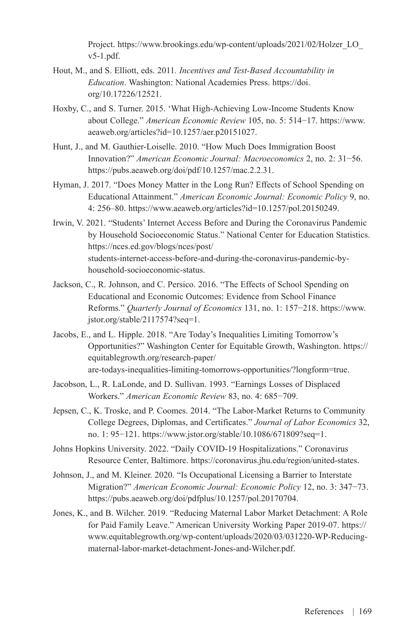Project. [https://www.brookings.edu/wp-content/uploads/2021/02/Holzer\\_LO\\_](https://www.brookings.edu/wp-content/uploads/2021/02/Holzer_LO_v5-1.pdf) [v5-1.pdf.](https://www.brookings.edu/wp-content/uploads/2021/02/Holzer_LO_v5-1.pdf)

- Hout, M., and S. Elliott, eds. 2011*. Incentives and Test-Based Accountability in Education*. Washington: National Academies Press. [https://doi.](https://doi.org/10.17226/12521) [org/10.17226/12521](https://doi.org/10.17226/12521).
- Hoxby, C., and S. Turner. 2015. 'What High-Achieving Low-Income Students Know about College." *American Economic Review* 105, no. 5: 514−17. [https://www.](https://www.aeaweb.org/articles?id=10.1257/aer.p20151027) [aeaweb.org/articles?id=10.1257/aer.p20151027.](https://www.aeaweb.org/articles?id=10.1257/aer.p20151027)
- Hunt, J., and M. Gauthier-Loiselle. 2010. "How Much Does Immigration Boost Innovation?" *American Economic Journal: Macroeconomics* 2, no. 2: 31−56. [https://pubs.aeaweb.org/doi/pdf/10.1257/mac.2.2.31.](https://pubs.aeaweb.org/doi/pdf/10.1257/mac.2.2.31)
- Hyman, J. 2017. "Does Money Matter in the Long Run? Effects of School Spending on Educational Attainment." *American Economic Journal: Economic Policy* 9, no. 4: 256–80. <https://www.aeaweb.org/articles?id=10.1257/pol.20150249>.
- Irwin, V. 2021. "Students' Internet Access Before and During the Coronavirus Pandemic by Household Socioeconomic Status." National Center for Education Statistics. [https://nces.ed.gov/blogs/nces/post/](https://nces.ed.gov/blogs/nces/post/students-internet-access-before-and-during-the-coronavirus-pandemic-by-household-socioeconomic-status) [students-internet-access-before-and-during-the-coronavirus-pandemic-by](https://nces.ed.gov/blogs/nces/post/students-internet-access-before-and-during-the-coronavirus-pandemic-by-household-socioeconomic-status)[household-socioeconomic-status](https://nces.ed.gov/blogs/nces/post/students-internet-access-before-and-during-the-coronavirus-pandemic-by-household-socioeconomic-status).
- Jackson, C., R. Johnson, and C. Persico. 2016. "The Effects of School Spending on Educational and Economic Outcomes: Evidence from School Finance Reforms." *Quarterly Journal of Economics* 131, no. 1: 157−218. [https://www.](https://www.jstor.org/stable/2117574?seq=1) [jstor.org/stable/2117574?seq=1](https://www.jstor.org/stable/2117574?seq=1).
- Jacobs, E., and L. Hipple. 2018. "Are Today's Inequalities Limiting Tomorrow's Opportunities?" Washington Center for Equitable Growth, Washington. [https://](https://equitablegrowth.org/research-paper/are-todays-inequalities-limiting-tomorrows-opportunities/?longform=true) [equitablegrowth.org/research-paper/](https://equitablegrowth.org/research-paper/are-todays-inequalities-limiting-tomorrows-opportunities/?longform=true) [are-todays-inequalities-limiting-tomorrows-opportunities/?longform=true](https://equitablegrowth.org/research-paper/are-todays-inequalities-limiting-tomorrows-opportunities/?longform=true).
- Jacobson, L., R. LaLonde, and D. Sullivan. 1993. "Earnings Losses of Displaced Workers." *American Economic Review* 83, no. 4: 685−709.
- Jepsen, C., K. Troske, and P. Coomes. 2014. "The Labor-Market Returns to Community College Degrees, Diplomas, and Certificates." *Journal of Labor Economics* 32, no. 1: 95−121. [https://www.jstor.org/stable/10.1086/671809?seq=1.](https://www.jstor.org/stable/10.1086/671809?seq=1)
- Johns Hopkins University. 2022. "Daily COVID-19 Hospitalizations." Coronavirus Resource Center, Baltimore. [https://coronavirus.jhu.edu/region/united-states.](https://coronavirus.jhu.edu/region/united-states)
- Johnson, J., and M. Kleiner. 2020. "Is Occupational Licensing a Barrier to Interstate Migration?" *American Economic Journal: Economic Policy* 12, no. 3: 347−73. [https://pubs.aeaweb.org/doi/pdfplus/10.1257/pol.20170704.](https://pubs.aeaweb.org/doi/pdfplus/10.1257/pol.20170704)
- Jones, K., and B. Wilcher. 2019. "Reducing Maternal Labor Market Detachment: A Role for Paid Family Leave." American University Working Paper 2019-07. [https://](https://www.equitablegrowth.org/wp-content/uploads/2020/03/031220-WP-Reducing-maternal-labor-market-detachment-Jones-and-Wilcher.pdf) [www.equitablegrowth.org/wp-content/uploads/2020/03/031220-WP-Reducing](https://www.equitablegrowth.org/wp-content/uploads/2020/03/031220-WP-Reducing-maternal-labor-market-detachment-Jones-and-Wilcher.pdf)[maternal-labor-market-detachment-Jones-and-Wilcher.pdf.](https://www.equitablegrowth.org/wp-content/uploads/2020/03/031220-WP-Reducing-maternal-labor-market-detachment-Jones-and-Wilcher.pdf)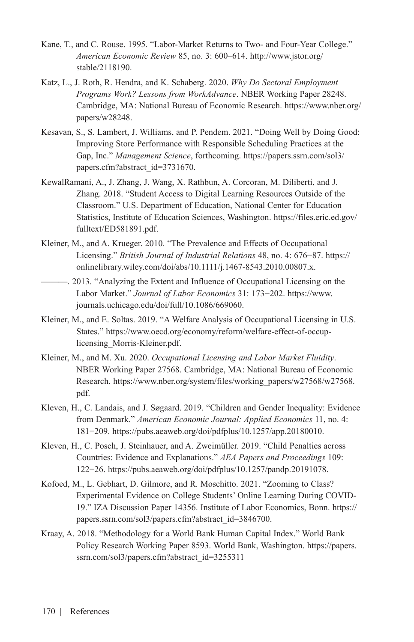- Kane, T., and C. Rouse. 1995. "Labor-Market Returns to Two- and Four-Year College." *American Economic Review* 85, no. 3: 600–614. [http://www.jstor.org/](http://www.jstor.org/stable/2118190) [stable/2118190.](http://www.jstor.org/stable/2118190)
- Katz, L., J. Roth, R. Hendra, and K. Schaberg. 2020. *Why Do Sectoral Employment Programs Work? Lessons from WorkAdvance*. NBER Working Paper 28248. Cambridge, MA: National Bureau of Economic Research. [https://www.nber.org/](https://www.nber.org/papers/w28248) [papers/w28248.](https://www.nber.org/papers/w28248)
- Kesavan, S., S. Lambert, J. Williams, and P. Pendem. 2021. "Doing Well by Doing Good: Improving Store Performance with Responsible Scheduling Practices at the Gap, Inc." *Management Science*, forthcoming. [https://papers.ssrn.com/sol3/](https://papers.ssrn.com/sol3/papers.cfm?abstract_id=3731670) [papers.cfm?abstract\\_id=3731670.](https://papers.ssrn.com/sol3/papers.cfm?abstract_id=3731670)
- KewalRamani, A., J. Zhang, J. Wang, X. Rathbun, A. Corcoran, M. Diliberti, and J. Zhang. 2018. "Student Access to Digital Learning Resources Outside of the Classroom." U.S. Department of Education, National Center for Education Statistics, Institute of Education Sciences, Washington. [https://files.eric.ed.gov/](https://files.eric.ed.gov/fulltext/ED581891.pdf) [fulltext/ED581891.pdf.](https://files.eric.ed.gov/fulltext/ED581891.pdf)
- Kleiner, M., and A. Krueger. 2010. "The Prevalence and Effects of Occupational Licensing." *British Journal of Industrial Relations* 48, no. 4: 676−87. [https://](https://onlinelibrary.wiley.com/doi/abs/10.1111/j.1467-8543.2010.00807.x) [onlinelibrary.wiley.com/doi/abs/10.1111/j.1467-8543.2010.00807.x.](https://onlinelibrary.wiley.com/doi/abs/10.1111/j.1467-8543.2010.00807.x)
- ———. 2013. "Analyzing the Extent and Influence of Occupational Licensing on the Labor Market." *Journal of Labor Economics* 31: 173−202. [https://www.](https://www.journals.uchicago.edu/doi/full/10.1086/669060) [journals.uchicago.edu/doi/full/10.1086/669060](https://www.journals.uchicago.edu/doi/full/10.1086/669060).
- Kleiner, M., and E. Soltas. 2019. "A Welfare Analysis of Occupational Licensing in U.S. States." [https://www.oecd.org/economy/reform/welfare-effect-of-occup](https://www.oecd.org/economy/reform/welfare-effect-of-occup-licensing_Morris-Kleiner.pdf)[licensing\\_Morris-Kleiner.pdf](https://www.oecd.org/economy/reform/welfare-effect-of-occup-licensing_Morris-Kleiner.pdf).
- Kleiner, M., and M. Xu. 2020. *Occupational Licensing and Labor Market Fluidity*. NBER Working Paper 27568. Cambridge, MA: National Bureau of Economic Research. [https://www.nber.org/system/files/working\\_papers/w27568/w27568.](https://www.nber.org/system/files/working_papers/w27568/w27568.pdf) [pdf.](https://www.nber.org/system/files/working_papers/w27568/w27568.pdf)
- Kleven, H., C. Landais, and J. Søgaard. 2019. "Children and Gender Inequality: Evidence from Denmark." *American Economic Journal: Applied Economics* 11, no. 4: 181−209. <https://pubs.aeaweb.org/doi/pdfplus/10.1257/app.20180010>.
- Kleven, H., C. Posch, J. Steinhauer, and A. Zweimüller. 2019. "Child Penalties across Countries: Evidence and Explanations." *AEA Papers and Proceedings* 109: 122−26. [https://pubs.aeaweb.org/doi/pdfplus/10.1257/pandp.20191078.](https://pubs.aeaweb.org/doi/pdfplus/10.1257/pandp.20191078)
- Kofoed, M., L. Gebhart, D. Gilmore, and R. Moschitto. 2021. "Zooming to Class? Experimental Evidence on College Students' Online Learning During COVID-19." IZA Discussion Paper 14356. Institute of Labor Economics, Bonn. [https://](https://papers.ssrn.com/sol3/papers.cfm?abstract_id=3846700) [papers.ssrn.com/sol3/papers.cfm?abstract\\_id=3846700.](https://papers.ssrn.com/sol3/papers.cfm?abstract_id=3846700)
- Kraay, A. 2018. "Methodology for a World Bank Human Capital Index." World Bank Policy Research Working Paper 8593. World Bank, Washington. [https://papers.](https://papers.ssrn.com/sol3/papers.cfm?abstract_id=3255311) [ssrn.com/sol3/papers.cfm?abstract\\_id=3255311](https://papers.ssrn.com/sol3/papers.cfm?abstract_id=3255311)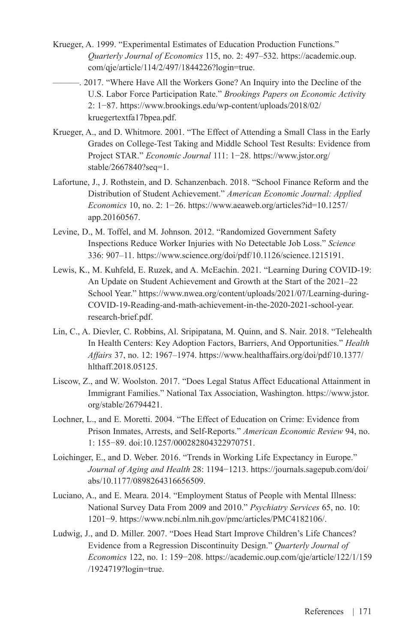- Krueger, A. 1999. "Experimental Estimates of Education Production Functions." *Quarterly Journal of Economics* 115, no. 2: 497–532. [https://academic.oup.](https://academic.oup.com/qje/article/114/2/497/1844226?login=true) [com/qje/article/114/2/497/1844226?login=true](https://academic.oup.com/qje/article/114/2/497/1844226?login=true).
	- ———. 2017. "Where Have All the Workers Gone? An Inquiry into the Decline of the U.S. Labor Force Participation Rate." *Brookings Papers on Economic Activit*y 2: 1−87. [https://www.brookings.edu/wp-content/uploads/2018/02/](https://www.brookings.edu/wp-content/uploads/2018/02/kruegertextfa17bpea.pdf) [kruegertextfa17bpea.pdf](https://www.brookings.edu/wp-content/uploads/2018/02/kruegertextfa17bpea.pdf).
- Krueger, A., and D. Whitmore. 2001. "The Effect of Attending a Small Class in the Early Grades on College-Test Taking and Middle School Test Results: Evidence from Project STAR." *Economic Journal* 111: 1−28. [https://www.jstor.org/](https://www.jstor.org/stable/2667840?seq=1) [stable/2667840?seq=1.](https://www.jstor.org/stable/2667840?seq=1)
- Lafortune, J., J. Rothstein, and D. Schanzenbach. 2018. "School Finance Reform and the Distribution of Student Achievement." *American Economic Journal: Applied Economics* 10, no. 2: 1−26. [https://www.aeaweb.org/articles?id=10.1257/](https://www.aeaweb.org/articles?id=10.1257/app.20160567) [app.20160567](https://www.aeaweb.org/articles?id=10.1257/app.20160567).
- Levine, D., M. Toffel, and M. Johnson. 2012. "Randomized Government Safety Inspections Reduce Worker Injuries with No Detectable Job Loss." *Science* 336: 907–11. <https://www.science.org/doi/pdf/10.1126/science.1215191>.
- Lewis, K., M. Kuhfeld, E. Ruzek, and A. McEachin. 2021. "Learning During COVID-19: An Update on Student Achievement and Growth at the Start of the 2021–22 School Year." [https://www.nwea.org/content/uploads/2021/07/Learning-during-](https://www.nwea.org/content/uploads/2021/07/Learning-during-COVID-19-Reading-and-math-achievement-in-the-2020-2021-school-year.research-brief.pdf)[COVID-19-Reading-and-math-achievement-in-the-2020-2021-school-year.](https://www.nwea.org/content/uploads/2021/07/Learning-during-COVID-19-Reading-and-math-achievement-in-the-2020-2021-school-year.research-brief.pdf) [research-brief.pdf](https://www.nwea.org/content/uploads/2021/07/Learning-during-COVID-19-Reading-and-math-achievement-in-the-2020-2021-school-year.research-brief.pdf).
- Lin, C., A. Dievler, C. Robbins, Al. Sripipatana, M. Quinn, and S. Nair. 2018. "Telehealth In Health Centers: Key Adoption Factors, Barriers, And Opportunities." *Health Affairs* 37, no. 12: 1967–1974. [https://www.healthaffairs.org/doi/pdf/10.1377/](https://www.healthaffairs.org/doi/pdf/10.1377/hlthaff.2018.05125) [hlthaff.2018.05125.](https://www.healthaffairs.org/doi/pdf/10.1377/hlthaff.2018.05125)
- Liscow, Z., and W. Woolston. 2017. "Does Legal Status Affect Educational Attainment in Immigrant Families." National Tax Association, Washington. [https://www.jstor.](https://www.jstor.org/stable/26794421) [org/stable/26794421.](https://www.jstor.org/stable/26794421)
- Lochner, L., and E. Moretti. 2004. "The Effect of Education on Crime: Evidence from Prison Inmates, Arrests, and Self-Reports." *American Economic Review* 94, no. 1: 155−89. [doi:10.1257/000282804322970751.](doi:10.1257/000282804322970751)
- Loichinger, E., and D. Weber. 2016. "Trends in Working Life Expectancy in Europe." *Journal of Aging and Health* 28: 1194−1213. [https://journals.sagepub.com/doi/](https://journals.sagepub.com/doi/abs/10.1177/0898264316656509) [abs/10.1177/0898264316656509.](https://journals.sagepub.com/doi/abs/10.1177/0898264316656509)
- Luciano, A., and E. Meara. 2014. "Employment Status of People with Mental Illness: National Survey Data From 2009 and 2010." *Psychiatry Services* 65, no. 10: 1201−9. [https://www.ncbi.nlm.nih.gov/pmc/articles/PMC4182106/.](https://www.ncbi.nlm.nih.gov/pmc/articles/PMC4182106/)
- Ludwig, J., and D. Miller. 2007. "Does Head Start Improve Children's Life Chances? Evidence from a Regression Discontinuity Design." *Quarterly Journal of Economics* 122, no. 1: 159−208. [https://academic.oup.com/qje/article/122/1/159](https://academic.oup.com/qje/article/122/1/159/1924719?login=true) [/1924719?login=true.](https://academic.oup.com/qje/article/122/1/159/1924719?login=true)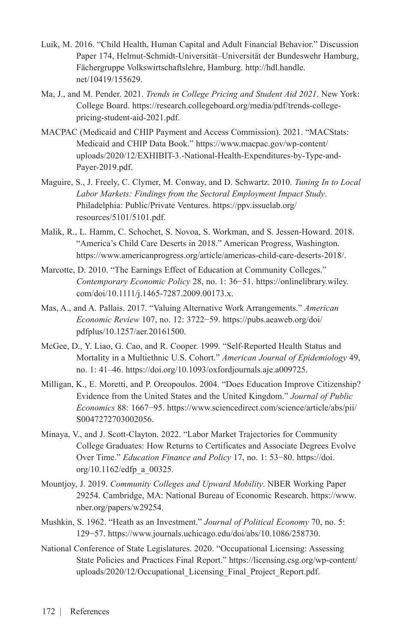- Luik, M. 2016. "Child Health, Human Capital and Adult Financial Behavior." Discussion Paper 174, Helmut-Schmidt-Universität–Universität der Bundeswehr Hamburg, Fächergruppe Volkswirtschaftslehre, Hamburg. [http://hdl.handle.](http://hdl.handle.net/10419/155629) [net/10419/155629](http://hdl.handle.net/10419/155629).
- Ma, J., and M. Pender. 2021. *Trends in College Pricing and Student Aid 2021*. New York: College Board. [https://research.collegeboard.org/media/pdf/trends-college](https://research.collegeboard.org/media/pdf/trends-college-pricing-student-aid-2021.pdf)[pricing-student-aid-2021.pdf.](https://research.collegeboard.org/media/pdf/trends-college-pricing-student-aid-2021.pdf)
- MACPAC (Medicaid and CHIP Payment and Access Commission). 2021. "MACStats: Medicaid and CHIP Data Book." [https://www.macpac.gov/wp-content/](https://www.macpac.gov/wp-content/uploads/2020/12/EXHIBIT-3.-National-Health-Expenditures-by-Type-and-Payer-2019.pdf) [uploads/2020/12/EXHIBIT-3.-National-Health-Expenditures-by-Type-and-](https://www.macpac.gov/wp-content/uploads/2020/12/EXHIBIT-3.-National-Health-Expenditures-by-Type-and-Payer-2019.pdf)[Payer-2019.pdf.](https://www.macpac.gov/wp-content/uploads/2020/12/EXHIBIT-3.-National-Health-Expenditures-by-Type-and-Payer-2019.pdf)
- Maguire, S., J. Freely, C. Clymer, M. Conway, and D. Schwartz. 2010. *Tuning In to Local Labor Markets: Findings from the Sectoral Employment Impact Study*. Philadelphia: Public/Private Ventures. [https://ppv.issuelab.org/](https://ppv.issuelab.org/resources/5101/5101.pdf) [resources/5101/5101.pdf](https://ppv.issuelab.org/resources/5101/5101.pdf).
- Malik, R., L. Hamm, C. Schochet, S. Novoa, S. Workman, and S. Jessen-Howard. 2018. "America's Child Care Deserts in 2018." American Progress, Washington. [https://www.americanprogress.org/article/americas-child-care-deserts-2018/.](https://www.americanprogress.org/article/americas-child-care-deserts-2018/)
- Marcotte, D. 2010. "The Earnings Effect of Education at Community Colleges." *Contemporary Economic Policy* 28, no. 1: 36−51. [https://onlinelibrary.wiley.](https://onlinelibrary.wiley.com/doi/10.1111/j.1465-7287.2009.00173.x) [com/doi/10.1111/j.1465-7287.2009.00173.x](https://onlinelibrary.wiley.com/doi/10.1111/j.1465-7287.2009.00173.x).
- Mas, A., and A. Pallais. 2017. "Valuing Alternative Work Arrangements." *American Economic Review* 107, no. 12: 3722−59. [https://pubs.aeaweb.org/doi/](https://pubs.aeaweb.org/doi/pdfplus/10.1257/aer.20161500) [pdfplus/10.1257/aer.20161500.](https://pubs.aeaweb.org/doi/pdfplus/10.1257/aer.20161500)
- McGee, D., Y. Liao, G. Cao, and R. Cooper. 1999. "Self-Reported Health Status and Mortality in a Multiethnic U.S. Cohort." *American Journal of Epidemiology* 49, no. 1: 41–46.<https://doi.org/10.1093/oxfordjournals.aje.a009725>.
- Milligan, K., E. Moretti, and P. Oreopoulos. 2004. "Does Education Improve Citizenship? Evidence from the United States and the United Kingdom." *Journal of Public Economics* 88: 1667−95. [https://www.sciencedirect.com/science/article/abs/pii/](https://www.sciencedirect.com/science/article/abs/pii/S0047272703002056) [S0047272703002056](https://www.sciencedirect.com/science/article/abs/pii/S0047272703002056).
- Minaya, V., and J. Scott-Clayton. 2022. "Labor Market Trajectories for Community College Graduates: How Returns to Certificates and Associate Degrees Evolve Over Time." *Education Finance and Policy* 17, no. 1: 53−80. [https://doi.](https://doi.org/10.1162/edfp_a_00325) [org/10.1162/edfp\\_a\\_00325](https://doi.org/10.1162/edfp_a_00325).
- Mountjoy, J. 2019. *Community Colleges and Upward Mobility*. NBER Working Paper 29254. Cambridge, MA: National Bureau of Economic Research. [https://www.](https://www.nber.org/papers/w29254) [nber.org/papers/w29254](https://www.nber.org/papers/w29254).
- Mushkin, S. 1962. "Heath as an Investment." *Journal of Political Economy* 70, no. 5: 129−57. <https://www.journals.uchicago.edu/doi/abs/10.1086/258730>.
- National Conference of State Legislatures. 2020. "Occupational Licensing: Assessing State Policies and Practices Final Report." [https://licensing.csg.org/wp-content/](https://licensing.csg.org/wp-content/uploads/2020/12/Occupational_Licensing_Final_Project_Report.pdf) [uploads/2020/12/Occupational\\_Licensing\\_Final\\_Project\\_Report.pdf.](https://licensing.csg.org/wp-content/uploads/2020/12/Occupational_Licensing_Final_Project_Report.pdf)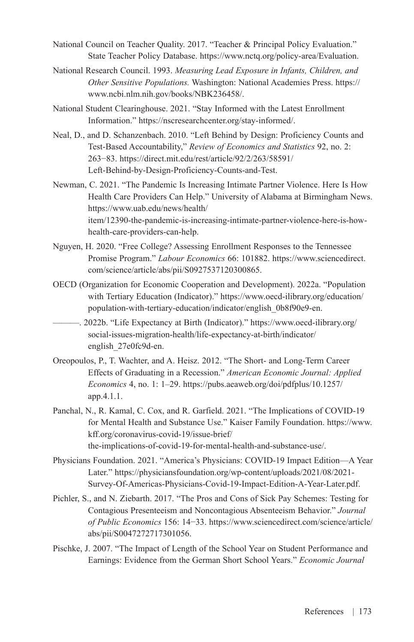- National Council on Teacher Quality. 2017. "Teacher & Principal Policy Evaluation." State Teacher Policy Database. [https://www.nctq.org/policy-area/Evaluation.](https://www.nctq.org/policy-area/Evaluation)
- National Research Council. 1993. *Measuring Lead Exposure in Infants, Children, and Other Sensitive Populations.* Washington: National Academies Press. [https://](https://www.ncbi.nlm.nih.gov/books/NBK236458/) [www.ncbi.nlm.nih.gov/books/NBK236458/](https://www.ncbi.nlm.nih.gov/books/NBK236458/).
- National Student Clearinghouse. 2021. "Stay Informed with the Latest Enrollment Information." [https://nscresearchcenter.org/stay-informed/.](https://nscresearchcenter.org/stay-informed/)
- Neal, D., and D. Schanzenbach. 2010. "Left Behind by Design: Proficiency Counts and Test-Based Accountability," *Review of Economics and Statistics* 92, no. 2: 263−83. [https://direct.mit.edu/rest/article/92/2/263/58591/](https://direct.mit.edu/rest/article/92/2/263/58591/Left-Behind-by-Design-Proficiency-Counts-and-Test) [Left-Behind-by-Design-Proficiency-Counts-and-Test](https://direct.mit.edu/rest/article/92/2/263/58591/Left-Behind-by-Design-Proficiency-Counts-and-Test).
- Newman, C. 2021. "The Pandemic Is Increasing Intimate Partner Violence. Here Is How Health Care Providers Can Help." University of Alabama at Birmingham News. [https://www.uab.edu/news/health/](https://www.uab.edu/news/health/item/12390-the-pandemic-is-increasing-intimate-partner-violence-here-is-how-health-care-providers-can-help) [item/12390-the-pandemic-is-increasing-intimate-partner-violence-here-is-how](https://www.uab.edu/news/health/item/12390-the-pandemic-is-increasing-intimate-partner-violence-here-is-how-health-care-providers-can-help)[health-care-providers-can-help.](https://www.uab.edu/news/health/item/12390-the-pandemic-is-increasing-intimate-partner-violence-here-is-how-health-care-providers-can-help)
- Nguyen, H. 2020. "Free College? Assessing Enrollment Responses to the Tennessee Promise Program." *Labour Economics* 66: 101882. [https://www.sciencedirect.](https://www.sciencedirect.com/science/article/abs/pii/S0927537120300865) [com/science/article/abs/pii/S0927537120300865](https://www.sciencedirect.com/science/article/abs/pii/S0927537120300865).
- OECD (Organization for Economic Cooperation and Development). 2022a. "Population with Tertiary Education (Indicator)." [https://www.oecd-ilibrary.org/education/](https://www.oecd-ilibrary.org/education/population-with-tertiary-education/indicator/english_0b8f90e9-en) [population-with-tertiary-education/indicator/english\\_0b8f90e9-en](https://www.oecd-ilibrary.org/education/population-with-tertiary-education/indicator/english_0b8f90e9-en).
- ———. 2022b. "Life Expectancy at Birth (Indicator)." [https://www.oecd-ilibrary.org/](https://www.oecd-ilibrary.org/social-issues-migration-health/life-expectancy-at-birth/indicator/english_27e0fc9d-en) [social-issues-migration-health/life-expectancy-at-birth/indicator/](https://www.oecd-ilibrary.org/social-issues-migration-health/life-expectancy-at-birth/indicator/english_27e0fc9d-en) [english\\_27e0fc9d-en](https://www.oecd-ilibrary.org/social-issues-migration-health/life-expectancy-at-birth/indicator/english_27e0fc9d-en).
- Oreopoulos, P., T. Wachter, and A. Heisz. 2012. "The Short- and Long-Term Career Effects of Graduating in a Recession." *American Economic Journal: Applied Economics* 4, no. 1: 1–29. [https://pubs.aeaweb.org/doi/pdfplus/10.1257/](https://pubs.aeaweb.org/doi/pdfplus/10.1257/app.4.1.1) [app.4.1.1](https://pubs.aeaweb.org/doi/pdfplus/10.1257/app.4.1.1).
- Panchal, N., R. Kamal, C. Cox, and R. Garfield. 2021. "The Implications of COVID-19 for Mental Health and Substance Use." Kaiser Family Foundation. [https://www.](https://www.kff.org/coronavirus-covid-19/issue-brief/the-implications-of-covid-19-for-mental-health-and-substance-use/) [kff.org/coronavirus-covid-19/issue-brief/](https://www.kff.org/coronavirus-covid-19/issue-brief/the-implications-of-covid-19-for-mental-health-and-substance-use/) [the-implications-of-covid-19-for-mental-health-and-substance-use/](https://www.kff.org/coronavirus-covid-19/issue-brief/the-implications-of-covid-19-for-mental-health-and-substance-use/).
- Physicians Foundation. 2021. "America's Physicians: COVID-19 Impact Edition—A Year Later." [https://physiciansfoundation.org/wp-content/uploads/2021/08/2021-](https://physiciansfoundation.org/wp-content/uploads/2021/08/2021-Survey-Of-Americas-Physicians-Covid-19-Impact-Edition-A-Year-Later.pdf) [Survey-Of-Americas-Physicians-Covid-19-Impact-Edition-A-Year-Later.pdf](https://physiciansfoundation.org/wp-content/uploads/2021/08/2021-Survey-Of-Americas-Physicians-Covid-19-Impact-Edition-A-Year-Later.pdf).
- Pichler, S., and N. Ziebarth. 2017. "The Pros and Cons of Sick Pay Schemes: Testing for Contagious Presenteeism and Noncontagious Absenteeism Behavior." *Journal of Public Economics* 156: 14−33. [https://www.sciencedirect.com/science/article/](https://www.sciencedirect.com/science/article/abs/pii/S0047272717301056) [abs/pii/S0047272717301056.](https://www.sciencedirect.com/science/article/abs/pii/S0047272717301056)
- Pischke, J. 2007. "The Impact of Length of the School Year on Student Performance and Earnings: Evidence from the German Short School Years." *Economic Journal*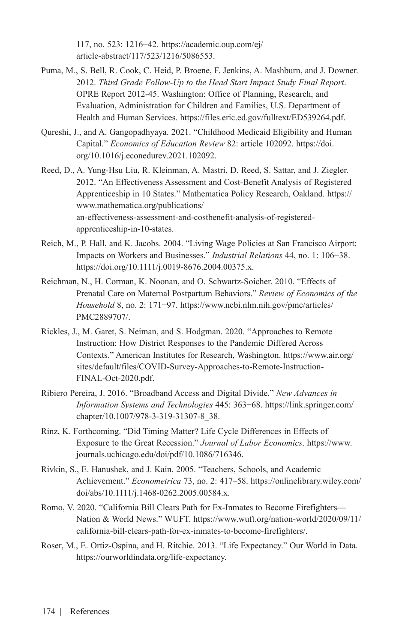117, no. 523: 1216−42. [https://academic.oup.com/ej/](https://academic.oup.com/ej/article-abstract/117/523/1216/5086553) [article-abstract/117/523/1216/5086553.](https://academic.oup.com/ej/article-abstract/117/523/1216/5086553)

- Puma, M., S. Bell, R. Cook, C. Heid, P. Broene, F. Jenkins, A. Mashburn, and J. Downer. 2012. *Third Grade Follow-Up to the Head Start Impact Study Final Report*. OPRE Report 2012-45. Washington: Office of Planning, Research, and Evaluation, Administration for Children and Families, U.S. Department of Health and Human Services. <https://files.eric.ed.gov/fulltext/ED539264.pdf>.
- Qureshi, J., and A. Gangopadhyaya. 2021. "Childhood Medicaid Eligibility and Human Capital." *Economics of Education Review* 82: article 102092. [https://doi.](https://doi.org/10.1016/j.econedurev.2021.102092) [org/10.1016/j.econedurev.2021.102092](https://doi.org/10.1016/j.econedurev.2021.102092).
- Reed, D., A. Yung-Hsu Liu, R. Kleinman, A. Mastri, D. Reed, S. Sattar, and J. Ziegler. 2012. "An Effectiveness Assessment and Cost-Benefit Analysis of Registered Apprenticeship in 10 States." Mathematica Policy Research, Oakland*.* [https://](https://www.mathematica.org/publications/an-effectiveness-assessment-and-costbenefit-analysis-of-registered-apprenticeship-in-10-states) [www.mathematica.org/publications/](https://www.mathematica.org/publications/an-effectiveness-assessment-and-costbenefit-analysis-of-registered-apprenticeship-in-10-states) [an-effectiveness-assessment-and-costbenefit-analysis-of-registered](https://www.mathematica.org/publications/an-effectiveness-assessment-and-costbenefit-analysis-of-registered-apprenticeship-in-10-states)[apprenticeship-in-10-states](https://www.mathematica.org/publications/an-effectiveness-assessment-and-costbenefit-analysis-of-registered-apprenticeship-in-10-states).
- Reich, M., P. Hall, and K. Jacobs. 2004. "Living Wage Policies at San Francisco Airport: Impacts on Workers and Businesses." *Industrial Relations* 44, no. 1: 106−38. https://doi.org/10.1111/j.0019-8676.2004.00375.x.
- Reichman, N., H. Corman, K. Noonan, and O. Schwartz-Soicher. 2010. "Effects of Prenatal Care on Maternal Postpartum Behaviors." *Review of Economics of the Household* 8, no. 2: 171−97. [https://www.ncbi.nlm.nih.gov/pmc/articles/](https://www.ncbi.nlm.nih.gov/pmc/articles/PMC2889707/) [PMC2889707/](https://www.ncbi.nlm.nih.gov/pmc/articles/PMC2889707/).
- Rickles, J., M. Garet, S. Neiman, and S. Hodgman. 2020. "Approaches to Remote Instruction: How District Responses to the Pandemic Differed Across Contexts." American Institutes for Research, Washington. [https://www.air.org/](https://www.air.org/sites/default/files/COVID-Survey-Approaches-to-Remote-Instruction-FINAL-Oct-2020.pdf) [sites/default/files/COVID-Survey-Approaches-to-Remote-Instruction-](https://www.air.org/sites/default/files/COVID-Survey-Approaches-to-Remote-Instruction-FINAL-Oct-2020.pdf)[FINAL-Oct-2020.pdf.](https://www.air.org/sites/default/files/COVID-Survey-Approaches-to-Remote-Instruction-FINAL-Oct-2020.pdf)
- Ribiero Pereira, J. 2016. "Broadband Access and Digital Divide." *New Advances in Information Systems and Technologies* 445: 363−68. [https://link.springer.com/](https://link.springer.com/chapter/10.1007/978-3-319-31307-8_38) [chapter/10.1007/978-3-319-31307-8\\_38.](https://link.springer.com/chapter/10.1007/978-3-319-31307-8_38)
- Rinz, K. Forthcoming. "Did Timing Matter? Life Cycle Differences in Effects of Exposure to the Great Recession." *Journal of Labor Economics*. [https://www.](https://www.journals.uchicago.edu/doi/pdf/10.1086/716346) [journals.uchicago.edu/doi/pdf/10.1086/716346.](https://www.journals.uchicago.edu/doi/pdf/10.1086/716346)
- Rivkin, S., E. Hanushek, and J. Kain. 2005. "Teachers, Schools, and Academic Achievement." *Econometrica* 73, no. 2: 417–58. [https://onlinelibrary.wiley.com/](https://onlinelibrary.wiley.com/doi/abs/10.1111/j.1468-0262.2005.00584.x) [doi/abs/10.1111/j.1468-0262.2005.00584.x.](https://onlinelibrary.wiley.com/doi/abs/10.1111/j.1468-0262.2005.00584.x)
- Romo, V. 2020. "California Bill Clears Path for Ex-Inmates to Become Firefighters— Nation & World News." WUFT. [https://www.wuft.org/nation-world/2020/09/11/](https://www.wuft.org/nation-world/2020/09/11/california-bill-clears-path-for-ex-inmates-to-become-firefighters/) [california-bill-clears-path-for-ex-inmates-to-become-firefighters/](https://www.wuft.org/nation-world/2020/09/11/california-bill-clears-path-for-ex-inmates-to-become-firefighters/).
- Roser, M., E. Ortiz-Ospina, and H. Ritchie. 2013. "Life Expectancy." Our World in Data. <https://ourworldindata.org/life-expectancy>.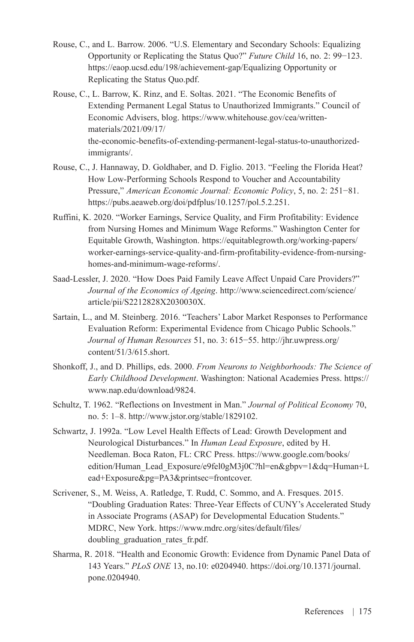- Rouse, C., and L. Barrow. 2006. "U.S. Elementary and Secondary Schools: Equalizing Opportunity or Replicating the Status Quo?" *Future Child* 16, no. 2: 99−123. https://eaop.ucsd.edu/198/achievement-gap/Equalizing Opportunity or Replicating the Status Quo.pdf.
- Rouse, C., L. Barrow, K. Rinz, and E. Soltas. 2021. "The Economic Benefits of Extending Permanent Legal Status to Unauthorized Immigrants." Council of Economic Advisers, blog. [https://www.whitehouse.gov/cea/written](https://www.whitehouse.gov/cea/written-materials/2021/09/17/the-economic-benefits-of-extending-permanent-legal-status-to-unauthorized-immigrants/)[materials/2021/09/17/](https://www.whitehouse.gov/cea/written-materials/2021/09/17/the-economic-benefits-of-extending-permanent-legal-status-to-unauthorized-immigrants/) [the-economic-benefits-of-extending-permanent-legal-status-to-unauthorized](https://www.whitehouse.gov/cea/written-materials/2021/09/17/the-economic-benefits-of-extending-permanent-legal-status-to-unauthorized-immigrants/)[immigrants/](https://www.whitehouse.gov/cea/written-materials/2021/09/17/the-economic-benefits-of-extending-permanent-legal-status-to-unauthorized-immigrants/).
- Rouse, C., J. Hannaway, D. Goldhaber, and D. Figlio. 2013. "Feeling the Florida Heat? How Low-Performing Schools Respond to Voucher and Accountability Pressure," *American Economic Journal: Economic Policy*, 5, no. 2: 251−81. [https://pubs.aeaweb.org/doi/pdfplus/10.1257/pol.5.2.251.](https://pubs.aeaweb.org/doi/pdfplus/10.1257/pol.5.2.251)
- Ruffini, K. 2020. "Worker Earnings, Service Quality, and Firm Profitability: Evidence from Nursing Homes and Minimum Wage Reforms." Washington Center for Equitable Growth, Washington. [https://equitablegrowth.org/working-papers/](https://equitablegrowth.org/working-papers/worker-earnings-service-quality-and-firm-profitability-evidence-from-nursing-homes-and-minimum-wage-reforms/) [worker-earnings-service-quality-and-firm-profitability-evidence-from-nursing](https://equitablegrowth.org/working-papers/worker-earnings-service-quality-and-firm-profitability-evidence-from-nursing-homes-and-minimum-wage-reforms/)[homes-and-minimum-wage-reforms/.](https://equitablegrowth.org/working-papers/worker-earnings-service-quality-and-firm-profitability-evidence-from-nursing-homes-and-minimum-wage-reforms/)
- Saad-Lessler, J. 2020. "How Does Paid Family Leave Affect Unpaid Care Providers?" *Journal of the Economics of Ageing*. [http://www.sciencedirect.com/science/](http://www.sciencedirect.com/science/article/pii/S2212828X2030030X) [article/pii/S2212828X2030030X.](http://www.sciencedirect.com/science/article/pii/S2212828X2030030X)
- Sartain, L., and M. Steinberg. 2016. "Teachers' Labor Market Responses to Performance Evaluation Reform: Experimental Evidence from Chicago Public Schools." *Journal of Human Resources* 51, no. 3: 615−55. [http://jhr.uwpress.org/](http://jhr.uwpress.org/content/51/3/615.short) [content/51/3/615.short](http://jhr.uwpress.org/content/51/3/615.short).
- Shonkoff, J., and D. Phillips, eds. 2000. *From Neurons to Neighborhoods: The Science of Early Childhood Development*. Washington: National Academies Press. [https://](https://www.nap.edu/download/9824) [www.nap.edu/download/9824.](https://www.nap.edu/download/9824)
- Schultz, T. 1962. "Reflections on Investment in Man." *Journal of Political Economy* 70, no. 5: 1–8.<http://www.jstor.org/stable/1829102>.
- Schwartz, J. 1992a. "Low Level Health Effects of Lead: Growth Development and Neurological Disturbances." In *Human Lead Exposure*, edited by H. Needleman. Boca Raton, FL: CRC Press. [https://www.google.com/books/](https://www.google.com/books/edition/Human_Lead_Exposure/e9fel0gM3j0C?hl=en&gbpv=1&dq=Human+Lead+Exposure&pg=PA3&printsec=frontcover) [edition/Human\\_Lead\\_Exposure/e9fel0gM3j0C?hl=en&gbpv=1&dq=Human+L](https://www.google.com/books/edition/Human_Lead_Exposure/e9fel0gM3j0C?hl=en&gbpv=1&dq=Human+Lead+Exposure&pg=PA3&printsec=frontcover) [ead+Exposure&pg=PA3&printsec=frontcover](https://www.google.com/books/edition/Human_Lead_Exposure/e9fel0gM3j0C?hl=en&gbpv=1&dq=Human+Lead+Exposure&pg=PA3&printsec=frontcover).
- Scrivener, S., M. Weiss, A. Ratledge, T. Rudd, C. Sommo, and A. Fresques. 2015. "Doubling Graduation Rates: Three-Year Effects of CUNY's Accelerated Study in Associate Programs (ASAP) for Developmental Education Students." MDRC, New York. [https://www.mdrc.org/sites/default/files/](https://www.mdrc.org/sites/default/files/doubling_graduation_rates_fr.pdf) [doubling\\_graduation\\_rates\\_fr.pdf.](https://www.mdrc.org/sites/default/files/doubling_graduation_rates_fr.pdf)
- Sharma, R. 2018. "Health and Economic Growth: Evidence from Dynamic Panel Data of 143 Years." *PLoS ONE* 13, no.10: e0204940. [https://doi.org/10.1371/journal.](https://doi.org/10.1371/journal.pone.0204940) [pone.0204940](https://doi.org/10.1371/journal.pone.0204940).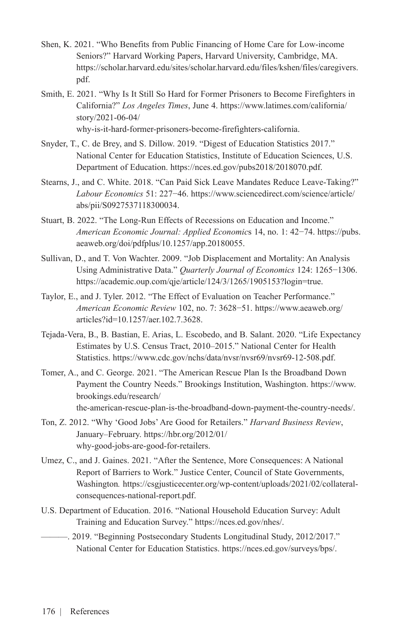- Shen, K. 2021. "Who Benefits from Public Financing of Home Care for Low-income Seniors?" Harvard Working Papers, Harvard University, Cambridge, MA. [https://scholar.harvard.edu/sites/scholar.harvard.edu/files/kshen/files/caregivers.](https://scholar.harvard.edu/sites/scholar.harvard.edu/files/kshen/files/caregivers.pdf) [pdf.](https://scholar.harvard.edu/sites/scholar.harvard.edu/files/kshen/files/caregivers.pdf)
- Smith, E. 2021. "Why Is It Still So Hard for Former Prisoners to Become Firefighters in California?" *Los Angeles Times*, June 4. [https://www.latimes.com/california/](https://www.latimes.com/california/story/2021-06-04/why-is-it-hard-former-prisoners-become-firefighters-california) [story/2021-06-04/](https://www.latimes.com/california/story/2021-06-04/why-is-it-hard-former-prisoners-become-firefighters-california)

[why-is-it-hard-former-prisoners-become-firefighters-california](https://www.latimes.com/california/story/2021-06-04/why-is-it-hard-former-prisoners-become-firefighters-california).

- Snyder, T., C. de Brey, and S. Dillow. 2019. "Digest of Education Statistics 2017." National Center for Education Statistics, Institute of Education Sciences, U.S. Department of Education. <https://nces.ed.gov/pubs2018/2018070.pdf>.
- Stearns, J., and C. White. 2018. "Can Paid Sick Leave Mandates Reduce Leave-Taking?" *Labour Economics* 51: 227−46. [https://www.sciencedirect.com/science/article/](https://www.sciencedirect.com/science/article/abs/pii/S0927537118300034) [abs/pii/S0927537118300034](https://www.sciencedirect.com/science/article/abs/pii/S0927537118300034).
- Stuart, B. 2022. "The Long-Run Effects of Recessions on Education and Income." *American Economic Journal: Applied Economic*s 14, no. 1: 42−74. [https://pubs.](https://pubs.aeaweb.org/doi/pdfplus/10.1257/app.20180055) [aeaweb.org/doi/pdfplus/10.1257/app.20180055](https://pubs.aeaweb.org/doi/pdfplus/10.1257/app.20180055).
- Sullivan, D., and T. Von Wachter. 2009. "Job Displacement and Mortality: An Analysis Using Administrative Data." *Quarterly Journal of Economics* 124: 1265−1306. <https://academic.oup.com/qje/article/124/3/1265/1905153?login=true>.
- Taylor, E., and J. Tyler. 2012. "The Effect of Evaluation on Teacher Performance." *American Economic Review* 102, no. 7: 3628−51. [https://www.aeaweb.org/](https://www.aeaweb.org/articles?id=10.1257/aer.102.7.3628) [articles?id=10.1257/aer.102.7.3628](https://www.aeaweb.org/articles?id=10.1257/aer.102.7.3628).
- Tejada-Vera, B., B. Bastian, E. Arias, L. Escobedo, and B. Salant. 2020. "Life Expectancy Estimates by U.S. Census Tract, 2010–2015." National Center for Health Statistics. https://www.cdc.gov/nchs/data/nvsr/nvsr69/nvsr69-12-508.pdf.
- Tomer, A., and C. George. 2021. "The American Rescue Plan Is the Broadband Down Payment the Country Needs." Brookings Institution, Washington. [https://www.](https://www.brookings.edu/research/the-american-rescue-plan-is-the-broadband-down-payment-the-country-needs/) [brookings.edu/research/](https://www.brookings.edu/research/the-american-rescue-plan-is-the-broadband-down-payment-the-country-needs/) [the-american-rescue-plan-is-the-broadband-down-payment-the-country-needs/.](https://www.brookings.edu/research/the-american-rescue-plan-is-the-broadband-down-payment-the-country-needs/)
- Ton, Z. 2012. "Why 'Good Jobs' Are Good for Retailers." *Harvard Business Review*, January–February. [https://hbr.org/2012/01/](https://hbr.org/2012/01/why-good-jobs-are-good-for-retailers) [why-good-jobs-are-good-for-retailers.](https://hbr.org/2012/01/why-good-jobs-are-good-for-retailers)
- Umez, C., and J. Gaines. 2021. "After the Sentence, More Consequences: A National Report of Barriers to Work." Justice Center, Council of State Governments, Washington*.* [https://csgjusticecenter.org/wp-content/uploads/2021/02/collateral](https://csgjusticecenter.org/wp-content/uploads/2021/02/collateral-consequences-national-report.pdf)[consequences-national-report.pdf](https://csgjusticecenter.org/wp-content/uploads/2021/02/collateral-consequences-national-report.pdf).
- U.S. Department of Education. 2016. "National Household Education Survey: Adult Training and Education Survey." <https://nces.ed.gov/nhes/>.
- ———. 2019. "Beginning Postsecondary Students Longitudinal Study, 2012/2017." National Center for Education Statistics. <https://nces.ed.gov/surveys/bps/>.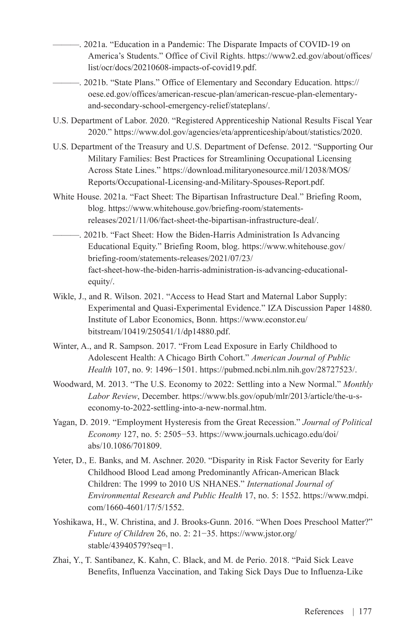- ———. 2021a. "Education in a Pandemic: The Disparate Impacts of COVID-19 on America's Students." Office of Civil Rights. [https://www2.ed.gov/about/offices/](https://www2.ed.gov/about/offices/list/ocr/docs/20210608-impacts-of-covid19.pdf) [list/ocr/docs/20210608-impacts-of-covid19.pdf](https://www2.ed.gov/about/offices/list/ocr/docs/20210608-impacts-of-covid19.pdf).
	- ———. 2021b. "State Plans." Office of Elementary and Secondary Education. [https://](https://oese.ed.gov/offices/american-rescue-plan/american-rescue-plan-elementary-and-secondary-school-emergency-relief/stateplans/) [oese.ed.gov/offices/american-rescue-plan/american-rescue-plan-elementary](https://oese.ed.gov/offices/american-rescue-plan/american-rescue-plan-elementary-and-secondary-school-emergency-relief/stateplans/)[and-secondary-school-emergency-relief/stateplans/.](https://oese.ed.gov/offices/american-rescue-plan/american-rescue-plan-elementary-and-secondary-school-emergency-relief/stateplans/)
- U.S. Department of Labor. 2020. "Registered Apprenticeship National Results Fiscal Year 2020." <https://www.dol.gov/agencies/eta/apprenticeship/about/statistics/2020>.
- U.S. Department of the Treasury and U.S. Department of Defense. 2012. "Supporting Our Military Families: Best Practices for Streamlining Occupational Licensing Across State Lines." [https://download.militaryonesource.mil/12038/MOS/](https://download.militaryonesource.mil/12038/MOS/Reports/Occupational-Licensing-and-Military-Spouses-Report.pdf) [Reports/Occupational-Licensing-and-Military-Spouses-Report.pdf.](https://download.militaryonesource.mil/12038/MOS/Reports/Occupational-Licensing-and-Military-Spouses-Report.pdf)
- White House. 2021a. "Fact Sheet: The Bipartisan Infrastructure Deal." Briefing Room, blog. [https://www.whitehouse.gov/briefing-room/statements](https://www.whitehouse.gov/briefing-room/statements-releases/2021/11/06/fact-sheet-the-bipartisan-infrastructure-deal/)[releases/2021/11/06/fact-sheet-the-bipartisan-infrastructure-deal/.](https://www.whitehouse.gov/briefing-room/statements-releases/2021/11/06/fact-sheet-the-bipartisan-infrastructure-deal/)
- ———. 2021b. "Fact Sheet: How the Biden-Harris Administration Is Advancing Educational Equity." Briefing Room, blog. [https://www.whitehouse.gov/](https://www.whitehouse.gov/briefing-room/statements-releases/2021/07/23/fact-sheet-how-the-biden-harris-administration-is-advancing-educational-equity/) [briefing-room/statements-releases/2021/07/23/](https://www.whitehouse.gov/briefing-room/statements-releases/2021/07/23/fact-sheet-how-the-biden-harris-administration-is-advancing-educational-equity/) [fact-sheet-how-the-biden-harris-administration-is-advancing-educational](https://www.whitehouse.gov/briefing-room/statements-releases/2021/07/23/fact-sheet-how-the-biden-harris-administration-is-advancing-educational-equity/)[equity/.](https://www.whitehouse.gov/briefing-room/statements-releases/2021/07/23/fact-sheet-how-the-biden-harris-administration-is-advancing-educational-equity/)
- Wikle, J., and R. Wilson. 2021. "Access to Head Start and Maternal Labor Supply: Experimental and Quasi-Experimental Evidence." IZA Discussion Paper 14880. Institute of Labor Economics, Bonn. [https://www.econstor.eu/](https://www.econstor.eu/bitstream/10419/250541/1/dp14880.pdf) [bitstream/10419/250541/1/dp14880.pdf](https://www.econstor.eu/bitstream/10419/250541/1/dp14880.pdf).
- Winter, A., and R. Sampson. 2017. "From Lead Exposure in Early Childhood to Adolescent Health: A Chicago Birth Cohort." *American Journal of Public Health* 107, no. 9: 1496−1501. [https://pubmed.ncbi.nlm.nih.gov/28727523/.](https://pubmed.ncbi.nlm.nih.gov/28727523/)
- Woodward, M. 2013. "The U.S. Economy to 2022: Settling into a New Normal." *Monthly Labor Review*, December. [https://www.bls.gov/opub/mlr/2013/article/the-u-s](https://www.bls.gov/opub/mlr/2013/article/the-u-s-economy-to-2022-settling-into-a-new-normal.htm)[economy-to-2022-settling-into-a-new-normal.htm](https://www.bls.gov/opub/mlr/2013/article/the-u-s-economy-to-2022-settling-into-a-new-normal.htm).
- Yagan, D. 2019. "Employment Hysteresis from the Great Recession." *Journal of Political Economy* 127, no. 5: 2505−53. [https://www.journals.uchicago.edu/doi/](https://www.journals.uchicago.edu/doi/abs/10.1086/701809) [abs/10.1086/701809](https://www.journals.uchicago.edu/doi/abs/10.1086/701809).
- Yeter, D., E. Banks, and M. Aschner. 2020. "Disparity in Risk Factor Severity for Early Childhood Blood Lead among Predominantly African-American Black Children: The 1999 to 2010 US NHANES." *International Journal of Environmental Research and Public Health* 17, no. 5: 1552. [https://www.mdpi.](https://www.mdpi.com/1660-4601/17/5/1552) [com/1660-4601/17/5/1552.](https://www.mdpi.com/1660-4601/17/5/1552)
- Yoshikawa, H., W. Christina, and J. Brooks-Gunn. 2016. "When Does Preschool Matter?" *Future of Children* 26, no. 2: 21−35. [https://www.jstor.org/](https://www.jstor.org/stable/43940579?seq=1) [stable/43940579?seq=1](https://www.jstor.org/stable/43940579?seq=1).
- Zhai, Y., T. Santibanez, K. Kahn, C. Black, and M. de Perio. 2018. "Paid Sick Leave Benefits, Influenza Vaccination, and Taking Sick Days Due to Influenza-Like